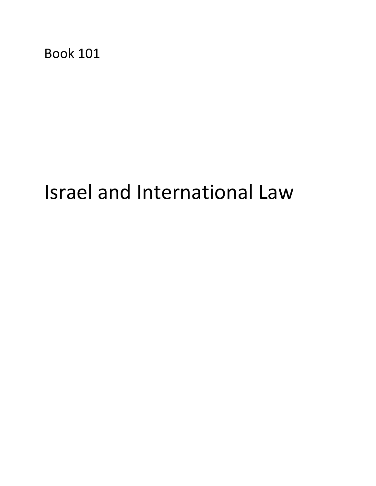Book 101

# Israel and International Law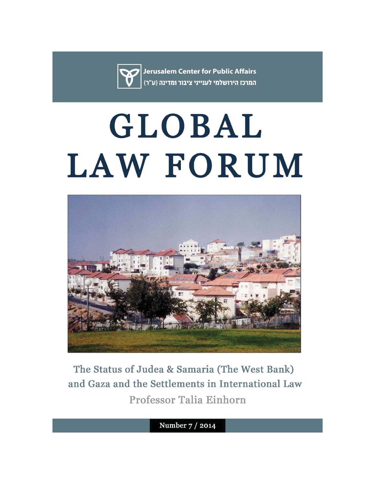

**Jerusalem Center for Public Affairs** המרכז הירושלמי לענייני ציבור ומדינה (ע"ר)

# GLOBAL LAW FORUM



The Status of Judea & Samaria (The West Bank) and Gaza and the Settlements in International Law Professor Talia Einhorn

Number 7 / 2014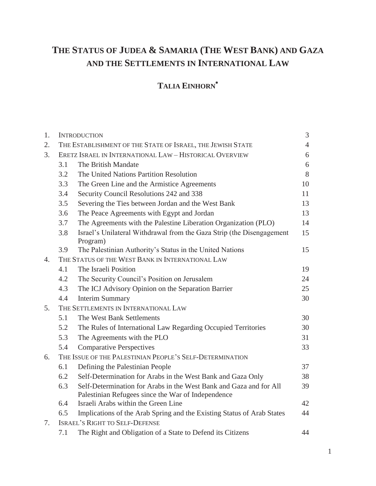## **THE STATUS OF JUDEA & SAMARIA (THE WEST BANK) AND GAZA AND THE SETTLEMENTS IN INTERNATIONAL LAW**

### **TALIA EINHORN**

| 1. | <b>INTRODUCTION</b>                                        |                                                                                                                          |    |  |  |
|----|------------------------------------------------------------|--------------------------------------------------------------------------------------------------------------------------|----|--|--|
| 2. | THE ESTABLISHMENT OF THE STATE OF ISRAEL, THE JEWISH STATE |                                                                                                                          |    |  |  |
| 3. | ERETZ ISRAEL IN INTERNATIONAL LAW - HISTORICAL OVERVIEW    |                                                                                                                          |    |  |  |
|    | 3.1                                                        | The British Mandate                                                                                                      | 6  |  |  |
|    | 3.2                                                        | The United Nations Partition Resolution                                                                                  | 8  |  |  |
|    | 3.3                                                        | The Green Line and the Armistice Agreements                                                                              | 10 |  |  |
|    | 3.4                                                        | Security Council Resolutions 242 and 338                                                                                 | 11 |  |  |
|    | 3.5                                                        | Severing the Ties between Jordan and the West Bank                                                                       | 13 |  |  |
|    | 3.6                                                        | The Peace Agreements with Egypt and Jordan                                                                               | 13 |  |  |
|    | 3.7                                                        | The Agreements with the Palestine Liberation Organization (PLO)                                                          | 14 |  |  |
|    | 3.8                                                        | Israel's Unilateral Withdrawal from the Gaza Strip (the Disengagement<br>Program)                                        | 15 |  |  |
|    | 3.9                                                        | The Palestinian Authority's Status in the United Nations                                                                 | 15 |  |  |
| 4. | THE STATUS OF THE WEST BANK IN INTERNATIONAL LAW           |                                                                                                                          |    |  |  |
|    | 4.1                                                        | The Israeli Position                                                                                                     | 19 |  |  |
|    | 4.2                                                        | The Security Council's Position on Jerusalem                                                                             | 24 |  |  |
|    | 4.3                                                        | The ICJ Advisory Opinion on the Separation Barrier                                                                       | 25 |  |  |
|    | 4.4                                                        | <b>Interim Summary</b>                                                                                                   | 30 |  |  |
| 5. | THE SETTLEMENTS IN INTERNATIONAL LAW                       |                                                                                                                          |    |  |  |
|    | 5.1                                                        | The West Bank Settlements                                                                                                | 30 |  |  |
|    | 5.2                                                        | The Rules of International Law Regarding Occupied Territories                                                            | 30 |  |  |
|    | 5.3                                                        | The Agreements with the PLO                                                                                              | 31 |  |  |
|    | 5.4                                                        | <b>Comparative Perspectives</b>                                                                                          | 33 |  |  |
| 6. | THE ISSUE OF THE PALESTINIAN PEOPLE'S SELF-DETERMINATION   |                                                                                                                          |    |  |  |
|    | 6.1                                                        | Defining the Palestinian People                                                                                          | 37 |  |  |
|    | 6.2                                                        | Self-Determination for Arabs in the West Bank and Gaza Only                                                              | 38 |  |  |
|    | 6.3                                                        | Self-Determination for Arabs in the West Bank and Gaza and for All<br>Palestinian Refugees since the War of Independence | 39 |  |  |
|    | 6.4                                                        | Israeli Arabs within the Green Line                                                                                      | 42 |  |  |
|    | 6.5                                                        | Implications of the Arab Spring and the Existing Status of Arab States                                                   | 44 |  |  |
| 7. | <b>ISRAEL'S RIGHT TO SELF-DEFENSE</b>                      |                                                                                                                          |    |  |  |
|    | 7.1                                                        | The Right and Obligation of a State to Defend its Citizens                                                               | 44 |  |  |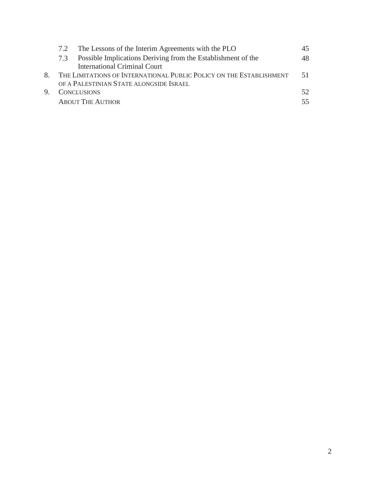| 7.2 | The Lessons of the Interim Agreements with the PLO                  |     |
|-----|---------------------------------------------------------------------|-----|
| 7.3 | Possible Implications Deriving from the Establishment of the        | 48  |
|     | <b>International Criminal Court</b>                                 |     |
|     | THE LIMITATIONS OF INTERNATIONAL PUBLIC POLICY ON THE ESTABLISHMENT | 51  |
|     | OF A PALESTINIAN STATE ALONGSIDE ISRAEL                             |     |
|     | <b>CONCLUSIONS</b>                                                  | 52. |
|     | <b>ABOUT THE AUTHOR</b>                                             |     |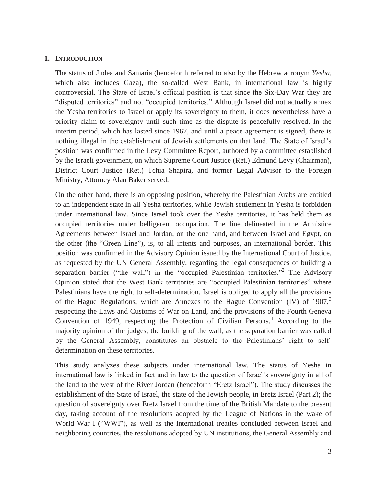#### **1. INTRODUCTION**

The status of Judea and Samaria (henceforth referred to also by the Hebrew acronym *Yesha,*  which also includes Gaza), the so-called West Bank, in international law is highly controversial. The State of Israel's official position is that since the Six-Day War they are "disputed territories" and not "occupied territories." Although Israel did not actually annex the Yesha territories to Israel or apply its sovereignty to them, it does nevertheless have a priority claim to sovereignty until such time as the dispute is peacefully resolved. In the interim period, which has lasted since 1967, and until a peace agreement is signed, there is nothing illegal in the establishment of Jewish settlements on that land. The State of Israel's position was confirmed in the Levy Committee Report, authored by a committee established by the Israeli government, on which Supreme Court Justice (Ret.) Edmund Levy (Chairman), District Court Justice (Ret.) Tchia Shapira, and former Legal Advisor to the Foreign Ministry, Attorney Alan Baker served.<sup>1</sup>

On the other hand, there is an opposing position, whereby the Palestinian Arabs are entitled to an independent state in all Yesha territories, while Jewish settlement in Yesha is forbidden under international law. Since Israel took over the Yesha territories, it has held them as occupied territories under belligerent occupation. The line delineated in the Armistice Agreements between Israel and Jordan, on the one hand, and between Israel and Egypt, on the other (the "Green Line"), is, to all intents and purposes, an international border. This position was confirmed in the Advisory Opinion issued by the International Court of Justice, as requested by the UN General Assembly, regarding the legal consequences of building a separation barrier ("the wall") in the "occupied Palestinian territories."<sup>2</sup> The Advisory Opinion stated that the West Bank territories are "occupied Palestinian territories" where Palestinians have the right to self-determination. Israel is obliged to apply all the provisions of the Hague Regulations, which are Annexes to the Hague Convention (IV) of 1907,<sup>3</sup> respecting the Laws and Customs of War on Land, and the provisions of the Fourth Geneva Convention of 1949, respecting the Protection of Civilian Persons.<sup>4</sup> According to the majority opinion of the judges, the building of the wall, as the separation barrier was called by the General Assembly, constitutes an obstacle to the Palestinians' right to selfdetermination on these territories.

This study analyzes these subjects under international law. The status of Yesha in international law is linked in fact and in law to the question of Israel's sovereignty in all of the land to the west of the River Jordan (henceforth "Eretz Israel"). The study discusses the establishment of the State of Israel, the state of the Jewish people, in Eretz Israel (Part 2); the question of sovereignty over Eretz Israel from the time of the British Mandate to the present day, taking account of the resolutions adopted by the League of Nations in the wake of World War I ("WWI"), as well as the international treaties concluded between Israel and neighboring countries, the resolutions adopted by UN institutions, the General Assembly and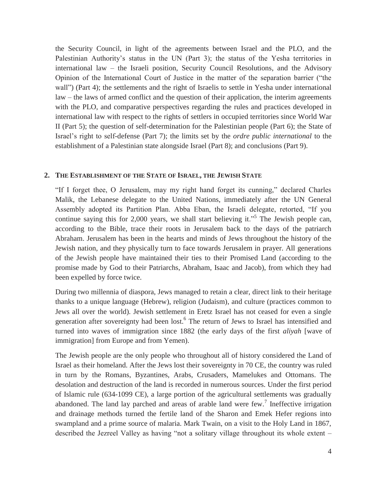the Security Council, in light of the agreements between Israel and the PLO, and the Palestinian Authority's status in the UN (Part 3); the status of the Yesha territories in international law – the Israeli position, Security Council Resolutions, and the Advisory Opinion of the International Court of Justice in the matter of the separation barrier ("the wall") (Part 4); the settlements and the right of Israelis to settle in Yesha under international law – the laws of armed conflict and the question of their application, the interim agreements with the PLO, and comparative perspectives regarding the rules and practices developed in international law with respect to the rights of settlers in occupied territories since World War II (Part 5); the question of self-determination for the Palestinian people (Part 6); the State of Israel's right to self-defense (Part 7); the limits set by the *ordre public international* to the establishment of a Palestinian state alongside Israel (Part 8); and conclusions (Part 9).

#### **2. THE ESTABLISHMENT OF THE STATE OF ISRAEL, THE JEWISH STATE**

"If I forget thee, O Jerusalem, may my right hand forget its cunning," declared Charles Malik, the Lebanese delegate to the United Nations, immediately after the UN General Assembly adopted its Partition Plan. Abba Eban, the Israeli delegate, retorted, "If you continue saying this for 2,000 years, we shall start believing it."<sup>5</sup> The Jewish people can, according to the Bible, trace their roots in Jerusalem back to the days of the patriarch Abraham. Jerusalem has been in the hearts and minds of Jews throughout the history of the Jewish nation, and they physically turn to face towards Jerusalem in prayer. All generations of the Jewish people have maintained their ties to their Promised Land (according to the promise made by God to their Patriarchs, Abraham, Isaac and Jacob), from which they had been expelled by force twice.

During two millennia of diaspora, Jews managed to retain a clear, direct link to their heritage thanks to a unique language (Hebrew), religion (Judaism), and culture (practices common to Jews all over the world). Jewish settlement in Eretz Israel has not ceased for even a single generation after sovereignty had been lost.<sup>6</sup> The return of Jews to Israel has intensified and turned into waves of immigration since 1882 (the early days of the first *aliyah* [wave of immigration] from Europe and from Yemen).

The Jewish people are the only people who throughout all of history considered the Land of Israel as their homeland. After the Jews lost their sovereignty in 70 CE, the country was ruled in turn by the Romans, Byzantines, Arabs, Crusaders, Mamelukes and Ottomans. The desolation and destruction of the land is recorded in numerous sources. Under the first period of Islamic rule (634-1099 CE), a large portion of the agricultural settlements was gradually abandoned. The land lay parched and areas of arable land were few.<sup>7</sup> Ineffective irrigation and drainage methods turned the fertile land of the Sharon and Emek Hefer regions into swampland and a prime source of malaria. Mark Twain, on a visit to the Holy Land in 1867, described the Jezreel Valley as having "not a solitary village throughout its whole extent –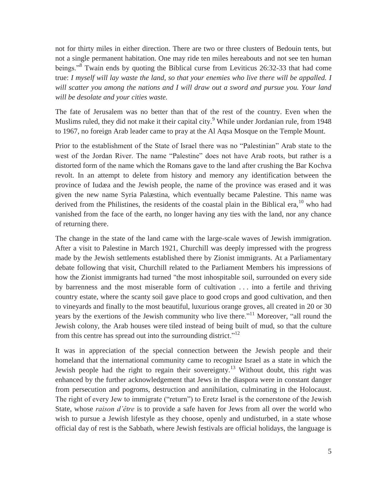not for thirty miles in either direction. There are two or three clusters of Bedouin tents, but not a single permanent habitation. One may ride ten miles hereabouts and not see ten human beings.<sup>38</sup> Twain ends by quoting the Biblical curse from Leviticus 26:32-33 that had come true: *I myself will lay waste the land, so that your enemies who live there will be appalled. I will scatter you among the nations and I will draw out a sword and pursue you. Your land will be desolate and your cities waste.*

The fate of Jerusalem was no better than that of the rest of the country. Even when the Muslims ruled, they did not make it their capital city.<sup>9</sup> While under Jordanian rule, from 1948 to 1967, no foreign Arab leader came to pray at the Al Aqsa Mosque on the Temple Mount.

Prior to the establishment of the State of Israel there was no "Palestinian" Arab state to the west of the Jordan River. The name "Palestine" does not have Arab roots, but rather is a distorted form of the name which the Romans gave to the land after crushing the Bar Kochva revolt. In an attempt to delete from history and memory any identification between the province of Iudæa and the Jewish people, the name of the province was erased and it was given the new name Syria Palæstina, which eventually became Palestine. This name was derived from the Philistines, the residents of the coastal plain in the Biblical era,  $10$  who had vanished from the face of the earth, no longer having any ties with the land, nor any chance of returning there.

The change in the state of the land came with the large-scale waves of Jewish immigration. After a visit to Palestine in March 1921, Churchill was deeply impressed with the progress made by the Jewish settlements established there by Zionist immigrants. At a Parliamentary debate following that visit, Churchill related to the Parliament Members his impressions of how the Zionist immigrants had turned "the most inhospitable soil, surrounded on every side by barrenness and the most miserable form of cultivation . . . into a fertile and thriving country estate, where the scanty soil gave place to good crops and good cultivation, and then to vineyards and finally to the most beautiful, luxurious orange groves, all created in 20 or 30 years by the exertions of the Jewish community who live there."<sup>11</sup> Moreover, "all round the Jewish colony, the Arab houses were tiled instead of being built of mud, so that the culture from this centre has spread out into the surrounding district."<sup>12</sup>

It was in appreciation of the special connection between the Jewish people and their homeland that the international community came to recognize Israel as a state in which the Jewish people had the right to regain their sovereignty.<sup>13</sup> Without doubt, this right was enhanced by the further acknowledgement that Jews in the diaspora were in constant danger from persecution and pogroms, destruction and annihilation, culminating in the Holocaust. The right of every Jew to immigrate ("return") to Eretz Israel is the cornerstone of the Jewish State, whose *raison d'être* is to provide a safe haven for Jews from all over the world who wish to pursue a Jewish lifestyle as they choose, openly and undisturbed, in a state whose official day of rest is the Sabbath, where Jewish festivals are official holidays, the language is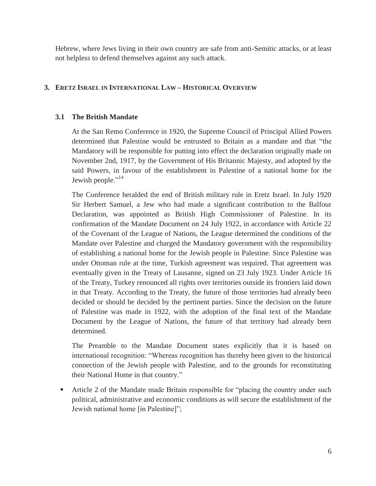Hebrew, where Jews living in their own country are safe from anti-Semitic attacks, or at least not helpless to defend themselves against any such attack.

#### **3. ERETZ ISRAEL IN INTERNATIONAL LAW – HISTORICAL OVERVIEW**

#### **3.1 The British Mandate**

At the San Remo Conference in 1920, the Supreme Council of Principal Allied Powers determined that Palestine would be entrusted to Britain as a mandate and that "the Mandatory will be responsible for putting into effect the declaration originally made on November 2nd, 1917, by the Government of His Britannic Majesty, and adopted by the said Powers, in favour of the establishment in Palestine of a national home for the Jewish people."<sup>14</sup>

The Conference heralded the end of British military rule in Eretz Israel. In July 1920 Sir Herbert Samuel, a Jew who had made a significant contribution to the Balfour Declaration, was appointed as British High Commissioner of Palestine. In its confirmation of the Mandate Document on 24 July 1922, in accordance with Article 22 of the Covenant of the League of Nations, the League determined the conditions of the Mandate over Palestine and charged the Mandatory government with the responsibility of establishing a national home for the Jewish people in Palestine. Since Palestine was under Ottoman rule at the time, Turkish agreement was required. That agreement was eventually given in the Treaty of Lausanne, signed on 23 July 1923. Under Article 16 of the Treaty, Turkey renounced all rights over territories outside its frontiers laid down in that Treaty. According to the Treaty, the future of those territories had already been decided or should be decided by the pertinent parties. Since the decision on the future of Palestine was made in 1922, with the adoption of the final text of the Mandate Document by the League of Nations, the future of that territory had already been determined.

The Preamble to the Mandate Document states explicitly that it is based on international recognition: "Whereas recognition has thereby been given to the historical connection of the Jewish people with Palestine, and to the grounds for reconstituting their National Home in that country."

 Article 2 of the Mandate made Britain responsible for "placing the country under such political, administrative and economic conditions as will secure the establishment of the Jewish national home [in Palestine]";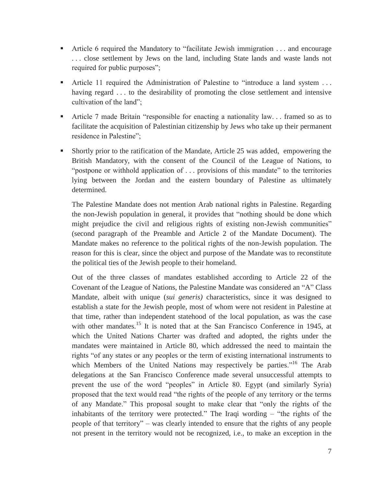- Article 6 required the Mandatory to "facilitate Jewish immigration . . . and encourage . . . close settlement by Jews on the land, including State lands and waste lands not required for public purposes";
- Article 11 required the Administration of Palestine to "introduce a land system . . . having regard . . . to the desirability of promoting the close settlement and intensive cultivation of the land";
- Article 7 made Britain "responsible for enacting a nationality law. . . framed so as to facilitate the acquisition of Palestinian citizenship by Jews who take up their permanent residence in Palestine";
- Shortly prior to the ratification of the Mandate, Article 25 was added, empowering the British Mandatory, with the consent of the Council of the League of Nations, to "postpone or withhold application of ... provisions of this mandate" to the territories lying between the Jordan and the eastern boundary of Palestine as ultimately determined.

The Palestine Mandate does not mention Arab national rights in Palestine. Regarding the non-Jewish population in general, it provides that "nothing should be done which might prejudice the civil and religious rights of existing non-Jewish communities" (second paragraph of the Preamble and Article 2 of the Mandate Document). The Mandate makes no reference to the political rights of the non-Jewish population. The reason for this is clear, since the object and purpose of the Mandate was to reconstitute the political ties of the Jewish people to their homeland.

Out of the three classes of mandates established according to Article 22 of the Covenant of the League of Nations, the Palestine Mandate was considered an "A" Class Mandate, albeit with unique (*sui generis)* characteristics, since it was designed to establish a state for the Jewish people, most of whom were not resident in Palestine at that time, rather than independent statehood of the local population, as was the case with other mandates.<sup>15</sup> It is noted that at the San Francisco Conference in 1945, at which the United Nations Charter was drafted and adopted, the rights under the mandates were maintained in Article 80, which addressed the need to maintain the rights "of any states or any peoples or the term of existing international instruments to which Members of the United Nations may respectively be parties."<sup>16</sup> The Arab delegations at the San Francisco Conference made several unsuccessful attempts to prevent the use of the word "peoples" in Article 80. Egypt (and similarly Syria) proposed that the text would read "the rights of the people of any territory or the terms of any Mandate." This proposal sought to make clear that "only the rights of the inhabitants of the territory were protected." The Iraqi wording – "the rights of the people of that territory" – was clearly intended to ensure that the rights of any people not present in the territory would not be recognized, i.e., to make an exception in the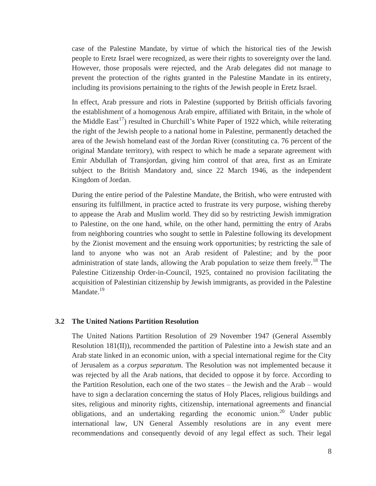case of the Palestine Mandate, by virtue of which the historical ties of the Jewish people to Eretz Israel were recognized, as were their rights to sovereignty over the land. However, those proposals were rejected, and the Arab delegates did not manage to prevent the protection of the rights granted in the Palestine Mandate in its entirety, including its provisions pertaining to the rights of the Jewish people in Eretz Israel.

In effect, Arab pressure and riots in Palestine (supported by British officials favoring the establishment of a homogenous Arab empire, affiliated with Britain, in the whole of the Middle East<sup>17</sup>) resulted in Churchill's White Paper of 1922 which, while reiterating the right of the Jewish people to a national home in Palestine, permanently detached the area of the Jewish homeland east of the Jordan River (constituting ca. 76 percent of the original Mandate territory), with respect to which he made a separate agreement with Emir Abdullah of Transjordan, giving him control of that area, first as an Emirate subject to the British Mandatory and, since 22 March 1946, as the independent Kingdom of Jordan.

During the entire period of the Palestine Mandate, the British, who were entrusted with ensuring its fulfillment, in practice acted to frustrate its very purpose, wishing thereby to appease the Arab and Muslim world. They did so by restricting Jewish immigration to Palestine, on the one hand, while, on the other hand, permitting the entry of Arabs from neighboring countries who sought to settle in Palestine following its development by the Zionist movement and the ensuing work opportunities; by restricting the sale of land to anyone who was not an Arab resident of Palestine; and by the poor administration of state lands, allowing the Arab population to seize them freely.<sup>18</sup> The Palestine Citizenship Order-in-Council, 1925, contained no provision facilitating the acquisition of Palestinian citizenship by Jewish immigrants, as provided in the Palestine Mandate.<sup>19</sup>

#### **3.2 The United Nations Partition Resolution**

The United Nations Partition Resolution of 29 November 1947 (General Assembly Resolution 181(II)), recommended the partition of Palestine into a Jewish state and an Arab state linked in an economic union, with a special international regime for the City of Jerusalem as a *corpus separatum*. The Resolution was not implemented because it was rejected by all the Arab nations, that decided to oppose it by force. According to the Partition Resolution, each one of the two states – the Jewish and the Arab – would have to sign a declaration concerning the status of Holy Places, religious buildings and sites, religious and minority rights, citizenship, international agreements and financial obligations, and an undertaking regarding the economic union.<sup>20</sup> Under public international law, UN General Assembly resolutions are in any event mere recommendations and consequently devoid of any legal effect as such. Their legal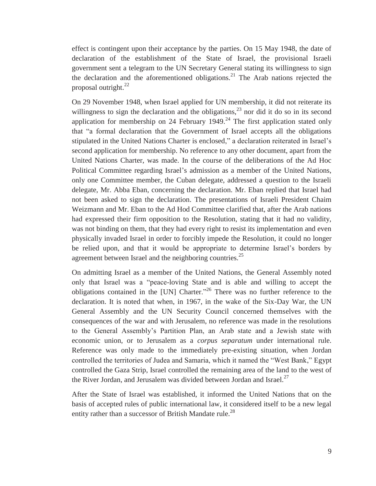effect is contingent upon their acceptance by the parties. On 15 May 1948, the date of declaration of the establishment of the State of Israel, the provisional Israeli government sent a telegram to the UN Secretary General stating its willingness to sign the declaration and the aforementioned obligations.<sup>21</sup> The Arab nations rejected the proposal outright. $^{22}$ 

On 29 November 1948, when Israel applied for UN membership, it did not reiterate its willingness to sign the declaration and the obligations,  $^{23}$  nor did it do so in its second application for membership on 24 February 1949.<sup>24</sup> The first application stated only that "a formal declaration that the Government of Israel accepts all the obligations stipulated in the United Nations Charter is enclosed," a declaration reiterated in Israel's second application for membership. No reference to any other document, apart from the United Nations Charter, was made. In the course of the deliberations of the Ad Hoc Political Committee regarding Israel's admission as a member of the United Nations, only one Committee member, the Cuban delegate, addressed a question to the Israeli delegate, Mr. Abba Eban, concerning the declaration. Mr. Eban replied that Israel had not been asked to sign the declaration. The presentations of Israeli President Chaim Weizmann and Mr. Eban to the Ad Hod Committee clarified that, after the Arab nations had expressed their firm opposition to the Resolution, stating that it had no validity, was not binding on them, that they had every right to resist its implementation and even physically invaded Israel in order to forcibly impede the Resolution, it could no longer be relied upon, and that it would be appropriate to determine Israel's borders by agreement between Israel and the neighboring countries.<sup>25</sup>

On admitting Israel as a member of the United Nations, the General Assembly noted only that Israel was a "peace-loving State and is able and willing to accept the obligations contained in the [UN] Charter."26 There was no further reference to the declaration. It is noted that when, in 1967, in the wake of the Six-Day War, the UN General Assembly and the UN Security Council concerned themselves with the consequences of the war and with Jerusalem, no reference was made in the resolutions to the General Assembly's Partition Plan, an Arab state and a Jewish state with economic union, or to Jerusalem as a *corpus separatum* under international rule. Reference was only made to the immediately pre-existing situation, when Jordan controlled the territories of Judea and Samaria, which it named the "West Bank," Egypt controlled the Gaza Strip, Israel controlled the remaining area of the land to the west of the River Jordan, and Jerusalem was divided between Jordan and Israel.<sup>27</sup>

After the State of Israel was established, it informed the United Nations that on the basis of accepted rules of public international law, it considered itself to be a new legal entity rather than a successor of British Mandate rule.<sup>28</sup>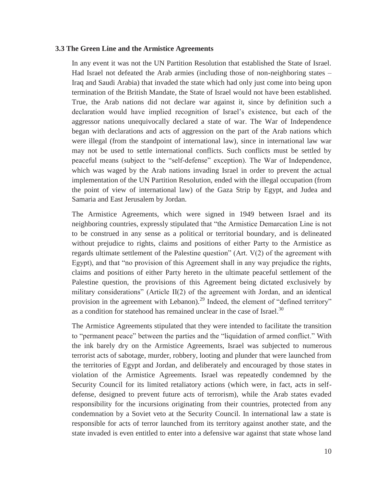#### **3.3 The Green Line and the Armistice Agreements**

In any event it was not the UN Partition Resolution that established the State of Israel. Had Israel not defeated the Arab armies (including those of non-neighboring states – Iraq and Saudi Arabia) that invaded the state which had only just come into being upon termination of the British Mandate, the State of Israel would not have been established. True, the Arab nations did not declare war against it, since by definition such a declaration would have implied recognition of Israel's existence, but each of the aggressor nations unequivocally declared a state of war. The War of Independence began with declarations and acts of aggression on the part of the Arab nations which were illegal (from the standpoint of international law), since in international law war may not be used to settle international conflicts. Such conflicts must be settled by peaceful means (subject to the "self-defense" exception). The War of Independence, which was waged by the Arab nations invading Israel in order to prevent the actual implementation of the UN Partition Resolution, ended with the illegal occupation (from the point of view of international law) of the Gaza Strip by Egypt, and Judea and Samaria and East Jerusalem by Jordan.

The Armistice Agreements, which were signed in 1949 between Israel and its neighboring countries, expressly stipulated that "the Armistice Demarcation Line is not to be construed in any sense as a political or territorial boundary, and is delineated without prejudice to rights, claims and positions of either Party to the Armistice as regards ultimate settlement of the Palestine question" (Art. V(2) of the agreement with Egypt), and that "no provision of this Agreement shall in any way prejudice the rights, claims and positions of either Party hereto in the ultimate peaceful settlement of the Palestine question, the provisions of this Agreement being dictated exclusively by military considerations" (Article II(2) of the agreement with Jordan, and an identical provision in the agreement with Lebanon).<sup>29</sup> Indeed, the element of "defined territory" as a condition for statehood has remained unclear in the case of Israel.<sup>30</sup>

The Armistice Agreements stipulated that they were intended to facilitate the transition to "permanent peace" between the parties and the "liquidation of armed conflict." With the ink barely dry on the Armistice Agreements, Israel was subjected to numerous terrorist acts of sabotage, murder, robbery, looting and plunder that were launched from the territories of Egypt and Jordan, and deliberately and encouraged by those states in violation of the Armistice Agreements. Israel was repeatedly condemned by the Security Council for its limited retaliatory actions (which were, in fact, acts in selfdefense, designed to prevent future acts of terrorism), while the Arab states evaded responsibility for the incursions originating from their countries, protected from any condemnation by a Soviet veto at the Security Council. In international law a state is responsible for acts of terror launched from its territory against another state, and the state invaded is even entitled to enter into a defensive war against that state whose land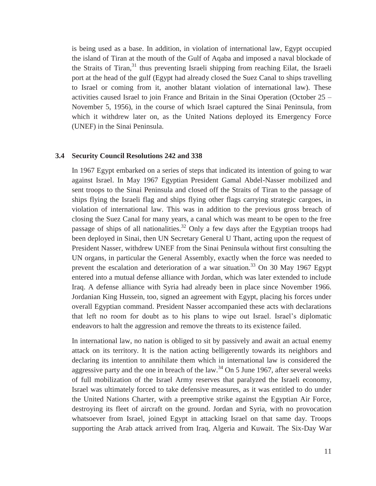is being used as a base. In addition, in violation of international law, Egypt occupied the island of Tiran at the mouth of the Gulf of Aqaba and imposed a naval blockade of the Straits of Tiran, $31$  thus preventing Israeli shipping from reaching Eilat, the Israeli port at the head of the gulf (Egypt had already closed the Suez Canal to ships travelling to Israel or coming from it, another blatant violation of international law). These activities caused Israel to join France and Britain in the Sinai Operation (October 25 – November 5, 1956), in the course of which Israel captured the Sinai Peninsula, from which it withdrew later on, as the United Nations deployed its Emergency Force (UNEF) in the Sinai Peninsula.

#### **3.4 Security Council Resolutions 242 and 338**

In 1967 Egypt embarked on a series of steps that indicated its intention of going to war against Israel. In May 1967 Egyptian President Gamal Abdel-Nasser mobilized and sent troops to the Sinai Peninsula and closed off the Straits of Tiran to the passage of ships flying the Israeli flag and ships flying other flags carrying strategic cargoes, in violation of international law. This was in addition to the previous gross breach of closing the Suez Canal for many years, a canal which was meant to be open to the free passage of ships of all nationalities.<sup>32</sup> Only a few days after the Egyptian troops had been deployed in Sinai, then UN Secretary General U Thant, acting upon the request of President Nasser, withdrew UNEF from the Sinai Peninsula without first consulting the UN organs, in particular the General Assembly, exactly when the force was needed to prevent the escalation and deterioration of a war situation.<sup>33</sup> On 30 May 1967 Egypt entered into a mutual defense alliance with Jordan, which was later extended to include Iraq. A defense alliance with Syria had already been in place since November 1966. Jordanian King Hussein, too, signed an agreement with Egypt, placing his forces under overall Egyptian command. President Nasser accompanied these acts with declarations that left no room for doubt as to his plans to wipe out Israel. Israel's diplomatic endeavors to halt the aggression and remove the threats to its existence failed.

In international law, no nation is obliged to sit by passively and await an actual enemy attack on its territory. It is the nation acting belligerently towards its neighbors and declaring its intention to annihilate them which in international law is considered the aggressive party and the one in breach of the law.<sup>34</sup> On 5 June 1967, after several weeks of full mobilization of the Israel Army reserves that paralyzed the Israeli economy, Israel was ultimately forced to take defensive measures, as it was entitled to do under the United Nations Charter, with a preemptive strike against the Egyptian Air Force, destroying its fleet of aircraft on the ground. Jordan and Syria, with no provocation whatsoever from Israel, joined Egypt in attacking Israel on that same day. Troops supporting the Arab attack arrived from Iraq, Algeria and Kuwait. The Six-Day War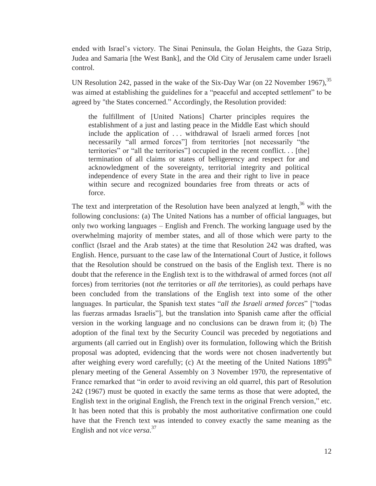ended with Israel's victory. The Sinai Peninsula, the Golan Heights, the Gaza Strip, Judea and Samaria [the West Bank], and the Old City of Jerusalem came under Israeli control.

UN Resolution 242, passed in the wake of the Six-Day War (on 22 November 1967), <sup>35</sup> was aimed at establishing the guidelines for a "peaceful and accepted settlement" to be agreed by "the States concerned." Accordingly, the Resolution provided:

the fulfillment of [United Nations] Charter principles requires the establishment of a just and lasting peace in the Middle East which should include the application of . . . withdrawal of Israeli armed forces [not necessarily "all armed forces"] from territories [not necessarily "the territories" or "all the territories"] occupied in the recent conflict. . . [the] termination of all claims or states of belligerency and respect for and acknowledgment of the sovereignty, territorial integrity and political independence of every State in the area and their right to live in peace within secure and recognized boundaries free from threats or acts of force.

The text and interpretation of the Resolution have been analyzed at length, $36$  with the following conclusions: (a) The United Nations has a number of official languages, but only two working languages – English and French. The working language used by the overwhelming majority of member states, and all of those which were party to the conflict (Israel and the Arab states) at the time that Resolution 242 was drafted, was English. Hence, pursuant to the case law of the International Court of Justice, it follows that the Resolution should be construed on the basis of the English text. There is no doubt that the reference in the English text is to the withdrawal of armed forces (not *all* forces) from territories (not *the* territories or *all the* territories), as could perhaps have been concluded from the translations of the English text into some of the other languages. In particular, the Spanish text states "*all the Israeli armed forces*" ["todas las fuerzas armadas Israelis"], but the translation into Spanish came after the official version in the working language and no conclusions can be drawn from it; (b) The adoption of the final text by the Security Council was preceded by negotiations and arguments (all carried out in English) over its formulation, following which the British proposal was adopted, evidencing that the words were not chosen inadvertently but after weighing every word carefully; (c) At the meeting of the United Nations  $1895<sup>th</sup>$ plenary meeting of the General Assembly on 3 November 1970, the representative of France remarked that "in order to avoid reviving an old quarrel, this part of Resolution 242 (1967) must be quoted in exactly the same terms as those that were adopted, the English text in the original English, the French text in the original French version," etc. It has been noted that this is probably the most authoritative confirmation one could have that the French text was intended to convey exactly the same meaning as the English and not *vice versa*. 37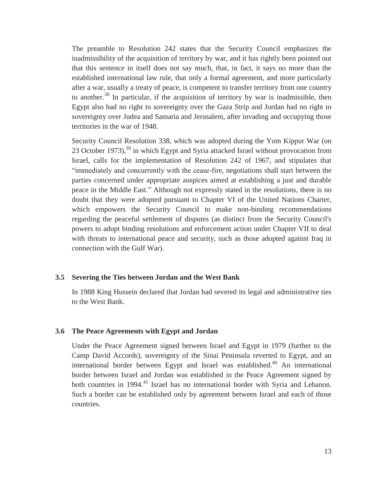The preamble to Resolution 242 states that the Security Council emphasizes the inadmissibility of the acquisition of territory by war, and it has rightly been pointed out that this sentence in itself does not say much, that, in fact, it says no more than the established international law rule, that only a formal agreement, and more particularly after a war, usually a treaty of peace, is competent to transfer territory from one country to another.<sup>38</sup> In particular, if the acquisition of territory by war is inadmissible, then Egypt also had no right to sovereignty over the Gaza Strip and Jordan had no right to sovereignty over Judea and Samaria and Jerusalem, after invading and occupying those territories in the war of 1948.

Security Council Resolution 338, which was adopted during the Yom Kippur War (on 23 October 1973),<sup>39</sup> in which Egypt and Syria attacked Israel without provocation from Israel, calls for the implementation of Resolution 242 of 1967, and stipulates that "immediately and concurrently with the cease-fire, negotiations shall start between the parties concerned under appropriate auspices aimed at establishing a just and durable peace in the Middle East." Although not expressly stated in the resolutions, there is no doubt that they were adopted pursuant to Chapter VI of the United Nations Charter, which empowers the Security Council to make non-binding recommendations regarding the peaceful settlement of disputes (as distinct from the Security Council's powers to adopt binding resolutions and enforcement action under Chapter VII to deal with threats to international peace and security, such as those adopted against Iraq in connection with the Gulf War).

#### **3.5 Severing the Ties between Jordan and the West Bank**

In 1988 King Hussein declared that Jordan had severed its legal and administrative ties to the West Bank.

#### **3.6 The Peace Agreements with Egypt and Jordan**

Under the Peace Agreement signed between Israel and Egypt in 1979 (further to the Camp David Accords), sovereignty of the Sinai Peninsula reverted to Egypt, and an international border between Egypt and Israel was established.<sup>40</sup> An international border between Israel and Jordan was established in the Peace Agreement signed by both countries in 1994.<sup>41</sup> Israel has no international border with Syria and Lebanon. Such a border can be established only by agreement between Israel and each of those countries.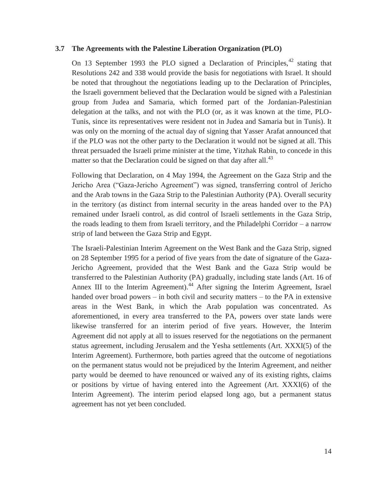#### **3.7 The Agreements with the Palestine Liberation Organization (PLO)**

On 13 September 1993 the PLO signed a Declaration of Principles,  $42$  stating that Resolutions 242 and 338 would provide the basis for negotiations with Israel. It should be noted that throughout the negotiations leading up to the Declaration of Principles, the Israeli government believed that the Declaration would be signed with a Palestinian group from Judea and Samaria, which formed part of the Jordanian-Palestinian delegation at the talks, and not with the PLO (or, as it was known at the time, PLO-Tunis, since its representatives were resident not in Judea and Samaria but in Tunis). It was only on the morning of the actual day of signing that Yasser Arafat announced that if the PLO was not the other party to the Declaration it would not be signed at all. This threat persuaded the Israeli prime minister at the time, Yitzhak Rabin, to concede in this matter so that the Declaration could be signed on that day after all.<sup>43</sup>

Following that Declaration, on 4 May 1994, the Agreement on the Gaza Strip and the Jericho Area ("Gaza-Jericho Agreement") was signed, transferring control of Jericho and the Arab towns in the Gaza Strip to the Palestinian Authority (PA). Overall security in the territory (as distinct from internal security in the areas handed over to the PA) remained under Israeli control, as did control of Israeli settlements in the Gaza Strip, the roads leading to them from Israeli territory, and the Philadelphi Corridor – a narrow strip of land between the Gaza Strip and Egypt.

The Israeli-Palestinian Interim Agreement on the West Bank and the Gaza Strip, signed on 28 September 1995 for a period of five years from the date of signature of the Gaza-Jericho Agreement, provided that the West Bank and the Gaza Strip would be transferred to the Palestinian Authority (PA) gradually, including state lands (Art. 16 of Annex III to the Interim Agreement).<sup>44</sup> After signing the Interim Agreement, Israel handed over broad powers – in both civil and security matters – to the PA in extensive areas in the West Bank, in which the Arab population was concentrated. As aforementioned, in every area transferred to the PA, powers over state lands were likewise transferred for an interim period of five years. However, the Interim Agreement did not apply at all to issues reserved for the negotiations on the permanent status agreement, including Jerusalem and the Yesha settlements (Art. XXXI(5) of the Interim Agreement). Furthermore, both parties agreed that the outcome of negotiations on the permanent status would not be prejudiced by the Interim Agreement, and neither party would be deemed to have renounced or waived any of its existing rights, claims or positions by virtue of having entered into the Agreement (Art. XXXI(6) of the Interim Agreement). The interim period elapsed long ago, but a permanent status agreement has not yet been concluded.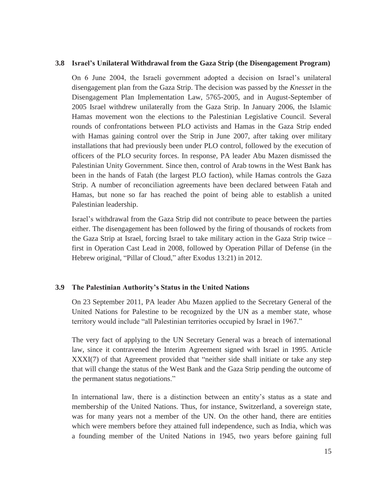#### **3.8 Israel's Unilateral Withdrawal from the Gaza Strip (the Disengagement Program)**

On 6 June 2004, the Israeli government adopted a decision on Israel's unilateral disengagement plan from the Gaza Strip. The decision was passed by the *Knesset* in the Disengagement Plan Implementation Law, 5765-2005, and in August-September of 2005 Israel withdrew unilaterally from the Gaza Strip. In January 2006, the Islamic Hamas movement won the elections to the Palestinian Legislative Council. Several rounds of confrontations between PLO activists and Hamas in the Gaza Strip ended with Hamas gaining control over the Strip in June 2007, after taking over military installations that had previously been under PLO control, followed by the execution of officers of the PLO security forces. In response, PA leader Abu Mazen dismissed the Palestinian Unity Government. Since then, control of Arab towns in the West Bank has been in the hands of Fatah (the largest PLO faction), while Hamas controls the Gaza Strip. A number of reconciliation agreements have been declared between Fatah and Hamas, but none so far has reached the point of being able to establish a united Palestinian leadership.

Israel's withdrawal from the Gaza Strip did not contribute to peace between the parties either. The disengagement has been followed by the firing of thousands of rockets from the Gaza Strip at Israel, forcing Israel to take military action in the Gaza Strip twice – first in Operation Cast Lead in 2008, followed by Operation Pillar of Defense (in the Hebrew original, "Pillar of Cloud," after Exodus 13:21) in 2012.

#### **3.9 The Palestinian Authority's Status in the United Nations**

On 23 September 2011, PA leader Abu Mazen applied to the Secretary General of the United Nations for Palestine to be recognized by the UN as a member state, whose territory would include "all Palestinian territories occupied by Israel in 1967."

The very fact of applying to the UN Secretary General was a breach of international law, since it contravened the Interim Agreement signed with Israel in 1995. Article XXXI(7) of that Agreement provided that "neither side shall initiate or take any step that will change the status of the West Bank and the Gaza Strip pending the outcome of the permanent status negotiations."

In international law, there is a distinction between an entity's status as a state and membership of the United Nations. Thus, for instance, Switzerland, a sovereign state, was for many years not a member of the UN. On the other hand, there are entities which were members before they attained full independence, such as India, which was a founding member of the United Nations in 1945, two years before gaining full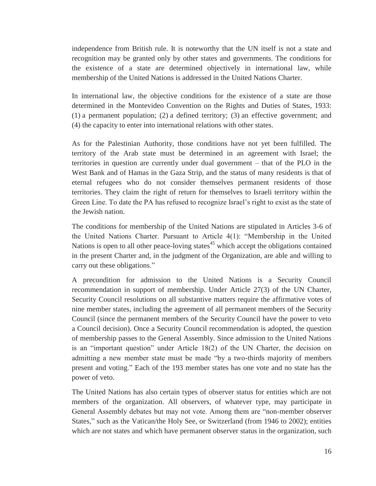independence from British rule. It is noteworthy that the UN itself is not a state and recognition may be granted only by other states and governments. The conditions for the existence of a state are determined objectively in international law, while membership of the United Nations is addressed in the United Nations Charter.

In international law, the objective conditions for the existence of a state are those determined in the Montevideo Convention on the Rights and Duties of States, 1933: (1) a permanent population; (2) a defined territory; (3) an effective government; and (4) the capacity to enter into international relations with other states.

As for the Palestinian Authority, those conditions have not yet been fulfilled. The territory of the Arab state must be determined in an agreement with Israel; the territories in question are currently under dual government – that of the PLO in the West Bank and of Hamas in the Gaza Strip, and the status of many residents is that of eternal refugees who do not consider themselves permanent residents of those territories. They claim the right of return for themselves to Israeli territory within the Green Line. To date the PA has refused to recognize Israel's right to exist as the state of the Jewish nation.

The conditions for membership of the United Nations are stipulated in Articles 3-6 of the United Nations Charter. Pursuant to Article 4(1): "Membership in the United Nations is open to all other peace-loving states<sup> $45$ </sup> which accept the obligations contained in the present Charter and, in the judgment of the Organization, are able and willing to carry out these obligations."

A precondition for admission to the United Nations is a Security Council recommendation in support of membership. Under Article 27(3) of the UN Charter, Security Council resolutions on all substantive matters require the affirmative votes of nine member states, including the agreement of all permanent members of the Security Council (since the permanent members of the Security Council have the power to veto a Council decision). Once a Security Council recommendation is adopted, the question of membership passes to the General Assembly. Since admission to the United Nations is an "important question" under Article 18(2) of the UN Charter, the decision on admitting a new member state must be made "by a two-thirds majority of members present and voting." Each of the 193 member states has one vote and no state has the power of veto.

The United Nations has also certain types of observer status for entities which are not members of the organization. All observers, of whatever type, may participate in General Assembly debates but may not vote. Among them are "non-member observer States," such as the Vatican/the Holy See, or Switzerland (from 1946 to 2002); entities which are not states and which have permanent observer status in the organization, such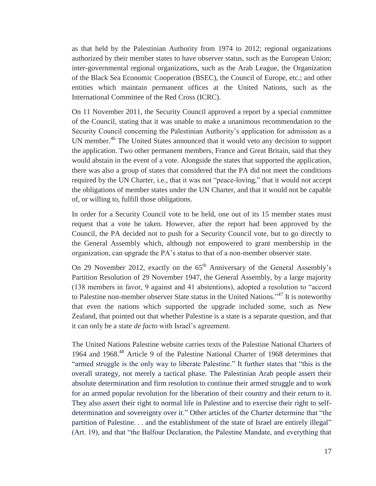as that held by the Palestinian Authority from 1974 to 2012; regional organizations authorized by their member states to have observer status, such as the European Union; inter-governmental regional organizations, such as the Arab League, the Organization of the Black Sea Economic Cooperation (BSEC), the Council of Europe, etc.; and other entities which maintain permanent offices at the United Nations, such as the International Committee of the Red Cross (ICRC).

On 11 November 2011, the Security Council approved a report by a special committee of the Council, stating that it was unable to make a unanimous recommendation to the Security Council concerning the Palestinian Authority's application for admission as a UN member.<sup>46</sup> The United States announced that it would veto any decision to support the application. Two other permanent members, France and Great Britain, said that they would abstain in the event of a vote. Alongside the states that supported the application, there was also a group of states that considered that the PA did not meet the conditions required by the UN Charter, i.e., that it was not "peace-loving," that it would not accept the obligations of member states under the UN Charter, and that it would not be capable of, or willing to, fulfill those obligations.

In order for a Security Council vote to be held, one out of its 15 member states must request that a vote be taken. However, after the report had been approved by the Council, the PA decided not to push for a Security Council vote, but to go directly to the General Assembly which, although not empowered to grant membership in the organization, can upgrade the PA's status to that of a non-member observer state.

On 29 November 2012, exactly on the  $65<sup>th</sup>$  Anniversary of the General Assembly's Partition Resolution of 29 November 1947, the General Assembly, by a large majority (138 members in favor, 9 against and 41 abstentions), adopted a resolution to "accord to Palestine non-member observer State status in the United Nations."47 It is noteworthy that even the nations which supported the upgrade included some, such as New Zealand, that pointed out that whether Palestine is a state is a separate question, and that it can only be a state *de facto* with Israel's agreement.

The United Nations Palestine website carries texts of the Palestine National Charters of 1964 and 1968.48 Article 9 of the Palestine National Charter of 1968 determines that "armed struggle is the only way to liberate Palestine." It further states that "this is the overall strategy, not merely a tactical phase. The Palestinian Arab people assert their absolute determination and firm resolution to continue their armed struggle and to work for an armed popular revolution for the liberation of their country and their return to it. They also assert their right to normal life in Palestine and to exercise their right to selfdetermination and sovereignty over it." Other articles of the Charter determine that "the partition of Palestine. . . and the establishment of the state of Israel are entirely illegal" (Art. 19), and that "the Balfour Declaration, the Palestine Mandate, and everything that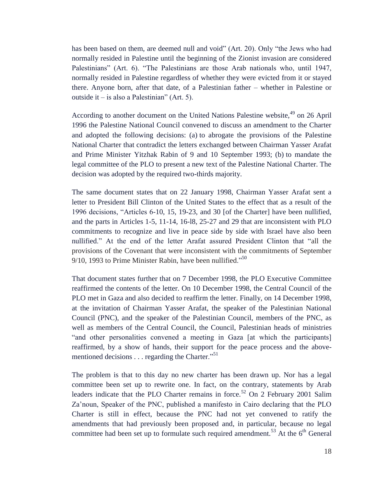has been based on them, are deemed null and void" (Art. 20). Only "the Jews who had normally resided in Palestine until the beginning of the Zionist invasion are considered Palestinians" (Art. 6). "The Palestinians are those Arab nationals who, until 1947, normally resided in Palestine regardless of whether they were evicted from it or stayed there. Anyone born, after that date, of a Palestinian father – whether in Palestine or outside it – is also a Palestinian" (Art. 5).

According to another document on the United Nations Palestine website,<sup>49</sup> on 26 April 1996 the Palestine National Council convened to discuss an amendment to the Charter and adopted the following decisions: (a) to abrogate the provisions of the Palestine National Charter that contradict the letters exchanged between Chairman Yasser Arafat and Prime Minister Yitzhak Rabin of 9 and 10 September 1993; (b) to mandate the legal committee of the PLO to present a new text of the Palestine National Charter. The decision was adopted by the required two-thirds majority.

The same document states that on 22 January 1998, Chairman Yasser Arafat sent a letter to President Bill Clinton of the United States to the effect that as a result of the 1996 decisions, "Articles 6-10, 15, 19-23, and 30 [of the Charter] have been nullified, and the parts in Articles 1-5, 11-14, 16-l8, 25-27 and 29 that are inconsistent with PLO commitments to recognize and live in peace side by side with Israel have also been nullified." At the end of the letter Arafat assured President Clinton that "all the provisions of the Covenant that were inconsistent with the commitments of September 9/10, 1993 to Prime Minister Rabin, have been nullified."<sup>50</sup>

That document states further that on 7 December 1998, the PLO Executive Committee reaffirmed the contents of the letter. On 10 December 1998, the Central Council of the PLO met in Gaza and also decided to reaffirm the letter. Finally, on 14 December 1998, at the invitation of Chairman Yasser Arafat, the speaker of the Palestinian National Council (PNC), and the speaker of the Palestinian Council, members of the PNC, as well as members of the Central Council, the Council, Palestinian heads of ministries "and other personalities convened a meeting in Gaza [at which the participants] reaffirmed, by a show of hands, their support for the peace process and the abovementioned decisions . . . regarding the Charter.<sup>"51</sup>

The problem is that to this day no new charter has been drawn up. Nor has a legal committee been set up to rewrite one. In fact, on the contrary, statements by Arab leaders indicate that the PLO Charter remains in force.<sup>52</sup> On 2 February 2001 Salim Za'noun, Speaker of the PNC, published a manifesto in Cairo declaring that the PLO Charter is still in effect, because the PNC had not yet convened to ratify the amendments that had previously been proposed and, in particular, because no legal committee had been set up to formulate such required amendment.<sup>53</sup> At the  $6<sup>th</sup>$  General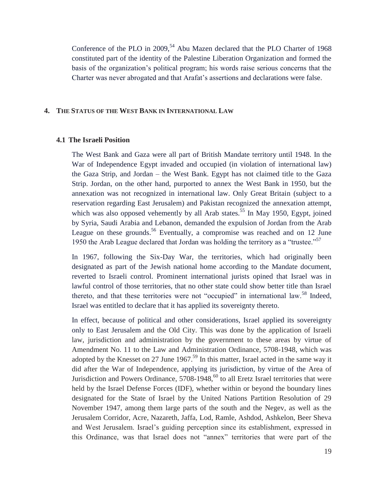Conference of the PLO in  $2009$ ,<sup>54</sup> Abu Mazen declared that the PLO Charter of 1968 constituted part of the identity of the Palestine Liberation Organization and formed the basis of the organization's political program; his words raise serious concerns that the Charter was never abrogated and that Arafat's assertions and declarations were false.

#### **4. THE STATUS OF THE WEST BANK IN INTERNATIONAL LAW**

#### **4.1 The Israeli Position**

The West Bank and Gaza were all part of British Mandate territory until 1948. In the War of Independence Egypt invaded and occupied (in violation of international law) the Gaza Strip, and Jordan – the West Bank. Egypt has not claimed title to the Gaza Strip. Jordan, on the other hand, purported to annex the West Bank in 1950, but the annexation was not recognized in international law. Only Great Britain (subject to a reservation regarding East Jerusalem) and Pakistan recognized the annexation attempt, which was also opposed vehemently by all Arab states.<sup>55</sup> In May 1950, Egypt, joined by Syria, Saudi Arabia and Lebanon, demanded the expulsion of Jordan from the Arab League on these grounds.<sup>56</sup> Eventually, a compromise was reached and on 12 June 1950 the Arab League declared that Jordan was holding the territory as a "trustee."<sup>57</sup>

In 1967, following the Six-Day War, the territories, which had originally been designated as part of the Jewish national home according to the Mandate document, reverted to Israeli control. Prominent international jurists opined that Israel was in lawful control of those territories, that no other state could show better title than Israel thereto, and that these territories were not "occupied" in international law.<sup>58</sup> Indeed, Israel was entitled to declare that it has applied its sovereignty thereto.

In effect, because of political and other considerations, Israel applied its sovereignty only to East Jerusalem and the Old City. This was done by the application of Israeli law, jurisdiction and administration by the government to these areas by virtue of Amendment No. 11 to the Law and Administration Ordinance, 5708-1948, which was adopted by the Knesset on 27 June 1967.<sup>59</sup> In this matter, Israel acted in the same way it did after the War of Independence, applying its jurisdiction, by virtue of the Area of Jurisdiction and Powers Ordinance,  $5708-1948$ , <sup>60</sup> to all Eretz Israel territories that were held by the Israel Defense Forces (IDF), whether within or beyond the boundary lines designated for the State of Israel by the United Nations Partition Resolution of 29 November 1947, among them large parts of the south and the Negev, as well as the Jerusalem Corridor, Acre, Nazareth, Jaffa, Lod, Ramle, Ashdod, Ashkelon, Beer Sheva and West Jerusalem. Israel's guiding perception since its establishment, expressed in this Ordinance, was that Israel does not "annex" territories that were part of the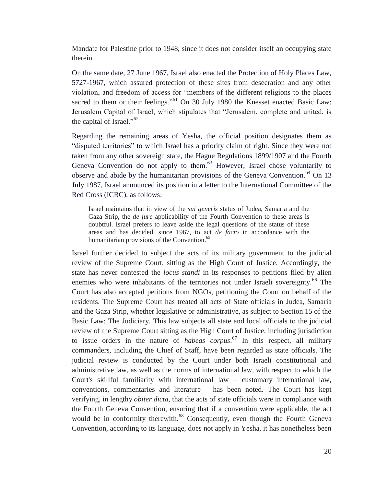Mandate for Palestine prior to 1948, since it does not consider itself an occupying state therein.

On the same date, 27 June 1967, Israel also enacted the Protection of Holy Places Law, 5727-1967, which assured protection of these sites from desecration and any other violation, and freedom of access for "members of the different religions to the places sacred to them or their feelings."<sup>61</sup> On 30 July 1980 the Knesset enacted Basic Law: Jerusalem Capital of Israel, which stipulates that "Jerusalem, complete and united, is the capital of Israel."<sup>62</sup>

Regarding the remaining areas of Yesha, the official position designates them as "disputed territories" to which Israel has a priority claim of right. Since they were not taken from any other sovereign state, the Hague Regulations 1899/1907 and the Fourth Geneva Convention do not apply to them.<sup>63</sup> However, Israel chose voluntarily to observe and abide by the humanitarian provisions of the Geneva Convention.<sup>64</sup> On 13 July 1987, Israel announced its position in a letter to the International Committee of the Red Cross (ICRC), as follows:

Israel maintains that in view of the *sui generis* status of Judea, Samaria and the Gaza Strip, the *de jure* applicability of the Fourth Convention to these areas is doubtful. Israel prefers to leave aside the legal questions of the status of these areas and has decided, since 1967, to act *de facto* in accordance with the humanitarian provisions of the Convention.<sup>65</sup>

Israel further decided to subject the acts of its military government to the judicial review of the Supreme Court, sitting as the High Court of Justice. Accordingly, the state has never contested the *locus standi* in its responses to petitions filed by alien enemies who were inhabitants of the territories not under Israeli sovereignty.<sup>66</sup> The Court has also accepted petitions from NGOs, petitioning the Court on behalf of the residents. The Supreme Court has treated all acts of State officials in Judea, Samaria and the Gaza Strip, whether legislative or administrative, as subject to Section 15 of the Basic Law: The Judiciary. This law subjects all state and local officials to the judicial review of the Supreme Court sitting as the High Court of Justice, including jurisdiction to issue orders in the nature of *habeas corpus*. 67 In this respect, all military commanders, including the Chief of Staff, have been regarded as state officials. The judicial review is conducted by the Court under both Israeli constitutional and administrative law, as well as the norms of international law, with respect to which the Court's skillful familiarity with international law – customary international law, conventions, commentaries and literature – has been noted. The Court has kept verifying, in lengthy *obiter dicta*, that the acts of state officials were in compliance with the Fourth Geneva Convention, ensuring that if a convention were applicable, the act would be in conformity therewith.<sup>68</sup> Consequently, even though the Fourth Geneva Convention, according to its language, does not apply in Yesha, it has nonetheless been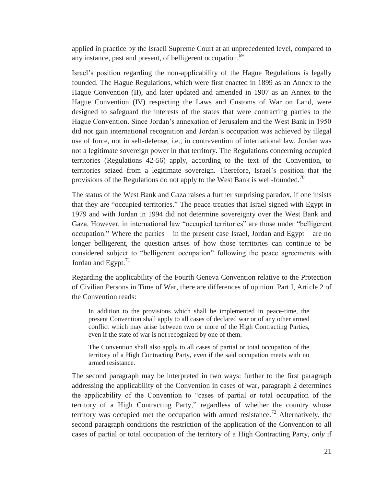applied in practice by the Israeli Supreme Court at an unprecedented level, compared to any instance, past and present, of belligerent occupation.<sup>69</sup>

Israel's position regarding the non-applicability of the Hague Regulations is legally founded. The Hague Regulations, which were first enacted in 1899 as an Annex to the Hague Convention (II), and later updated and amended in 1907 as an Annex to the Hague Convention (IV) respecting the Laws and Customs of War on Land, were designed to safeguard the interests of the states that were contracting parties to the Hague Convention. Since Jordan's annexation of Jerusalem and the West Bank in 1950 did not gain international recognition and Jordan's occupation was achieved by illegal use of force, not in self-defense, i.e., in contravention of international law, Jordan was not a legitimate sovereign power in that territory. The Regulations concerning occupied territories (Regulations 42-56) apply, according to the text of the Convention, to territories seized from a legitimate sovereign. Therefore, Israel's position that the provisions of the Regulations do not apply to the West Bank is well-founded.<sup>70</sup>

The status of the West Bank and Gaza raises a further surprising paradox, if one insists that they are "occupied territories." The peace treaties that Israel signed with Egypt in 1979 and with Jordan in 1994 did not determine sovereignty over the West Bank and Gaza. However, in international law "occupied territories" are those under "belligerent occupation." Where the parties – in the present case Israel, Jordan and Egypt – are no longer belligerent, the question arises of how those territories can continue to be considered subject to "belligerent occupation" following the peace agreements with Jordan and Egypt. $71$ 

Regarding the applicability of the Fourth Geneva Convention relative to the Protection of Civilian Persons in Time of War, there are differences of opinion. Part I, Article 2 of the Convention reads:

In addition to the provisions which shall be implemented in peace-time, the present Convention shall apply to all cases of declared war or of any other armed conflict which may arise between two or more of the High Contracting Parties, even if the state of war is not recognized by one of them.

The Convention shall also apply to all cases of partial or total occupation of the territory of a High Contracting Party, even if the said occupation meets with no armed resistance.

The second paragraph may be interpreted in two ways: further to the first paragraph addressing the applicability of the Convention in cases of war, paragraph 2 determines the applicability of the Convention to "cases of partial or total occupation of the territory of a High Contracting Party," regardless of whether the country whose territory was occupied met the occupation with armed resistance.<sup>72</sup> Alternatively, the second paragraph conditions the restriction of the application of the Convention to all cases of partial or total occupation of the territory of a High Contracting Party, *only* if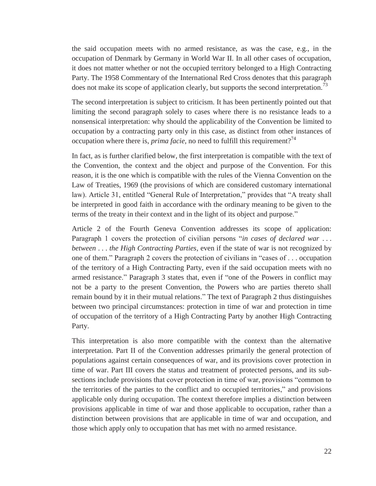the said occupation meets with no armed resistance, as was the case, e.g., in the occupation of Denmark by Germany in World War II. In all other cases of occupation, it does not matter whether or not the occupied territory belonged to a High Contracting Party. The 1958 Commentary of the International Red Cross denotes that this paragraph does not make its scope of application clearly, but supports the second interpretation.<sup>13</sup>

The second interpretation is subject to criticism. It has been pertinently pointed out that limiting the second paragraph solely to cases where there is no resistance leads to a nonsensical interpretation: why should the applicability of the Convention be limited to occupation by a contracting party only in this case, as distinct from other instances of occupation where there is, *prima facie*, no need to fulfill this requirement?<sup>74</sup>

In fact, as is further clarified below, the first interpretation is compatible with the text of the Convention, the context and the object and purpose of the Convention. For this reason, it is the one which is compatible with the rules of the Vienna Convention on the Law of Treaties, 1969 (the provisions of which are considered customary international law). Article 31, entitled "General Rule of Interpretation," provides that "A treaty shall be interpreted in good faith in accordance with the ordinary meaning to be given to the terms of the treaty in their context and in the light of its object and purpose."

Article 2 of the Fourth Geneva Convention addresses its scope of application: Paragraph 1 covers the protection of civilian persons "*in cases of declared war* . . . *between* . . . *the High Contracting Parties*, even if the state of war is not recognized by one of them." Paragraph 2 covers the protection of civilians in "cases of . . . occupation of the territory of a High Contracting Party, even if the said occupation meets with no armed resistance." Paragraph 3 states that, even if "one of the Powers in conflict may not be a party to the present Convention, the Powers who are parties thereto shall remain bound by it in their mutual relations." The text of Paragraph 2 thus distinguishes between two principal circumstances: protection in time of war and protection in time of occupation of the territory of a High Contracting Party by another High Contracting Party.

This interpretation is also more compatible with the context than the alternative interpretation. Part II of the Convention addresses primarily the general protection of populations against certain consequences of war, and its provisions cover protection in time of war. Part III covers the status and treatment of protected persons, and its subsections include provisions that cover protection in time of war, provisions "common to the territories of the parties to the conflict and to occupied territories," and provisions applicable only during occupation. The context therefore implies a distinction between provisions applicable in time of war and those applicable to occupation, rather than a distinction between provisions that are applicable in time of war and occupation, and those which apply only to occupation that has met with no armed resistance.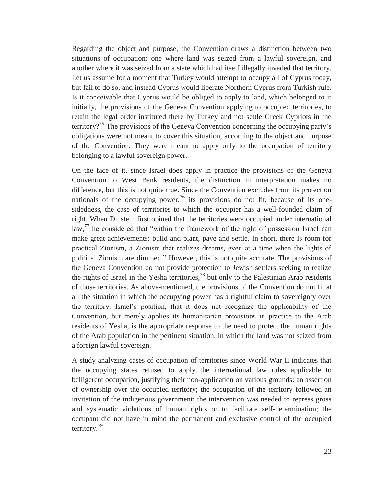Regarding the object and purpose, the Convention draws a distinction between two situations of occupation: one where land was seized from a lawful sovereign, and another where it was seized from a state which had itself illegally invaded that territory. Let us assume for a moment that Turkey would attempt to occupy all of Cyprus today, but fail to do so, and instead Cyprus would liberate Northern Cyprus from Turkish rule. Is it conceivable that Cyprus would be obliged to apply to land, which belonged to it initially, the provisions of the Geneva Convention applying to occupied territories, to retain the legal order instituted there by Turkey and not settle Greek Cypriots in the territory?<sup>75</sup> The provisions of the Geneva Convention concerning the occupying party's obligations were not meant to cover this situation, according to the object and purpose of the Convention. They were meant to apply only to the occupation of territory belonging to a lawful sovereign power.

On the face of it, since Israel does apply in practice the provisions of the Geneva Convention to West Bank residents, the distinction in interpretation makes no difference, but this is not quite true. Since the Convention excludes from its protection nationals of the occupying power,<sup>76</sup> its provisions do not fit, because of its onesidedness, the case of territories to which the occupier has a well-founded claim of right. When Dinstein first opined that the territories were occupied under international law,<sup>77</sup> he considered that "within the framework of the right of possession Israel can make great achievements: build and plant, pave and settle. In short, there is room for practical Zionism, a Zionism that realizes dreams, even at a time when the lights of political Zionism are dimmed." However, this is not quite accurate. The provisions of the Geneva Convention do not provide protection to Jewish settlers seeking to realize the rights of Israel in the Yesha territories,<sup>78</sup> but only to the Palestinian Arab residents of those territories. As above-mentioned, the provisions of the Convention do not fit at all the situation in which the occupying power has a rightful claim to sovereignty over the territory. Israel's position, that it does not recognize the applicability of the Convention, but merely applies its humanitarian provisions in practice to the Arab residents of Yesha, is the appropriate response to the need to protect the human rights of the Arab population in the pertinent situation, in which the land was not seized from a foreign lawful sovereign.

A study analyzing cases of occupation of territories since World War II indicates that the occupying states refused to apply the international law rules applicable to belligerent occupation, justifying their non-application on various grounds: an assertion of ownership over the occupied territory; the occupation of the territory followed an invitation of the indigenous government; the intervention was needed to repress gross and systematic violations of human rights or to facilitate self-determination; the occupant did not have in mind the permanent and exclusive control of the occupied territory.79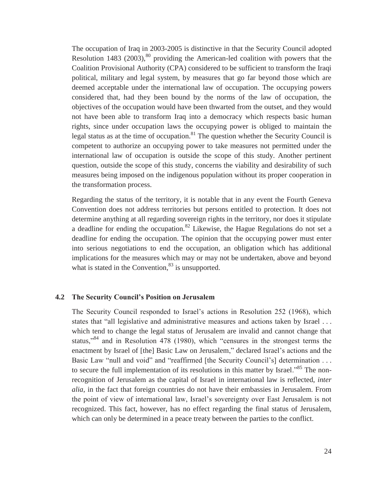The occupation of Iraq in 2003-2005 is distinctive in that the Security Council adopted Resolution 1483 (2003),  $80$  providing the American-led coalition with powers that the Coalition Provisional Authority (CPA) considered to be sufficient to transform the Iraqi political, military and legal system, by measures that go far beyond those which are deemed acceptable under the international law of occupation. The occupying powers considered that, had they been bound by the norms of the law of occupation, the objectives of the occupation would have been thwarted from the outset, and they would not have been able to transform Iraq into a democracy which respects basic human rights, since under occupation laws the occupying power is obliged to maintain the legal status as at the time of occupation. $81$  The question whether the Security Council is competent to authorize an occupying power to take measures not permitted under the international law of occupation is outside the scope of this study. Another pertinent question, outside the scope of this study, concerns the viability and desirability of such measures being imposed on the indigenous population without its proper cooperation in the transformation process.

Regarding the status of the territory, it is notable that in any event the Fourth Geneva Convention does not address territories but persons entitled to protection. It does not determine anything at all regarding sovereign rights in the territory, nor does it stipulate a deadline for ending the occupation.82 Likewise, the Hague Regulations do not set a deadline for ending the occupation. The opinion that the occupying power must enter into serious negotiations to end the occupation, an obligation which has additional implications for the measures which may or may not be undertaken, above and beyond what is stated in the Convention, $83$  is unsupported.

#### **4.2 The Security Council's Position on Jerusalem**

The Security Council responded to Israel's actions in Resolution 252 (1968), which states that "all legislative and administrative measures and actions taken by Israel . . . which tend to change the legal status of Jerusalem are invalid and cannot change that status,"<sup>84</sup> and in Resolution 478 (1980), which "censures in the strongest terms the enactment by Israel of [the] Basic Law on Jerusalem," declared Israel's actions and the Basic Law "null and void" and "reaffirmed [the Security Council's] determination . . . to secure the full implementation of its resolutions in this matter by Israel."<sup>85</sup> The nonrecognition of Jerusalem as the capital of Israel in international law is reflected, *inter alia*, in the fact that foreign countries do not have their embassies in Jerusalem. From the point of view of international law, Israel's sovereignty over East Jerusalem is not recognized. This fact, however, has no effect regarding the final status of Jerusalem, which can only be determined in a peace treaty between the parties to the conflict.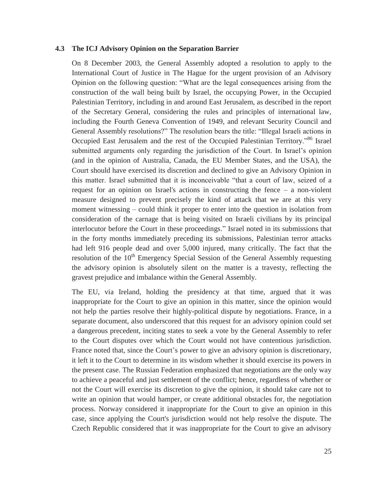#### **4.3 The ICJ Advisory Opinion on the Separation Barrier**

On 8 December 2003, the General Assembly adopted a resolution to apply to the International Court of Justice in The Hague for the urgent provision of an Advisory Opinion on the following question: "What are the legal consequences arising from the construction of the wall being built by Israel, the occupying Power, in the Occupied Palestinian Territory, including in and around East Jerusalem, as described in the report of the Secretary General, considering the rules and principles of international law, including the Fourth Geneva Convention of 1949, and relevant Security Council and General Assembly resolutions?" The resolution bears the title: "Illegal Israeli actions in Occupied East Jerusalem and the rest of the Occupied Palestinian Territory."<sup>86</sup> Israel submitted arguments only regarding the jurisdiction of the Court. In Israel's opinion (and in the opinion of Australia, Canada, the EU Member States, and the USA), the Court should have exercised its discretion and declined to give an Advisory Opinion in this matter. Israel submitted that it is inconceivable "that a court of law, seized of a request for an opinion on Israel's actions in constructing the fence – a non-violent measure designed to prevent precisely the kind of attack that we are at this very moment witnessing – could think it proper to enter into the question in isolation from consideration of the carnage that is being visited on Israeli civilians by its principal interlocutor before the Court in these proceedings." Israel noted in its submissions that in the forty months immediately preceding its submissions, Palestinian terror attacks had left 916 people dead and over 5,000 injured, many critically. The fact that the resolution of the 10<sup>th</sup> Emergency Special Session of the General Assembly requesting the advisory opinion is absolutely silent on the matter is a travesty, reflecting the gravest prejudice and imbalance within the General Assembly.

The EU, via Ireland, holding the presidency at that time, argued that it was inappropriate for the Court to give an opinion in this matter, since the opinion would not help the parties resolve their highly-political dispute by negotiations. France, in a separate document, also underscored that this request for an advisory opinion could set a dangerous precedent, inciting states to seek a vote by the General Assembly to refer to the Court disputes over which the Court would not have contentious jurisdiction. France noted that, since the Court's power to give an advisory opinion is discretionary, it left it to the Court to determine in its wisdom whether it should exercise its powers in the present case. The Russian Federation emphasized that negotiations are the only way to achieve a peaceful and just settlement of the conflict; hence, regardless of whether or not the Court will exercise its discretion to give the opinion, it should take care not to write an opinion that would hamper, or create additional obstacles for, the negotiation process. Norway considered it inappropriate for the Court to give an opinion in this case, since applying the Court's jurisdiction would not help resolve the dispute. The Czech Republic considered that it was inappropriate for the Court to give an advisory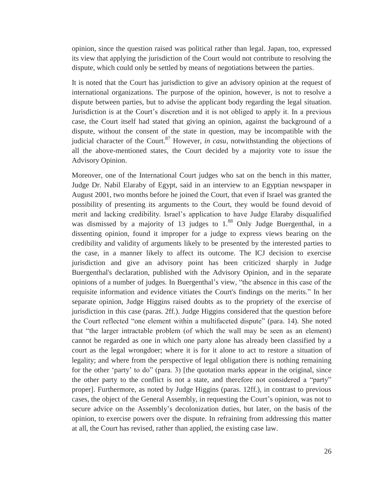opinion, since the question raised was political rather than legal. Japan, too, expressed its view that applying the jurisdiction of the Court would not contribute to resolving the dispute, which could only be settled by means of negotiations between the parties.

It is noted that the Court has jurisdiction to give an advisory opinion at the request of international organizations. The purpose of the opinion, however, is not to resolve a dispute between parties, but to advise the applicant body regarding the legal situation. Jurisdiction is at the Court's discretion and it is not obliged to apply it. In a previous case, the Court itself had stated that giving an opinion, against the background of a dispute, without the consent of the state in question, may be incompatible with the judicial character of the Court.<sup>87</sup> However, *in casu*, notwithstanding the objections of all the above-mentioned states, the Court decided by a majority vote to issue the Advisory Opinion.

Moreover, one of the International Court judges who sat on the bench in this matter, Judge Dr. Nabil Elaraby of Egypt, said in an interview to an Egyptian newspaper in August 2001, two months before he joined the Court, that even if Israel was granted the possibility of presenting its arguments to the Court, they would be found devoid of merit and lacking credibility. Israel's application to have Judge Elaraby disqualified was dismissed by a majority of 13 judges to  $1.^88$  Only Judge Buergenthal, in a dissenting opinion, found it improper for a judge to express views bearing on the credibility and validity of arguments likely to be presented by the interested parties to the case, in a manner likely to affect its outcome. The ICJ decision to exercise jurisdiction and give an advisory point has been criticized sharply in Judge Buergenthal's declaration, published with the Advisory Opinion, and in the separate opinions of a number of judges. In Buergenthal's view, "the absence in this case of the requisite information and evidence vitiates the Court's findings on the merits." In her separate opinion, Judge Higgins raised doubts as to the propriety of the exercise of jurisdiction in this case (paras. 2ff.). Judge Higgins considered that the question before the Court reflected "one element within a multifaceted dispute" (para. 14). She noted that "the larger intractable problem (of which the wall may be seen as an element) cannot be regarded as one in which one party alone has already been classified by a court as the legal wrongdoer; where it is for it alone to act to restore a situation of legality; and where from the perspective of legal obligation there is nothing remaining for the other 'party' to do" (para. 3) [the quotation marks appear in the original, since the other party to the conflict is not a state, and therefore not considered a "party" proper]. Furthermore, as noted by Judge Higgins (paras. 12ff.), in contrast to previous cases, the object of the General Assembly, in requesting the Court's opinion, was not to secure advice on the Assembly's decolonization duties, but later, on the basis of the opinion, to exercise powers over the dispute. In refraining from addressing this matter at all, the Court has revised, rather than applied, the existing case law.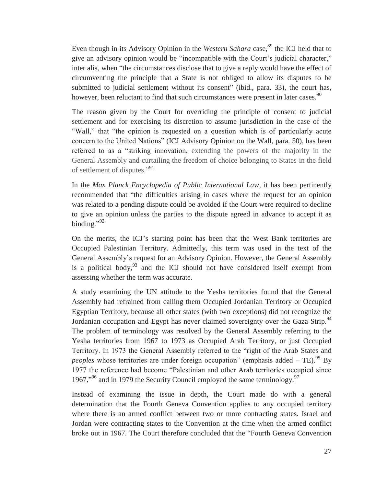Even though in its Advisory Opinion in the *Western Sahara* case,<sup>89</sup> the ICJ held that to give an advisory opinion would be "incompatible with the Court's judicial character," inter alia, when "the circumstances disclose that to give a reply would have the effect of circumventing the principle that a State is not obliged to allow its disputes to be submitted to judicial settlement without its consent" (ibid., para. 33), the court has, however, been reluctant to find that such circumstances were present in later cases.<sup>90</sup>

The reason given by the Court for overriding the principle of consent to judicial settlement and for exercising its discretion to assume jurisdiction in the case of the "Wall," that "the opinion is requested on a question which is of particularly acute concern to the United Nations" (ICJ Advisory Opinion on the Wall, para. 50), has been referred to as a "striking innovation, extending the powers of the majority in the General Assembly and curtailing the freedom of choice belonging to States in the field of settlement of disputes."91

In the *Max Planck Encyclopedia of Public International Law*, it has been pertinently recommended that "the difficulties arising in cases where the request for an opinion was related to a pending dispute could be avoided if the Court were required to decline to give an opinion unless the parties to the dispute agreed in advance to accept it as binding." $^{92}$ 

On the merits, the ICJ's starting point has been that the West Bank territories are Occupied Palestinian Territory. Admittedly, this term was used in the text of the General Assembly's request for an Advisory Opinion. However, the General Assembly is a political body,  $93$  and the ICJ should not have considered itself exempt from assessing whether the term was accurate.

A study examining the UN attitude to the Yesha territories found that the General Assembly had refrained from calling them Occupied Jordanian Territory or Occupied Egyptian Territory, because all other states (with two exceptions) did not recognize the Jordanian occupation and Egypt has never claimed sovereignty over the Gaza Strip.<sup>94</sup> The problem of terminology was resolved by the General Assembly referring to the Yesha territories from 1967 to 1973 as Occupied Arab Territory, or just Occupied Territory. In 1973 the General Assembly referred to the "right of the Arab States and *peoples* whose territories are under foreign occupation" (emphasis added  $-$  TE).<sup>95</sup> By 1977 the reference had become "Palestinian and other Arab territories occupied since 1967, $\frac{196}{7}$  and in 1979 the Security Council employed the same terminology.<sup>97</sup>

Instead of examining the issue in depth, the Court made do with a general determination that the Fourth Geneva Convention applies to any occupied territory where there is an armed conflict between two or more contracting states. Israel and Jordan were contracting states to the Convention at the time when the armed conflict broke out in 1967. The Court therefore concluded that the "Fourth Geneva Convention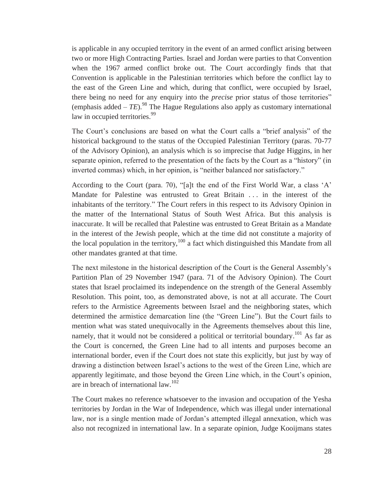is applicable in any occupied territory in the event of an armed conflict arising between two or more High Contracting Parties. Israel and Jordan were parties to that Convention when the 1967 armed conflict broke out. The Court accordingly finds that that Convention is applicable in the Palestinian territories which before the conflict lay to the east of the Green Line and which, during that conflict, were occupied by Israel, there being no need for any enquiry into the *precise* prior status of those territories" (emphasis added  $- TE$ ).<sup>98</sup> The Hague Regulations also apply as customary international law in occupied territories.<sup>99</sup>

The Court's conclusions are based on what the Court calls a "brief analysis" of the historical background to the status of the Occupied Palestinian Territory (paras. 70-77 of the Advisory Opinion), an analysis which is so imprecise that Judge Higgins, in her separate opinion, referred to the presentation of the facts by the Court as a "history" (in inverted commas) which, in her opinion, is "neither balanced nor satisfactory."

According to the Court (para. 70), "[a]t the end of the First World War, a class 'A' Mandate for Palestine was entrusted to Great Britain . . . in the interest of the inhabitants of the territory." The Court refers in this respect to its Advisory Opinion in the matter of the International Status of South West Africa. But this analysis is inaccurate. It will be recalled that Palestine was entrusted to Great Britain as a Mandate in the interest of the Jewish people, which at the time did not constitute a majority of the local population in the territory,  $100$  a fact which distinguished this Mandate from all other mandates granted at that time.

The next milestone in the historical description of the Court is the General Assembly's Partition Plan of 29 November 1947 (para. 71 of the Advisory Opinion). The Court states that Israel proclaimed its independence on the strength of the General Assembly Resolution. This point, too, as demonstrated above, is not at all accurate. The Court refers to the Armistice Agreements between Israel and the neighboring states, which determined the armistice demarcation line (the "Green Line"). But the Court fails to mention what was stated unequivocally in the Agreements themselves about this line, namely, that it would not be considered a political or territorial boundary.<sup>101</sup> As far as the Court is concerned, the Green Line had to all intents and purposes become an international border, even if the Court does not state this explicitly, but just by way of drawing a distinction between Israel's actions to the west of the Green Line, which are apparently legitimate, and those beyond the Green Line which, in the Court's opinion, are in breach of international law.<sup>102</sup>

The Court makes no reference whatsoever to the invasion and occupation of the Yesha territories by Jordan in the War of Independence, which was illegal under international law, nor is a single mention made of Jordan's attempted illegal annexation, which was also not recognized in international law. In a separate opinion, Judge Kooijmans states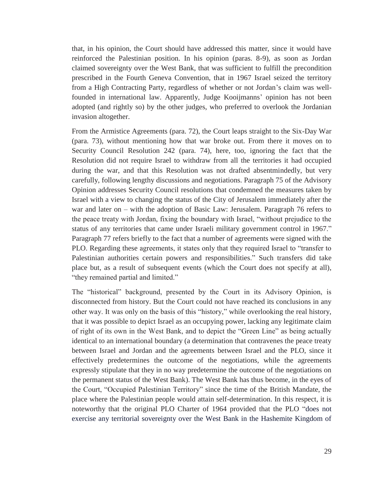that, in his opinion, the Court should have addressed this matter, since it would have reinforced the Palestinian position. In his opinion (paras. 8-9), as soon as Jordan claimed sovereignty over the West Bank, that was sufficient to fulfill the precondition prescribed in the Fourth Geneva Convention, that in 1967 Israel seized the territory from a High Contracting Party, regardless of whether or not Jordan's claim was wellfounded in international law. Apparently, Judge Kooijmanns' opinion has not been adopted (and rightly so) by the other judges, who preferred to overlook the Jordanian invasion altogether.

From the Armistice Agreements (para. 72), the Court leaps straight to the Six-Day War (para. 73), without mentioning how that war broke out. From there it moves on to Security Council Resolution 242 (para. 74), here, too, ignoring the fact that the Resolution did not require Israel to withdraw from all the territories it had occupied during the war, and that this Resolution was not drafted absentmindedly, but very carefully, following lengthy discussions and negotiations. Paragraph 75 of the Advisory Opinion addresses Security Council resolutions that condemned the measures taken by Israel with a view to changing the status of the City of Jerusalem immediately after the war and later on – with the adoption of Basic Law: Jerusalem. Paragraph 76 refers to the peace treaty with Jordan, fixing the boundary with Israel, "without prejudice to the status of any territories that came under Israeli military government control in 1967." Paragraph 77 refers briefly to the fact that a number of agreements were signed with the PLO. Regarding these agreements, it states only that they required Israel to "transfer to Palestinian authorities certain powers and responsibilities." Such transfers did take place but, as a result of subsequent events (which the Court does not specify at all), "they remained partial and limited."

The "historical" background, presented by the Court in its Advisory Opinion, is disconnected from history. But the Court could not have reached its conclusions in any other way. It was only on the basis of this "history," while overlooking the real history, that it was possible to depict Israel as an occupying power, lacking any legitimate claim of right of its own in the West Bank, and to depict the "Green Line" as being actually identical to an international boundary (a determination that contravenes the peace treaty between Israel and Jordan and the agreements between Israel and the PLO, since it effectively predetermines the outcome of the negotiations, while the agreements expressly stipulate that they in no way predetermine the outcome of the negotiations on the permanent status of the West Bank). The West Bank has thus become, in the eyes of the Court, "Occupied Palestinian Territory" since the time of the British Mandate, the place where the Palestinian people would attain self-determination. In this respect, it is noteworthy that the original PLO Charter of 1964 provided that the PLO "does not exercise any territorial sovereignty over the West Bank in the Hashemite Kingdom of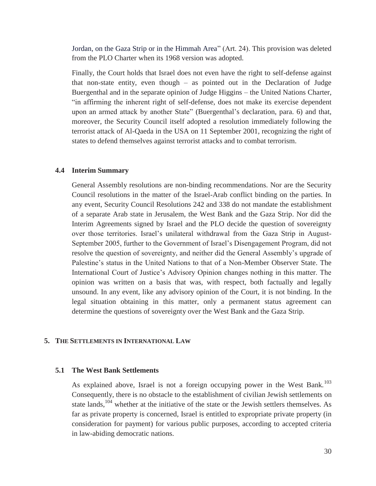Jordan, on the Gaza Strip or in the Himmah Area" (Art. 24). This provision was deleted from the PLO Charter when its 1968 version was adopted.

Finally, the Court holds that Israel does not even have the right to self-defense against that non-state entity, even though – as pointed out in the Declaration of Judge Buergenthal and in the separate opinion of Judge Higgins – the United Nations Charter, "in affirming the inherent right of self-defense, does not make its exercise dependent upon an armed attack by another State" (Buergenthal's declaration, para. 6) and that, moreover, the Security Council itself adopted a resolution immediately following the terrorist attack of Al-Qaeda in the USA on 11 September 2001, recognizing the right of states to defend themselves against terrorist attacks and to combat terrorism.

#### **4.4 Interim Summary**

General Assembly resolutions are non-binding recommendations. Nor are the Security Council resolutions in the matter of the Israel-Arab conflict binding on the parties. In any event, Security Council Resolutions 242 and 338 do not mandate the establishment of a separate Arab state in Jerusalem, the West Bank and the Gaza Strip. Nor did the Interim Agreements signed by Israel and the PLO decide the question of sovereignty over those territories. Israel's unilateral withdrawal from the Gaza Strip in August-September 2005, further to the Government of Israel's Disengagement Program, did not resolve the question of sovereignty, and neither did the General Assembly's upgrade of Palestine's status in the United Nations to that of a Non-Member Observer State. The International Court of Justice's Advisory Opinion changes nothing in this matter. The opinion was written on a basis that was, with respect, both factually and legally unsound. In any event, like any advisory opinion of the Court, it is not binding. In the legal situation obtaining in this matter, only a permanent status agreement can determine the questions of sovereignty over the West Bank and the Gaza Strip.

#### **5. THE SETTLEMENTS IN INTERNATIONAL LAW**

#### **5.1 The West Bank Settlements**

As explained above, Israel is not a foreign occupying power in the West Bank.<sup>103</sup> Consequently, there is no obstacle to the establishment of civilian Jewish settlements on state lands,<sup>104</sup> whether at the initiative of the state or the Jewish settlers themselves. As far as private property is concerned, Israel is entitled to expropriate private property (in consideration for payment) for various public purposes, according to accepted criteria in law-abiding democratic nations.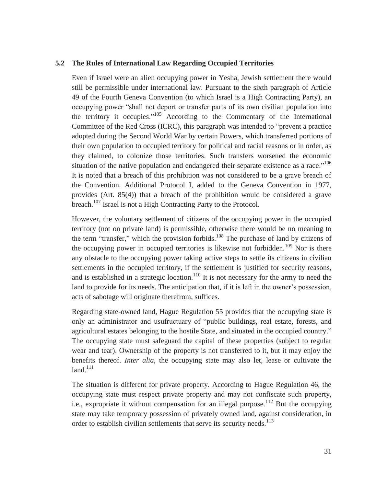#### **5.2 The Rules of International Law Regarding Occupied Territories**

Even if Israel were an alien occupying power in Yesha, Jewish settlement there would still be permissible under international law. Pursuant to the sixth paragraph of Article 49 of the Fourth Geneva Convention (to which Israel is a High Contracting Party), an occupying power "shall not deport or transfer parts of its own civilian population into the territory it occupies."105 According to the Commentary of the International Committee of the Red Cross (ICRC), this paragraph was intended to "prevent a practice adopted during the Second World War by certain Powers, which transferred portions of their own population to occupied territory for political and racial reasons or in order, as they claimed, to colonize those territories. Such transfers worsened the economic situation of the native population and endangered their separate existence as a race."<sup>106</sup> It is noted that a breach of this prohibition was not considered to be a grave breach of the Convention. Additional Protocol I, added to the Geneva Convention in 1977, provides (Art. 85(4)) that a breach of the prohibition would be considered a grave breach.<sup>107</sup> Israel is not a High Contracting Party to the Protocol.

However, the voluntary settlement of citizens of the occupying power in the occupied territory (not on private land) is permissible, otherwise there would be no meaning to the term "transfer," which the provision forbids.<sup>108</sup> The purchase of land by citizens of the occupying power in occupied territories is likewise not forbidden.<sup>109</sup> Nor is there any obstacle to the occupying power taking active steps to settle its citizens in civilian settlements in the occupied territory, if the settlement is justified for security reasons, and is established in a strategic location.<sup>110</sup> It is not necessary for the army to need the land to provide for its needs. The anticipation that, if it is left in the owner's possession, acts of sabotage will originate therefrom, suffices.

Regarding state-owned land, Hague Regulation 55 provides that the occupying state is only an administrator and usufructuary of "public buildings, real estate, forests, and agricultural estates belonging to the hostile State, and situated in the occupied country." The occupying state must safeguard the capital of these properties (subject to regular wear and tear). Ownership of the property is not transferred to it, but it may enjoy the benefits thereof. *Inter alia*, the occupying state may also let, lease or cultivate the  $land.<sup>111</sup>$ 

The situation is different for private property. According to Hague Regulation 46, the occupying state must respect private property and may not confiscate such property, i.e., expropriate it without compensation for an illegal purpose.<sup>112</sup> But the occupying state may take temporary possession of privately owned land, against consideration, in order to establish civilian settlements that serve its security needs.<sup>113</sup>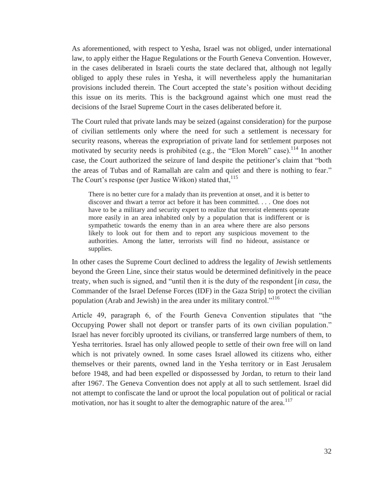As aforementioned, with respect to Yesha, Israel was not obliged, under international law, to apply either the Hague Regulations or the Fourth Geneva Convention. However, in the cases deliberated in Israeli courts the state declared that, although not legally obliged to apply these rules in Yesha, it will nevertheless apply the humanitarian provisions included therein. The Court accepted the state's position without deciding this issue on its merits. This is the background against which one must read the decisions of the Israel Supreme Court in the cases deliberated before it.

The Court ruled that private lands may be seized (against consideration) for the purpose of civilian settlements only where the need for such a settlement is necessary for security reasons, whereas the expropriation of private land for settlement purposes not motivated by security needs is prohibited (e.g., the "Elon Moreh" case).<sup>114</sup> In another case, the Court authorized the seizure of land despite the petitioner's claim that "both the areas of Tubas and of Ramallah are calm and quiet and there is nothing to fear." The Court's response (per Justice Witkon) stated that,<sup>115</sup>

There is no better cure for a malady than its prevention at onset, and it is better to discover and thwart a terror act before it has been committed. . . . One does not have to be a military and security expert to realize that terrorist elements operate more easily in an area inhabited only by a population that is indifferent or is sympathetic towards the enemy than in an area where there are also persons likely to look out for them and to report any suspicious movement to the authorities. Among the latter, terrorists will find no hideout, assistance or supplies.

In other cases the Supreme Court declined to address the legality of Jewish settlements beyond the Green Line, since their status would be determined definitively in the peace treaty, when such is signed, and "until then it is the duty of the respondent [*in casu*, the Commander of the Israel Defense Forces (IDF) in the Gaza Strip] to protect the civilian population (Arab and Jewish) in the area under its military control."<sup>116</sup>

Article 49, paragraph 6, of the Fourth Geneva Convention stipulates that "the Occupying Power shall not deport or transfer parts of its own civilian population." Israel has never forcibly uprooted its civilians, or transferred large numbers of them, to Yesha territories. Israel has only allowed people to settle of their own free will on land which is not privately owned. In some cases Israel allowed its citizens who, either themselves or their parents, owned land in the Yesha territory or in East Jerusalem before 1948, and had been expelled or dispossessed by Jordan, to return to their land after 1967. The Geneva Convention does not apply at all to such settlement. Israel did not attempt to confiscate the land or uproot the local population out of political or racial motivation, nor has it sought to alter the demographic nature of the area.<sup>117</sup>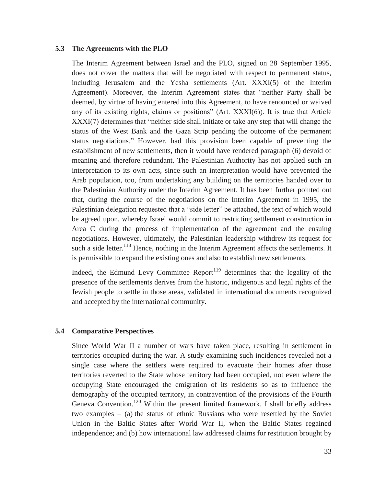#### **5.3 The Agreements with the PLO**

The Interim Agreement between Israel and the PLO, signed on 28 September 1995, does not cover the matters that will be negotiated with respect to permanent status, including Jerusalem and the Yesha settlements (Art. XXXI(5) of the Interim Agreement). Moreover, the Interim Agreement states that "neither Party shall be deemed, by virtue of having entered into this Agreement, to have renounced or waived any of its existing rights, claims or positions" (Art. XXXI(6)). It is true that Article XXXI(7) determines that "neither side shall initiate or take any step that will change the status of the West Bank and the Gaza Strip pending the outcome of the permanent status negotiations." However, had this provision been capable of preventing the establishment of new settlements, then it would have rendered paragraph (6) devoid of meaning and therefore redundant. The Palestinian Authority has not applied such an interpretation to its own acts, since such an interpretation would have prevented the Arab population, too, from undertaking any building on the territories handed over to the Palestinian Authority under the Interim Agreement. It has been further pointed out that, during the course of the negotiations on the Interim Agreement in 1995, the Palestinian delegation requested that a "side letter" be attached, the text of which would be agreed upon, whereby Israel would commit to restricting settlement construction in Area C during the process of implementation of the agreement and the ensuing negotiations. However, ultimately, the Palestinian leadership withdrew its request for such a side letter.<sup>118</sup> Hence, nothing in the Interim Agreement affects the settlements. It is permissible to expand the existing ones and also to establish new settlements.

Indeed, the Edmund Levy Committee Report<sup>119</sup> determines that the legality of the presence of the settlements derives from the historic, indigenous and legal rights of the Jewish people to settle in those areas, validated in international documents recognized and accepted by the international community.

#### **5.4 Comparative Perspectives**

Since World War II a number of wars have taken place, resulting in settlement in territories occupied during the war. A study examining such incidences revealed not a single case where the settlers were required to evacuate their homes after those territories reverted to the State whose territory had been occupied, not even where the occupying State encouraged the emigration of its residents so as to influence the demography of the occupied territory, in contravention of the provisions of the Fourth Geneva Convention.<sup>120</sup> Within the present limited framework, I shall briefly address two examples – (a) the status of ethnic Russians who were resettled by the Soviet Union in the Baltic States after World War II, when the Baltic States regained independence; and (b) how international law addressed claims for restitution brought by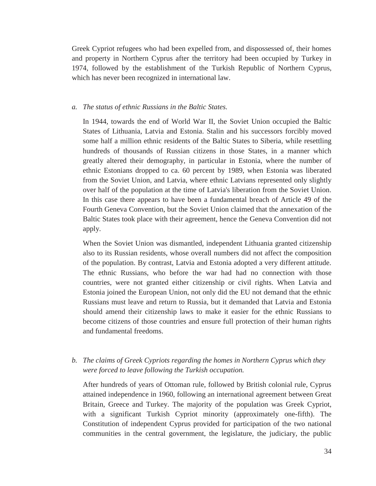Greek Cypriot refugees who had been expelled from, and dispossessed of, their homes and property in Northern Cyprus after the territory had been occupied by Turkey in 1974, followed by the establishment of the Turkish Republic of Northern Cyprus, which has never been recognized in international law.

#### *a. The status of ethnic Russians in the Baltic States.*

In 1944, towards the end of World War II, the Soviet Union occupied the Baltic States of Lithuania, Latvia and Estonia. Stalin and his successors forcibly moved some half a million ethnic residents of the Baltic States to Siberia, while resettling hundreds of thousands of Russian citizens in those States, in a manner which greatly altered their demography, in particular in Estonia, where the number of ethnic Estonians dropped to ca. 60 percent by 1989, when Estonia was liberated from the Soviet Union, and Latvia, where ethnic Latvians represented only slightly over half of the population at the time of Latvia's liberation from the Soviet Union. In this case there appears to have been a fundamental breach of Article 49 of the Fourth Geneva Convention, but the Soviet Union claimed that the annexation of the Baltic States took place with their agreement, hence the Geneva Convention did not apply.

When the Soviet Union was dismantled, independent Lithuania granted citizenship also to its Russian residents, whose overall numbers did not affect the composition of the population. By contrast, Latvia and Estonia adopted a very different attitude. The ethnic Russians, who before the war had had no connection with those countries, were not granted either citizenship or civil rights. When Latvia and Estonia joined the European Union, not only did the EU not demand that the ethnic Russians must leave and return to Russia, but it demanded that Latvia and Estonia should amend their citizenship laws to make it easier for the ethnic Russians to become citizens of those countries and ensure full protection of their human rights and fundamental freedoms.

#### *b. The claims of Greek Cypriots regarding the homes in Northern Cyprus which they were forced to leave following the Turkish occupation.*

After hundreds of years of Ottoman rule, followed by British colonial rule, Cyprus attained independence in 1960, following an international agreement between Great Britain, Greece and Turkey. The majority of the population was Greek Cypriot, with a significant Turkish Cypriot minority (approximately one-fifth). The Constitution of independent Cyprus provided for participation of the two national communities in the central government, the legislature, the judiciary, the public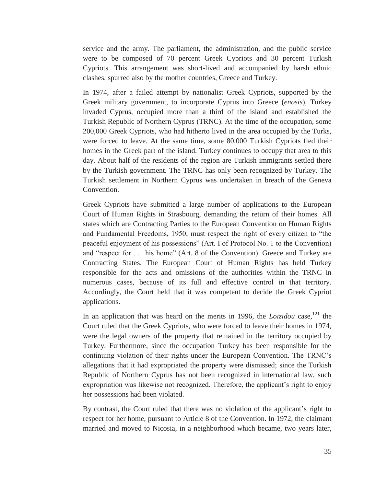service and the army. The parliament, the administration, and the public service were to be composed of 70 percent Greek Cypriots and 30 percent Turkish Cypriots. This arrangement was short-lived and accompanied by harsh ethnic clashes, spurred also by the mother countries, Greece and Turkey.

In 1974, after a failed attempt by nationalist Greek Cypriots, supported by the Greek military government, to incorporate Cyprus into Greece (*enosis*), Turkey invaded Cyprus, occupied more than a third of the island and established the Turkish Republic of Northern Cyprus (TRNC). At the time of the occupation, some 200,000 Greek Cypriots, who had hitherto lived in the area occupied by the Turks, were forced to leave. At the same time, some 80,000 Turkish Cypriots fled their homes in the Greek part of the island. Turkey continues to occupy that area to this day. About half of the residents of the region are Turkish immigrants settled there by the Turkish government. The TRNC has only been recognized by Turkey. The Turkish settlement in Northern Cyprus was undertaken in breach of the Geneva Convention.

Greek Cypriots have submitted a large number of applications to the European Court of Human Rights in Strasbourg, demanding the return of their homes. All states which are Contracting Parties to the European Convention on Human Rights and Fundamental Freedoms, 1950, must respect the right of every citizen to "the peaceful enjoyment of his possessions" (Art. I of Protocol No. 1 to the Convention) and "respect for . . . his home" (Art. 8 of the Convention). Greece and Turkey are Contracting States. The European Court of Human Rights has held Turkey responsible for the acts and omissions of the authorities within the TRNC in numerous cases, because of its full and effective control in that territory. Accordingly, the Court held that it was competent to decide the Greek Cypriot applications.

In an application that was heard on the merits in 1996, the *Loizidou* case,<sup>121</sup> the Court ruled that the Greek Cypriots, who were forced to leave their homes in 1974, were the legal owners of the property that remained in the territory occupied by Turkey. Furthermore, since the occupation Turkey has been responsible for the continuing violation of their rights under the European Convention. The TRNC's allegations that it had expropriated the property were dismissed; since the Turkish Republic of Northern Cyprus has not been recognized in international law, such expropriation was likewise not recognized. Therefore, the applicant's right to enjoy her possessions had been violated.

By contrast, the Court ruled that there was no violation of the applicant's right to respect for her home, pursuant to Article 8 of the Convention. In 1972, the claimant married and moved to Nicosia, in a neighborhood which became, two years later,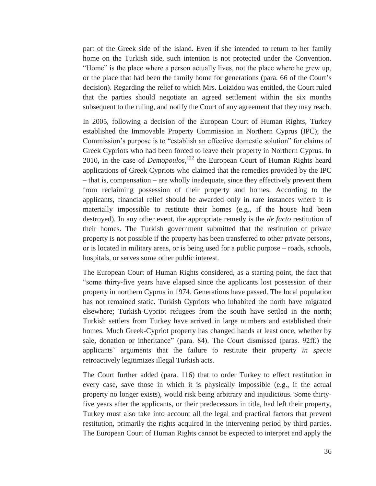part of the Greek side of the island. Even if she intended to return to her family home on the Turkish side, such intention is not protected under the Convention. "Home" is the place where a person actually lives, not the place where he grew up, or the place that had been the family home for generations (para. 66 of the Court's decision). Regarding the relief to which Mrs. Loizidou was entitled, the Court ruled that the parties should negotiate an agreed settlement within the six months subsequent to the ruling, and notify the Court of any agreement that they may reach.

In 2005, following a decision of the European Court of Human Rights, Turkey established the Immovable Property Commission in Northern Cyprus (IPC); the Commission's purpose is to "establish an effective domestic solution" for claims of Greek Cypriots who had been forced to leave their property in Northern Cyprus. In 2010, in the case of *Demopoulos*, 122 the European Court of Human Rights heard applications of Greek Cypriots who claimed that the remedies provided by the IPC – that is, compensation – are wholly inadequate, since they effectively prevent them from reclaiming possession of their property and homes. According to the applicants, financial relief should be awarded only in rare instances where it is materially impossible to restitute their homes (e.g., if the house had been destroyed). In any other event, the appropriate remedy is the *de facto* restitution of their homes. The Turkish government submitted that the restitution of private property is not possible if the property has been transferred to other private persons, or is located in military areas, or is being used for a public purpose – roads, schools, hospitals, or serves some other public interest.

The European Court of Human Rights considered, as a starting point, the fact that "some thirty-five years have elapsed since the applicants lost possession of their property in northern Cyprus in 1974. Generations have passed. The local population has not remained static. Turkish Cypriots who inhabited the north have migrated elsewhere; Turkish-Cypriot refugees from the south have settled in the north; Turkish settlers from Turkey have arrived in large numbers and established their homes. Much Greek-Cypriot property has changed hands at least once, whether by sale, donation or inheritance" (para. 84). The Court dismissed (paras. 92ff.) the applicants' arguments that the failure to restitute their property *in specie* retroactively legitimizes illegal Turkish acts.

The Court further added (para. 116) that to order Turkey to effect restitution in every case, save those in which it is physically impossible (e.g., if the actual property no longer exists), would risk being arbitrary and injudicious. Some thirtyfive years after the applicants, or their predecessors in title, had left their property, Turkey must also take into account all the legal and practical factors that prevent restitution, primarily the rights acquired in the intervening period by third parties. The European Court of Human Rights cannot be expected to interpret and apply the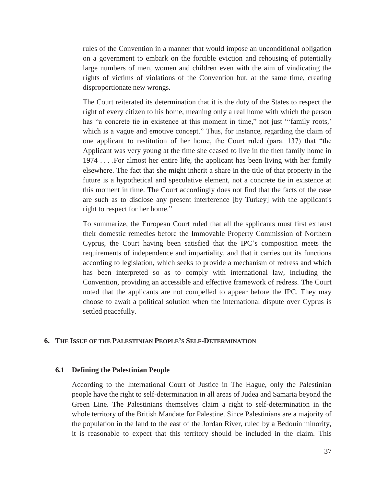rules of the Convention in a manner that would impose an unconditional obligation on a government to embark on the forcible eviction and rehousing of potentially large numbers of men, women and children even with the aim of vindicating the rights of victims of violations of the Convention but, at the same time, creating disproportionate new wrongs.

The Court reiterated its determination that it is the duty of the States to respect the right of every citizen to his home, meaning only a real home with which the person has "a concrete tie in existence at this moment in time," not just "'family roots,' which is a vague and emotive concept." Thus, for instance, regarding the claim of one applicant to restitution of her home, the Court ruled (para. 137) that "the Applicant was very young at the time she ceased to live in the then family home in 1974 . . . .For almost her entire life, the applicant has been living with her family elsewhere. The fact that she might inherit a share in the title of that property in the future is a hypothetical and speculative element, not a concrete tie in existence at this moment in time. The Court accordingly does not find that the facts of the case are such as to disclose any present interference [by Turkey] with the applicant's right to respect for her home."

To summarize, the European Court ruled that all the spplicants must first exhaust their domestic remedies before the Immovable Property Commission of Northern Cyprus, the Court having been satisfied that the IPC's composition meets the requirements of independence and impartiality, and that it carries out its functions according to legislation, which seeks to provide a mechanism of redress and which has been interpreted so as to comply with international law, including the Convention, providing an accessible and effective framework of redress. The Court noted that the applicants are not compelled to appear before the IPC. They may choose to await a political solution when the international dispute over Cyprus is settled peacefully.

#### **6. THE ISSUE OF THE PALESTINIAN PEOPLE'S SELF-DETERMINATION**

#### **6.1 Defining the Palestinian People**

According to the International Court of Justice in The Hague, only the Palestinian people have the right to self-determination in all areas of Judea and Samaria beyond the Green Line. The Palestinians themselves claim a right to self-determination in the whole territory of the British Mandate for Palestine. Since Palestinians are a majority of the population in the land to the east of the Jordan River, ruled by a Bedouin minority, it is reasonable to expect that this territory should be included in the claim. This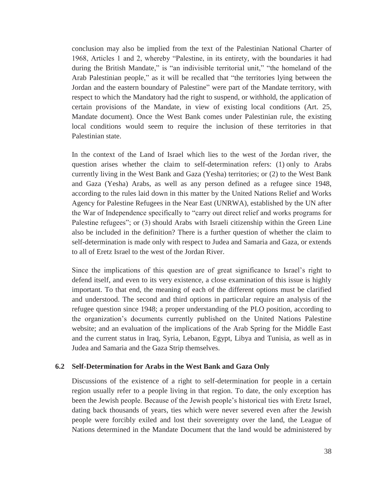conclusion may also be implied from the text of the Palestinian National Charter of 1968, Articles 1 and 2, whereby "Palestine, in its entirety, with the boundaries it had during the British Mandate," is "an indivisible territorial unit," "the homeland of the Arab Palestinian people," as it will be recalled that "the territories lying between the Jordan and the eastern boundary of Palestine" were part of the Mandate territory, with respect to which the Mandatory had the right to suspend, or withhold, the application of certain provisions of the Mandate, in view of existing local conditions (Art. 25, Mandate document). Once the West Bank comes under Palestinian rule, the existing local conditions would seem to require the inclusion of these territories in that Palestinian state.

In the context of the Land of Israel which lies to the west of the Jordan river, the question arises whether the claim to self-determination refers: (1) only to Arabs currently living in the West Bank and Gaza (Yesha) territories; or (2) to the West Bank and Gaza (Yesha) Arabs, as well as any person defined as a refugee since 1948, according to the rules laid down in this matter by the United Nations Relief and Works Agency for Palestine Refugees in the Near East (UNRWA), established by the UN after the War of Independence specifically to "carry out direct relief and works programs for Palestine refugees"; or (3) should Arabs with Israeli citizenship within the Green Line also be included in the definition? There is a further question of whether the claim to self-determination is made only with respect to Judea and Samaria and Gaza, or extends to all of Eretz Israel to the west of the Jordan River.

Since the implications of this question are of great significance to Israel's right to defend itself, and even to its very existence, a close examination of this issue is highly important. To that end, the meaning of each of the different options must be clarified and understood. The second and third options in particular require an analysis of the refugee question since 1948; a proper understanding of the PLO position, according to the organization's documents currently published on the United Nations Palestine website; and an evaluation of the implications of the Arab Spring for the Middle East and the current status in Iraq, Syria, Lebanon, Egypt, Libya and Tunisia, as well as in Judea and Samaria and the Gaza Strip themselves.

#### **6.2 Self-Determination for Arabs in the West Bank and Gaza Only**

Discussions of the existence of a right to self-determination for people in a certain region usually refer to a people living in that region. To date, the only exception has been the Jewish people. Because of the Jewish people's historical ties with Eretz Israel, dating back thousands of years, ties which were never severed even after the Jewish people were forcibly exiled and lost their sovereignty over the land, the League of Nations determined in the Mandate Document that the land would be administered by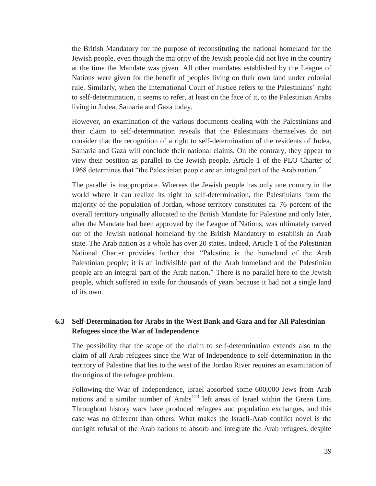the British Mandatory for the purpose of reconstituting the national homeland for the Jewish people, even though the majority of the Jewish people did not live in the country at the time the Mandate was given. All other mandates established by the League of Nations were given for the benefit of peoples living on their own land under colonial rule. Similarly, when the International Court of Justice refers to the Palestinians' right to self-determination, it seems to refer, at least on the face of it, to the Palestinian Arabs living in Judea, Samaria and Gaza today.

However, an examination of the various documents dealing with the Palestinians and their claim to self-determination reveals that the Palestinians themselves do not consider that the recognition of a right to self-determination of the residents of Judea, Samaria and Gaza will conclude their national claims. On the contrary, they appear to view their position as parallel to the Jewish people. Article 1 of the PLO Charter of 1968 determines that "the Palestinian people are an integral part of the Arab nation."

The parallel is inappropriate. Whereas the Jewish people has only one country in the world where it can realize its right to self-determination, the Palestinians form the majority of the population of Jordan, whose territory constitutes ca. 76 percent of the overall territory originally allocated to the British Mandate for Palestine and only later, after the Mandate had been approved by the League of Nations, was ultimately carved out of the Jewish national homeland by the British Mandatory to establish an Arab state. The Arab nation as a whole has over 20 states. Indeed, Article 1 of the Palestinian National Charter provides further that "Palestine is the homeland of the Arab Palestinian people; it is an indivisible part of the Arab homeland and the Palestinian people are an integral part of the Arab nation." There is no parallel here to the Jewish people, which suffered in exile for thousands of years because it had not a single land of its own.

#### **6.3 Self-Determination for Arabs in the West Bank and Gaza and for All Palestinian Refugees since the War of Independence**

The possibility that the scope of the claim to self-determination extends also to the claim of all Arab refugees since the War of Independence to self-determination in the territory of Palestine that lies to the west of the Jordan River requires an examination of the origins of the refugee problem.

Following the War of Independence, Israel absorbed some 600,000 Jews from Arab nations and a similar number of Arabs<sup>123</sup> left areas of Israel within the Green Line. Throughout history wars have produced refugees and population exchanges, and this case was no different than others. What makes the Israeli-Arab conflict novel is the outright refusal of the Arab nations to absorb and integrate the Arab refugees, despite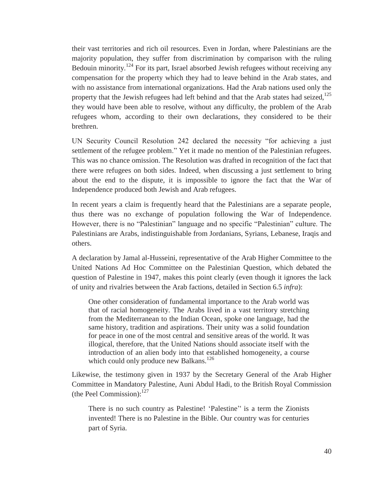their vast territories and rich oil resources. Even in Jordan, where Palestinians are the majority population, they suffer from discrimination by comparison with the ruling Bedouin minority.<sup>124</sup> For its part, Israel absorbed Jewish refugees without receiving any compensation for the property which they had to leave behind in the Arab states, and with no assistance from international organizations. Had the Arab nations used only the property that the Jewish refugees had left behind and that the Arab states had seized.<sup>125</sup> they would have been able to resolve, without any difficulty, the problem of the Arab refugees whom, according to their own declarations, they considered to be their brethren.

UN Security Council Resolution 242 declared the necessity "for achieving a just settlement of the refugee problem." Yet it made no mention of the Palestinian refugees. This was no chance omission. The Resolution was drafted in recognition of the fact that there were refugees on both sides. Indeed, when discussing a just settlement to bring about the end to the dispute, it is impossible to ignore the fact that the War of Independence produced both Jewish and Arab refugees.

In recent years a claim is frequently heard that the Palestinians are a separate people, thus there was no exchange of population following the War of Independence. However, there is no "Palestinian" language and no specific "Palestinian" culture. The Palestinians are Arabs, indistinguishable from Jordanians, Syrians, Lebanese, Iraqis and others.

A declaration by Jamal al-Husseini, representative of the Arab Higher Committee to the United Nations Ad Hoc Committee on the Palestinian Question, which debated the question of Palestine in 1947, makes this point clearly (even though it ignores the lack of unity and rivalries between the Arab factions, detailed in Section 6.5 *infra*):

One other consideration of fundamental importance to the Arab world was that of racial homogeneity. The Arabs lived in a vast territory stretching from the Mediterranean to the Indian Ocean, spoke one language, had the same history, tradition and aspirations. Their unity was a solid foundation for peace in one of the most central and sensitive areas of the world. It was illogical, therefore, that the United Nations should associate itself with the introduction of an alien body into that established homogeneity, a course which could only produce new Balkans.<sup>126</sup>

Likewise, the testimony given in 1937 by the Secretary General of the Arab Higher Committee in Mandatory Palestine, Auni Abdul Hadi, to the British Royal Commission (the Peel Commission): $^{127}$ 

There is no such country as Palestine! 'Palestine'' is a term the Zionists invented! There is no Palestine in the Bible. Our country was for centuries part of Syria.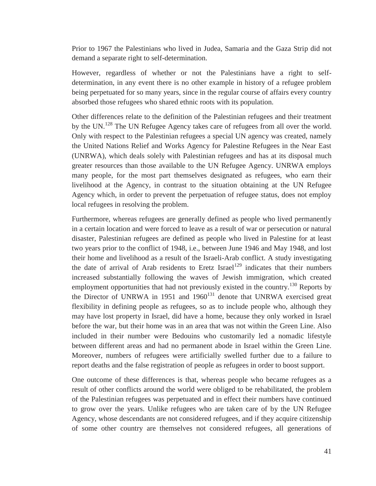Prior to 1967 the Palestinians who lived in Judea, Samaria and the Gaza Strip did not demand a separate right to self-determination.

However, regardless of whether or not the Palestinians have a right to selfdetermination, in any event there is no other example in history of a refugee problem being perpetuated for so many years, since in the regular course of affairs every country absorbed those refugees who shared ethnic roots with its population.

Other differences relate to the definition of the Palestinian refugees and their treatment by the UN.<sup>128</sup> The UN Refugee Agency takes care of refugees from all over the world. Only with respect to the Palestinian refugees a special UN agency was created, namely the United Nations Relief and Works Agency for Palestine Refugees in the Near East (UNRWA), which deals solely with Palestinian refugees and has at its disposal much greater resources than those available to the UN Refugee Agency. UNRWA employs many people, for the most part themselves designated as refugees, who earn their livelihood at the Agency, in contrast to the situation obtaining at the UN Refugee Agency which, in order to prevent the perpetuation of refugee status, does not employ local refugees in resolving the problem.

Furthermore, whereas refugees are generally defined as people who lived permanently in a certain location and were forced to leave as a result of war or persecution or natural disaster, Palestinian refugees are defined as people who lived in Palestine for at least two years prior to the conflict of 1948, i.e., between June 1946 and May 1948, and lost their home and livelihood as a result of the Israeli-Arab conflict. A study investigating the date of arrival of Arab residents to Eretz Israel<sup>129</sup> indicates that their numbers increased substantially following the waves of Jewish immigration, which created employment opportunities that had not previously existed in the country.<sup>130</sup> Reports by the Director of UNRWA in 1951 and  $1960^{131}$  denote that UNRWA exercised great flexibility in defining people as refugees, so as to include people who, although they may have lost property in Israel, did have a home, because they only worked in Israel before the war, but their home was in an area that was not within the Green Line. Also included in their number were Bedouins who customarily led a nomadic lifestyle between different areas and had no permanent abode in Israel within the Green Line. Moreover, numbers of refugees were artificially swelled further due to a failure to report deaths and the false registration of people as refugees in order to boost support.

One outcome of these differences is that, whereas people who became refugees as a result of other conflicts around the world were obliged to be rehabilitated, the problem of the Palestinian refugees was perpetuated and in effect their numbers have continued to grow over the years. Unlike refugees who are taken care of by the UN Refugee Agency, whose descendants are not considered refugees, and if they acquire citizenship of some other country are themselves not considered refugees, all generations of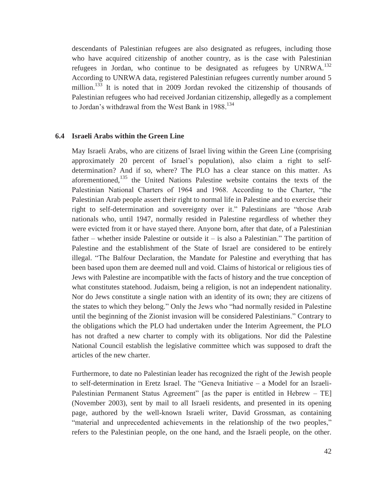descendants of Palestinian refugees are also designated as refugees, including those who have acquired citizenship of another country, as is the case with Palestinian refugees in Jordan, who continue to be designated as refugees by UNRWA.<sup>132</sup> According to UNRWA data, registered Palestinian refugees currently number around 5 million.<sup>133</sup> It is noted that in 2009 Jordan revoked the citizenship of thousands of Palestinian refugees who had received Jordanian citizenship, allegedly as a complement to Jordan's withdrawal from the West Bank in 1988. 134

#### **6.4 Israeli Arabs within the Green Line**

May Israeli Arabs, who are citizens of Israel living within the Green Line (comprising approximately 20 percent of Israel's population), also claim a right to selfdetermination? And if so, where? The PLO has a clear stance on this matter. As aforementioned,135 the United Nations Palestine website contains the texts of the Palestinian National Charters of 1964 and 1968. According to the Charter, "the Palestinian Arab people assert their right to normal life in Palestine and to exercise their right to self-determination and sovereignty over it." Palestinians are "those Arab nationals who, until 1947, normally resided in Palestine regardless of whether they were evicted from it or have stayed there. Anyone born, after that date, of a Palestinian father – whether inside Palestine or outside it – is also a Palestinian." The partition of Palestine and the establishment of the State of Israel are considered to be entirely illegal. "The Balfour Declaration, the Mandate for Palestine and everything that has been based upon them are deemed null and void. Claims of historical or religious ties of Jews with Palestine are incompatible with the facts of history and the true conception of what constitutes statehood. Judaism, being a religion, is not an independent nationality. Nor do Jews constitute a single nation with an identity of its own; they are citizens of the states to which they belong." Only the Jews who "had normally resided in Palestine until the beginning of the Zionist invasion will be considered Palestinians." Contrary to the obligations which the PLO had undertaken under the Interim Agreement, the PLO has not drafted a new charter to comply with its obligations. Nor did the Palestine National Council establish the legislative committee which was supposed to draft the articles of the new charter.

Furthermore, to date no Palestinian leader has recognized the right of the Jewish people to self-determination in Eretz Israel. The "Geneva Initiative – a Model for an Israeli-Palestinian Permanent Status Agreement" [as the paper is entitled in Hebrew – TE] (November 2003), sent by mail to all Israeli residents, and presented in its opening page, authored by the well-known Israeli writer, David Grossman, as containing "material and unprecedented achievements in the relationship of the two peoples," refers to the Palestinian people, on the one hand, and the Israeli people, on the other.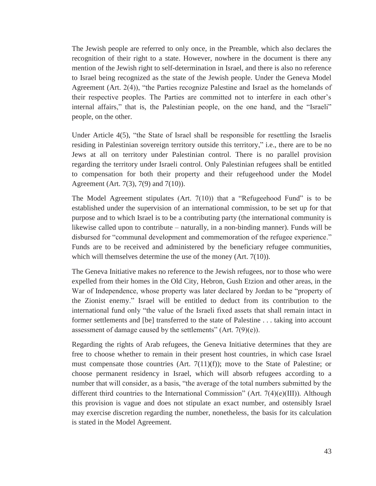The Jewish people are referred to only once, in the Preamble, which also declares the recognition of their right to a state. However, nowhere in the document is there any mention of the Jewish right to self-determination in Israel, and there is also no reference to Israel being recognized as the state of the Jewish people. Under the Geneva Model Agreement (Art. 2(4)), "the Parties recognize Palestine and Israel as the homelands of their respective peoples. The Parties are committed not to interfere in each other's internal affairs," that is, the Palestinian people, on the one hand, and the "Israeli" people, on the other.

Under Article 4(5), "the State of Israel shall be responsible for resettling the Israelis residing in Palestinian sovereign territory outside this territory," i.e., there are to be no Jews at all on territory under Palestinian control. There is no parallel provision regarding the territory under Israeli control. Only Palestinian refugees shall be entitled to compensation for both their property and their refugeehood under the Model Agreement (Art. 7(3), 7(9) and 7(10)).

The Model Agreement stipulates (Art.  $7(10)$ ) that a "Refugeehood Fund" is to be established under the supervision of an international commission, to be set up for that purpose and to which Israel is to be a contributing party (the international community is likewise called upon to contribute – naturally, in a non-binding manner). Funds will be disbursed for "communal development and commemoration of the refugee experience." Funds are to be received and administered by the beneficiary refugee communities, which will themselves determine the use of the money (Art. 7(10)).

The Geneva Initiative makes no reference to the Jewish refugees, nor to those who were expelled from their homes in the Old City, Hebron, Gush Etzion and other areas, in the War of Independence, whose property was later declared by Jordan to be "property of the Zionist enemy." Israel will be entitled to deduct from its contribution to the international fund only "the value of the Israeli fixed assets that shall remain intact in former settlements and [be] transferred to the state of Palestine . . . taking into account assessment of damage caused by the settlements" (Art.  $7(9)(e)$ ).

Regarding the rights of Arab refugees, the Geneva Initiative determines that they are free to choose whether to remain in their present host countries, in which case Israel must compensate those countries (Art. 7(11)(f)); move to the State of Palestine; or choose permanent residency in Israel, which will absorb refugees according to a number that will consider, as a basis, "the average of the total numbers submitted by the different third countries to the International Commission" (Art.  $7(4)(e)(III)$ ). Although this provision is vague and does not stipulate an exact number, and ostensibly Israel may exercise discretion regarding the number, nonetheless, the basis for its calculation is stated in the Model Agreement.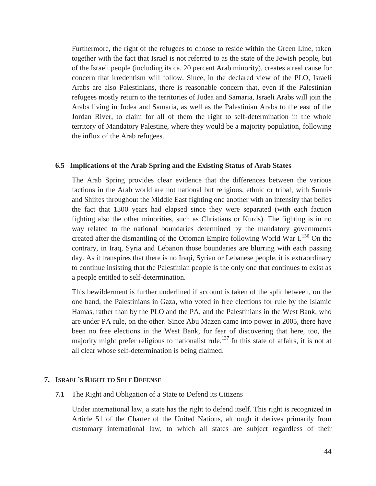Furthermore, the right of the refugees to choose to reside within the Green Line, taken together with the fact that Israel is not referred to as the state of the Jewish people, but of the Israeli people (including its ca. 20 percent Arab minority), creates a real cause for concern that irredentism will follow. Since, in the declared view of the PLO, Israeli Arabs are also Palestinians, there is reasonable concern that, even if the Palestinian refugees mostly return to the territories of Judea and Samaria, Israeli Arabs will join the Arabs living in Judea and Samaria, as well as the Palestinian Arabs to the east of the Jordan River, to claim for all of them the right to self-determination in the whole territory of Mandatory Palestine, where they would be a majority population, following the influx of the Arab refugees.

#### **6.5 Implications of the Arab Spring and the Existing Status of Arab States**

The Arab Spring provides clear evidence that the differences between the various factions in the Arab world are not national but religious, ethnic or tribal, with Sunnis and Shiites throughout the Middle East fighting one another with an intensity that belies the fact that 1300 years had elapsed since they were separated (with each faction fighting also the other minorities, such as Christians or Kurds). The fighting is in no way related to the national boundaries determined by the mandatory governments created after the dismantling of the Ottoman Empire following World War I.<sup>136</sup> On the contrary, in Iraq, Syria and Lebanon those boundaries are blurring with each passing day. As it transpires that there is no Iraqi, Syrian or Lebanese people, it is extraordinary to continue insisting that the Palestinian people is the only one that continues to exist as a people entitled to self-determination.

This bewilderment is further underlined if account is taken of the split between, on the one hand, the Palestinians in Gaza, who voted in free elections for rule by the Islamic Hamas, rather than by the PLO and the PA, and the Palestinians in the West Bank, who are under PA rule, on the other. Since Abu Mazen came into power in 2005, there have been no free elections in the West Bank, for fear of discovering that here, too, the majority might prefer religious to nationalist rule.<sup>137</sup> In this state of affairs, it is not at all clear whose self-determination is being claimed.

#### **7. ISRAEL'S RIGHT TO SELF DEFENSE**

**7.1** The Right and Obligation of a State to Defend its Citizens

Under international law, a state has the right to defend itself. This right is recognized in Article 51 of the Charter of the United Nations, although it derives primarily from customary international law, to which all states are subject regardless of their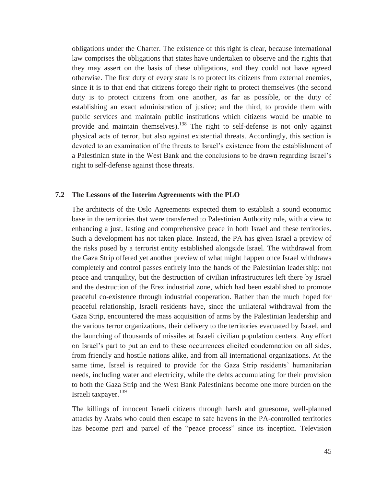obligations under the Charter. The existence of this right is clear, because international law comprises the obligations that states have undertaken to observe and the rights that they may assert on the basis of these obligations, and they could not have agreed otherwise. The first duty of every state is to protect its citizens from external enemies, since it is to that end that citizens forego their right to protect themselves (the second duty is to protect citizens from one another, as far as possible, or the duty of establishing an exact administration of justice; and the third, to provide them with public services and maintain public institutions which citizens would be unable to provide and maintain themselves).138 The right to self-defense is not only against physical acts of terror, but also against existential threats. Accordingly, this section is devoted to an examination of the threats to Israel's existence from the establishment of a Palestinian state in the West Bank and the conclusions to be drawn regarding Israel's right to self-defense against those threats.

#### **7.2 The Lessons of the Interim Agreements with the PLO**

The architects of the Oslo Agreements expected them to establish a sound economic base in the territories that were transferred to Palestinian Authority rule, with a view to enhancing a just, lasting and comprehensive peace in both Israel and these territories. Such a development has not taken place. Instead, the PA has given Israel a preview of the risks posed by a terrorist entity established alongside Israel. The withdrawal from the Gaza Strip offered yet another preview of what might happen once Israel withdraws completely and control passes entirely into the hands of the Palestinian leadership: not peace and tranquility, but the destruction of civilian infrastructures left there by Israel and the destruction of the Erez industrial zone, which had been established to promote peaceful co-existence through industrial cooperation. Rather than the much hoped for peaceful relationship, Israeli residents have, since the unilateral withdrawal from the Gaza Strip, encountered the mass acquisition of arms by the Palestinian leadership and the various terror organizations, their delivery to the territories evacuated by Israel, and the launching of thousands of missiles at Israeli civilian population centers. Any effort on Israel's part to put an end to these occurrences elicited condemnation on all sides, from friendly and hostile nations alike, and from all international organizations. At the same time, Israel is required to provide for the Gaza Strip residents' humanitarian needs, including water and electricity, while the debts accumulating for their provision to both the Gaza Strip and the West Bank Palestinians become one more burden on the Israeli taxpayer.<sup>139</sup>

The killings of innocent Israeli citizens through harsh and gruesome, well-planned attacks by Arabs who could then escape to safe havens in the PA-controlled territories has become part and parcel of the "peace process" since its inception. Television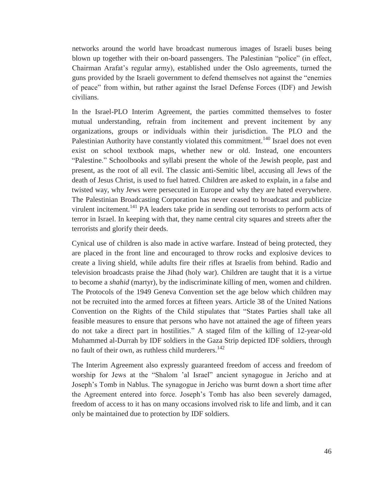networks around the world have broadcast numerous images of Israeli buses being blown up together with their on-board passengers. The Palestinian "police" (in effect, Chairman Arafat's regular army), established under the Oslo agreements, turned the guns provided by the Israeli government to defend themselves not against the "enemies of peace" from within, but rather against the Israel Defense Forces (IDF) and Jewish civilians.

In the Israel-PLO Interim Agreement, the parties committed themselves to foster mutual understanding, refrain from incitement and prevent incitement by any organizations, groups or individuals within their jurisdiction. The PLO and the Palestinian Authority have constantly violated this commitment.<sup>140</sup> Israel does not even exist on school textbook maps, whether new or old. Instead, one encounters "Palestine." Schoolbooks and syllabi present the whole of the Jewish people, past and present, as the root of all evil. The classic anti-Semitic libel, accusing all Jews of the death of Jesus Christ, is used to fuel hatred. Children are asked to explain, in a false and twisted way, why Jews were persecuted in Europe and why they are hated everywhere. The Palestinian Broadcasting Corporation has never ceased to broadcast and publicize virulent incitement.<sup>141</sup> PA leaders take pride in sending out terrorists to perform acts of terror in Israel. In keeping with that, they name central city squares and streets after the terrorists and glorify their deeds.

Cynical use of children is also made in active warfare. Instead of being protected, they are placed in the front line and encouraged to throw rocks and explosive devices to create a living shield, while adults fire their rifles at Israelis from behind. Radio and television broadcasts praise the Jihad (holy war). Children are taught that it is a virtue to become a *shahid* (martyr), by the indiscriminate killing of men, women and children. The Protocols of the 1949 Geneva Convention set the age below which children may not be recruited into the armed forces at fifteen years. Article 38 of the United Nations Convention on the Rights of the Child stipulates that "States Parties shall take all feasible measures to ensure that persons who have not attained the age of fifteen years do not take a direct part in hostilities." A staged film of the killing of 12-year-old Muhammed al-Durrah by IDF soldiers in the Gaza Strip depicted IDF soldiers, through no fault of their own, as ruthless child murderers.<sup>142</sup>

The Interim Agreement also expressly guaranteed freedom of access and freedom of worship for Jews at the "Shalom 'al Israel" ancient synagogue in Jericho and at Joseph's Tomb in Nablus. The synagogue in Jericho was burnt down a short time after the Agreement entered into force. Joseph's Tomb has also been severely damaged, freedom of access to it has on many occasions involved risk to life and limb, and it can only be maintained due to protection by IDF soldiers.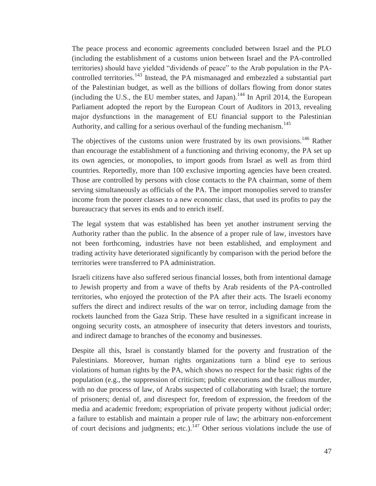The peace process and economic agreements concluded between Israel and the PLO (including the establishment of a customs union between Israel and the PA-controlled territories) should have yielded "dividends of peace" to the Arab population in the PAcontrolled territories.<sup>143</sup> Instead, the PA mismanaged and embezzled a substantial part of the Palestinian budget, as well as the billions of dollars flowing from donor states (including the U.S., the EU member states, and Japan).<sup>144</sup> In April 2014, the European Parliament adopted the report by the European Court of Auditors in 2013, revealing major dysfunctions in the management of EU financial support to the Palestinian Authority, and calling for a serious overhaul of the funding mechanism.<sup>145</sup>

The objectives of the customs union were frustrated by its own provisions.<sup>146</sup> Rather than encourage the establishment of a functioning and thriving economy, the PA set up its own agencies, or monopolies, to import goods from Israel as well as from third countries. Reportedly, more than 100 exclusive importing agencies have been created. Those are controlled by persons with close contacts to the PA chairman, some of them serving simultaneously as officials of the PA. The import monopolies served to transfer income from the poorer classes to a new economic class, that used its profits to pay the bureaucracy that serves its ends and to enrich itself.

The legal system that was established has been yet another instrument serving the Authority rather than the public. In the absence of a proper rule of law, investors have not been forthcoming, industries have not been established, and employment and trading activity have deteriorated significantly by comparison with the period before the territories were transferred to PA administration.

Israeli citizens have also suffered serious financial losses, both from intentional damage to Jewish property and from a wave of thefts by Arab residents of the PA-controlled territories, who enjoyed the protection of the PA after their acts. The Israeli economy suffers the direct and indirect results of the war on terror, including damage from the rockets launched from the Gaza Strip. These have resulted in a significant increase in ongoing security costs, an atmosphere of insecurity that deters investors and tourists, and indirect damage to branches of the economy and businesses.

Despite all this, Israel is constantly blamed for the poverty and frustration of the Palestinians. Moreover, human rights organizations turn a blind eye to serious violations of human rights by the PA, which shows no respect for the basic rights of the population (e.g., the suppression of criticism; public executions and the callous murder, with no due process of law, of Arabs suspected of collaborating with Israel; the torture of prisoners; denial of, and disrespect for, freedom of expression, the freedom of the media and academic freedom; expropriation of private property without judicial order; a failure to establish and maintain a proper rule of law; the arbitrary non-enforcement of court decisions and judgments; etc.).<sup>147</sup> Other serious violations include the use of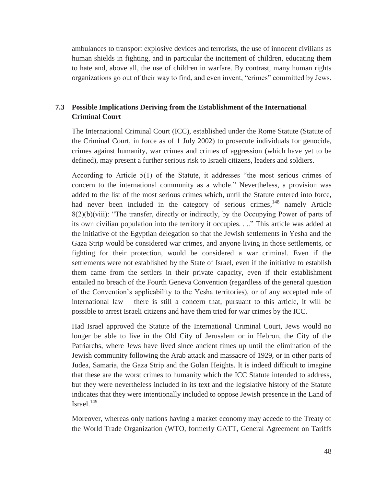ambulances to transport explosive devices and terrorists, the use of innocent civilians as human shields in fighting, and in particular the incitement of children, educating them to hate and, above all, the use of children in warfare. By contrast, many human rights organizations go out of their way to find, and even invent, "crimes" committed by Jews.

#### **7.3 Possible Implications Deriving from the Establishment of the International Criminal Court**

The International Criminal Court (ICC), established under the Rome Statute (Statute of the Criminal Court, in force as of 1 July 2002) to prosecute individuals for genocide, crimes against humanity, war crimes and crimes of aggression (which have yet to be defined), may present a further serious risk to Israeli citizens, leaders and soldiers.

According to Article 5(1) of the Statute, it addresses "the most serious crimes of concern to the international community as a whole." Nevertheless, a provision was added to the list of the most serious crimes which, until the Statute entered into force, had never been included in the category of serious crimes, $148$  namely Article 8(2)(b)(viii): "The transfer, directly or indirectly, by the Occupying Power of parts of its own civilian population into the territory it occupies. . .." This article was added at the initiative of the Egyptian delegation so that the Jewish settlements in Yesha and the Gaza Strip would be considered war crimes, and anyone living in those settlements, or fighting for their protection, would be considered a war criminal. Even if the settlements were not established by the State of Israel, even if the initiative to establish them came from the settlers in their private capacity, even if their establishment entailed no breach of the Fourth Geneva Convention (regardless of the general question of the Convention's applicability to the Yesha territories), or of any accepted rule of international law – there is still a concern that, pursuant to this article, it will be possible to arrest Israeli citizens and have them tried for war crimes by the ICC.

Had Israel approved the Statute of the International Criminal Court, Jews would no longer be able to live in the Old City of Jerusalem or in Hebron, the City of the Patriarchs, where Jews have lived since ancient times up until the elimination of the Jewish community following the Arab attack and massacre of 1929, or in other parts of Judea, Samaria, the Gaza Strip and the Golan Heights. It is indeed difficult to imagine that these are the worst crimes to humanity which the ICC Statute intended to address, but they were nevertheless included in its text and the legislative history of the Statute indicates that they were intentionally included to oppose Jewish presence in the Land of Israel $149$ 

Moreover, whereas only nations having a market economy may accede to the Treaty of the World Trade Organization (WTO, formerly GATT, General Agreement on Tariffs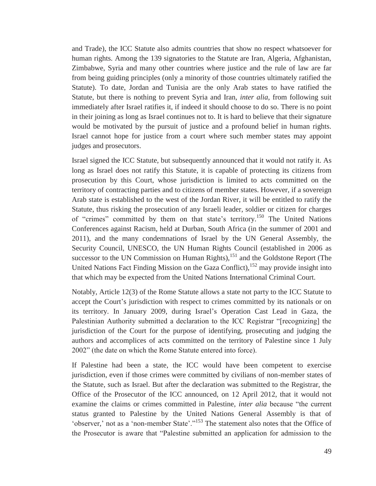and Trade), the ICC Statute also admits countries that show no respect whatsoever for human rights. Among the 139 signatories to the Statute are Iran, Algeria, Afghanistan, Zimbabwe, Syria and many other countries where justice and the rule of law are far from being guiding principles (only a minority of those countries ultimately ratified the Statute). To date, Jordan and Tunisia are the only Arab states to have ratified the Statute, but there is nothing to prevent Syria and Iran, *inter alia*, from following suit immediately after Israel ratifies it, if indeed it should choose to do so. There is no point in their joining as long as Israel continues not to. It is hard to believe that their signature would be motivated by the pursuit of justice and a profound belief in human rights. Israel cannot hope for justice from a court where such member states may appoint judges and prosecutors.

Israel signed the ICC Statute, but subsequently announced that it would not ratify it. As long as Israel does not ratify this Statute, it is capable of protecting its citizens from prosecution by this Court, whose jurisdiction is limited to acts committed on the territory of contracting parties and to citizens of member states. However, if a sovereign Arab state is established to the west of the Jordan River, it will be entitled to ratify the Statute, thus risking the prosecution of any Israeli leader, soldier or citizen for charges of "crimes" committed by them on that state's territory.<sup>150</sup> The United Nations Conferences against Racism, held at Durban, South Africa (in the summer of 2001 and 2011), and the many condemnations of Israel by the UN General Assembly, the Security Council, UNESCO, the UN Human Rights Council (established in 2006 as successor to the UN Commission on Human Rights), $151$  and the Goldstone Report (The United Nations Fact Finding Mission on the Gaza Conflict),  $152$  may provide insight into that which may be expected from the United Nations International Criminal Court.

Notably, Article 12(3) of the Rome Statute allows a state not party to the ICC Statute to accept the Court's jurisdiction with respect to crimes committed by its nationals or on its territory. In January 2009, during Israel's Operation Cast Lead in Gaza, the Palestinian Authority submitted a declaration to the ICC Registrar "[recognizing] the jurisdiction of the Court for the purpose of identifying, prosecuting and judging the authors and accomplices of acts committed on the territory of Palestine since 1 July 2002" (the date on which the Rome Statute entered into force).

If Palestine had been a state, the ICC would have been competent to exercise jurisdiction, even if those crimes were committed by civilians of non-member states of the Statute, such as Israel. But after the declaration was submitted to the Registrar, the Office of the Prosecutor of the ICC announced, on 12 April 2012, that it would not examine the claims or crimes committed in Palestine, *inter alia* because "the current status granted to Palestine by the United Nations General Assembly is that of 'observer,' not as a 'non-member State'."153 The statement also notes that the Office of the Prosecutor is aware that "Palestine submitted an application for admission to the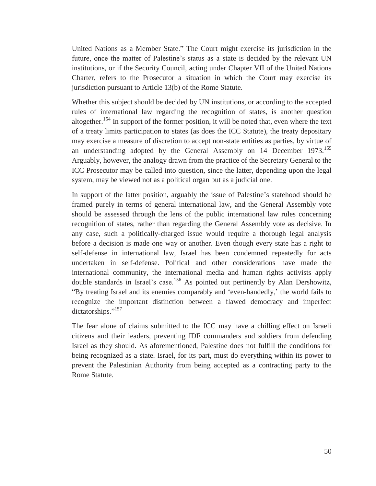United Nations as a Member State." The Court might exercise its jurisdiction in the future, once the matter of Palestine's status as a state is decided by the relevant UN institutions, or if the Security Council, acting under Chapter VII of the United Nations Charter, refers to the Prosecutor a situation in which the Court may exercise its jurisdiction pursuant to Article 13(b) of the Rome Statute.

Whether this subject should be decided by UN institutions, or according to the accepted rules of international law regarding the recognition of states, is another question altogether.<sup>154</sup> In support of the former position, it will be noted that, even where the text of a treaty limits participation to states (as does the ICC Statute), the treaty depositary may exercise a measure of discretion to accept non-state entities as parties, by virtue of an understanding adopted by the General Assembly on 14 December 1973.<sup>155</sup> Arguably, however, the analogy drawn from the practice of the Secretary General to the ICC Prosecutor may be called into question, since the latter, depending upon the legal system, may be viewed not as a political organ but as a judicial one.

In support of the latter position, arguably the issue of Palestine's statehood should be framed purely in terms of general international law, and the General Assembly vote should be assessed through the lens of the public international law rules concerning recognition of states, rather than regarding the General Assembly vote as decisive. In any case, such a politically-charged issue would require a thorough legal analysis before a decision is made one way or another. Even though every state has a right to self-defense in international law, Israel has been condemned repeatedly for acts undertaken in self-defense. Political and other considerations have made the international community, the international media and human rights activists apply double standards in Israel's case.<sup>156</sup> As pointed out pertinently by Alan Dershowitz, "By treating Israel and its enemies comparably and 'even-handedly,' the world fails to recognize the important distinction between a flawed democracy and imperfect dictatorships."<sup>157</sup>

The fear alone of claims submitted to the ICC may have a chilling effect on Israeli citizens and their leaders, preventing IDF commanders and soldiers from defending Israel as they should. As aforementioned, Palestine does not fulfill the conditions for being recognized as a state. Israel, for its part, must do everything within its power to prevent the Palestinian Authority from being accepted as a contracting party to the Rome Statute.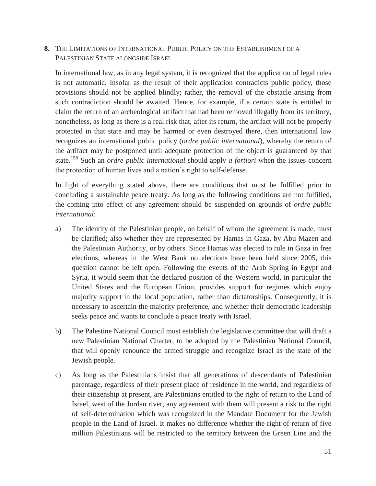**8.** THE LIMITATIONS OF INTERNATIONAL PUBLIC POLICY ON THE ESTABLISHMENT OF A PALESTINIAN STATE ALONGSIDE ISRAEL

In international law, as in any legal system, it is recognized that the application of legal rules is not automatic. Insofar as the result of their application contradicts public policy, those provisions should not be applied blindly; rather, the removal of the obstacle arising from such contradiction should be awaited. Hence, for example, if a certain state is entitled to claim the return of an archeological artifact that had been removed illegally from its territory, nonetheless, as long as there is a real risk that, after its return, the artifact will not be properly protected in that state and may be harmed or even destroyed there, then international law recognizes an international public policy (*ordre public international*), whereby the return of the artifact may be postponed until adequate protection of the object is guaranteed by that state.158 Such an *ordre public international* should apply *a fortiori* when the issues concern the protection of human lives and a nation's right to self-defense.

In light of everything stated above, there are conditions that must be fulfilled prior to concluding a sustainable peace treaty. As long as the following conditions are not fulfilled, the coming into effect of any agreement should be suspended on grounds of *ordre public international*:

- a) The identity of the Palestinian people, on behalf of whom the agreement is made, must be clarified; also whether they are represented by Hamas in Gaza, by Abu Mazen and the Palestinian Authority, or by others. Since Hamas was elected to rule in Gaza in free elections, whereas in the West Bank no elections have been held since 2005, this question cannot be left open. Following the events of the Arab Spring in Egypt and Syria, it would seem that the declared position of the Western world, in particular the United States and the European Union, provides support for regimes which enjoy majority support in the local population, rather than dictatorships. Consequently, it is necessary to ascertain the majority preference, and whether their democratic leadership seeks peace and wants to conclude a peace treaty with Israel.
- b) The Palestine National Council must establish the legislative committee that will draft a new Palestinian National Charter, to be adopted by the Palestinian National Council, that will openly renounce the armed struggle and recognize Israel as the state of the Jewish people.
- c) As long as the Palestinians insist that all generations of descendants of Palestinian parentage, regardless of their present place of residence in the world, and regardless of their citizenship at present, are Palestinians entitled to the right of return to the Land of Israel, west of the Jordan river, any agreement with them will present a risk to the right of self-determination which was recognized in the Mandate Document for the Jewish people in the Land of Israel. It makes no difference whether the right of return of five million Palestinians will be restricted to the territory between the Green Line and the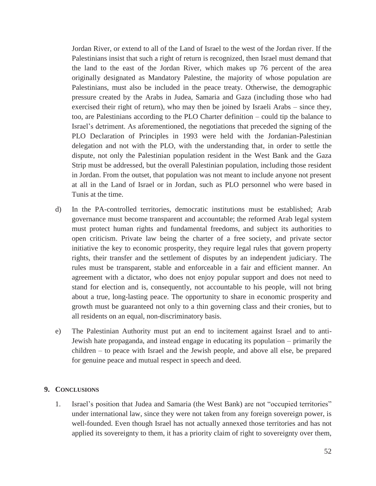Jordan River, or extend to all of the Land of Israel to the west of the Jordan river. If the Palestinians insist that such a right of return is recognized, then Israel must demand that the land to the east of the Jordan River, which makes up 76 percent of the area originally designated as Mandatory Palestine, the majority of whose population are Palestinians, must also be included in the peace treaty. Otherwise, the demographic pressure created by the Arabs in Judea, Samaria and Gaza (including those who had exercised their right of return), who may then be joined by Israeli Arabs – since they, too, are Palestinians according to the PLO Charter definition – could tip the balance to Israel's detriment. As aforementioned, the negotiations that preceded the signing of the PLO Declaration of Principles in 1993 were held with the Jordanian-Palestinian delegation and not with the PLO, with the understanding that, in order to settle the dispute, not only the Palestinian population resident in the West Bank and the Gaza Strip must be addressed, but the overall Palestinian population, including those resident in Jordan. From the outset, that population was not meant to include anyone not present at all in the Land of Israel or in Jordan, such as PLO personnel who were based in Tunis at the time.

- d) In the PA-controlled territories, democratic institutions must be established; Arab governance must become transparent and accountable; the reformed Arab legal system must protect human rights and fundamental freedoms, and subject its authorities to open criticism. Private law being the charter of a free society, and private sector initiative the key to economic prosperity, they require legal rules that govern property rights, their transfer and the settlement of disputes by an independent judiciary. The rules must be transparent, stable and enforceable in a fair and efficient manner. An agreement with a dictator, who does not enjoy popular support and does not need to stand for election and is, consequently, not accountable to his people, will not bring about a true, long-lasting peace. The opportunity to share in economic prosperity and growth must be guaranteed not only to a thin governing class and their cronies, but to all residents on an equal, non-discriminatory basis.
- e) The Palestinian Authority must put an end to incitement against Israel and to anti-Jewish hate propaganda, and instead engage in educating its population – primarily the children – to peace with Israel and the Jewish people, and above all else, be prepared for genuine peace and mutual respect in speech and deed.

#### **9. CONCLUSIONS**

1. Israel's position that Judea and Samaria (the West Bank) are not "occupied territories" under international law, since they were not taken from any foreign sovereign power, is well-founded. Even though Israel has not actually annexed those territories and has not applied its sovereignty to them, it has a priority claim of right to sovereignty over them,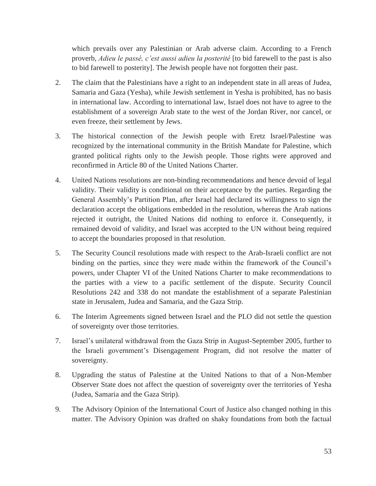which prevails over any Palestinian or Arab adverse claim. According to a French proverb, *Adieu le passé, c'est aussi adieu la posterité* [to bid farewell to the past is also to bid farewell to posterity]. The Jewish people have not forgotten their past.

- 2. The claim that the Palestinians have a right to an independent state in all areas of Judea, Samaria and Gaza (Yesha), while Jewish settlement in Yesha is prohibited, has no basis in international law. According to international law, Israel does not have to agree to the establishment of a sovereign Arab state to the west of the Jordan River, nor cancel, or even freeze, their settlement by Jews.
- 3. The historical connection of the Jewish people with Eretz Israel/Palestine was recognized by the international community in the British Mandate for Palestine, which granted political rights only to the Jewish people. Those rights were approved and reconfirmed in Article 80 of the United Nations Charter.
- 4. United Nations resolutions are non-binding recommendations and hence devoid of legal validity. Their validity is conditional on their acceptance by the parties. Regarding the General Assembly's Partition Plan, after Israel had declared its willingness to sign the declaration accept the obligations embedded in the resolution, whereas the Arab nations rejected it outright, the United Nations did nothing to enforce it. Consequently, it remained devoid of validity, and Israel was accepted to the UN without being required to accept the boundaries proposed in that resolution.
- 5. The Security Council resolutions made with respect to the Arab-Israeli conflict are not binding on the parties, since they were made within the framework of the Council's powers, under Chapter VI of the United Nations Charter to make recommendations to the parties with a view to a pacific settlement of the dispute. Security Council Resolutions 242 and 338 do not mandate the establishment of a separate Palestinian state in Jerusalem, Judea and Samaria, and the Gaza Strip.
- 6. The Interim Agreements signed between Israel and the PLO did not settle the question of sovereignty over those territories.
- 7. Israel's unilateral withdrawal from the Gaza Strip in August-September 2005, further to the Israeli government's Disengagement Program, did not resolve the matter of sovereignty.
- 8. Upgrading the status of Palestine at the United Nations to that of a Non-Member Observer State does not affect the question of sovereignty over the territories of Yesha (Judea, Samaria and the Gaza Strip).
- 9. The Advisory Opinion of the International Court of Justice also changed nothing in this matter. The Advisory Opinion was drafted on shaky foundations from both the factual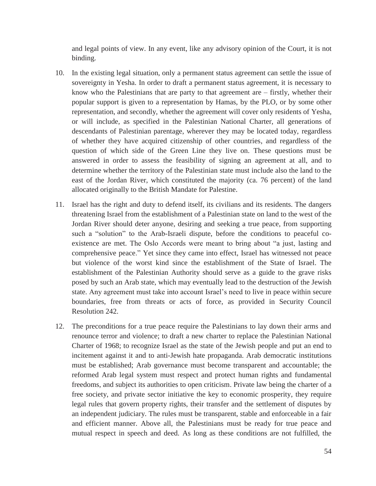and legal points of view. In any event, like any advisory opinion of the Court, it is not binding.

- 10. In the existing legal situation, only a permanent status agreement can settle the issue of sovereignty in Yesha. In order to draft a permanent status agreement, it is necessary to know who the Palestinians that are party to that agreement are – firstly, whether their popular support is given to a representation by Hamas, by the PLO, or by some other representation, and secondly, whether the agreement will cover only residents of Yesha, or will include, as specified in the Palestinian National Charter, all generations of descendants of Palestinian parentage, wherever they may be located today, regardless of whether they have acquired citizenship of other countries, and regardless of the question of which side of the Green Line they live on. These questions must be answered in order to assess the feasibility of signing an agreement at all, and to determine whether the territory of the Palestinian state must include also the land to the east of the Jordan River, which constituted the majority (ca. 76 percent) of the land allocated originally to the British Mandate for Palestine.
- 11. Israel has the right and duty to defend itself, its civilians and its residents. The dangers threatening Israel from the establishment of a Palestinian state on land to the west of the Jordan River should deter anyone, desiring and seeking a true peace, from supporting such a "solution" to the Arab-Israeli dispute, before the conditions to peaceful coexistence are met. The Oslo Accords were meant to bring about "a just, lasting and comprehensive peace." Yet since they came into effect, Israel has witnessed not peace but violence of the worst kind since the establishment of the State of Israel. The establishment of the Palestinian Authority should serve as a guide to the grave risks posed by such an Arab state, which may eventually lead to the destruction of the Jewish state. Any agreement must take into account Israel's need to live in peace within secure boundaries, free from threats or acts of force, as provided in Security Council Resolution 242.
- 12. The preconditions for a true peace require the Palestinians to lay down their arms and renounce terror and violence; to draft a new charter to replace the Palestinian National Charter of 1968; to recognize Israel as the state of the Jewish people and put an end to incitement against it and to anti-Jewish hate propaganda. Arab democratic institutions must be established; Arab governance must become transparent and accountable; the reformed Arab legal system must respect and protect human rights and fundamental freedoms, and subject its authorities to open criticism. Private law being the charter of a free society, and private sector initiative the key to economic prosperity, they require legal rules that govern property rights, their transfer and the settlement of disputes by an independent judiciary. The rules must be transparent, stable and enforceable in a fair and efficient manner. Above all, the Palestinians must be ready for true peace and mutual respect in speech and deed. As long as these conditions are not fulfilled, the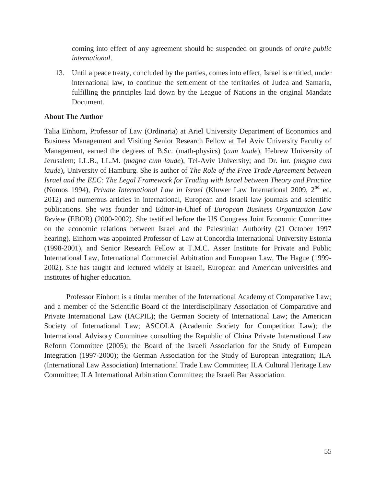coming into effect of any agreement should be suspended on grounds of *ordre public international*.

13. Until a peace treaty, concluded by the parties, comes into effect, Israel is entitled, under international law, to continue the settlement of the territories of Judea and Samaria, fulfilling the principles laid down by the League of Nations in the original Mandate Document.

#### **About The Author**

Talia Einhorn, Professor of Law (Ordinaria) at Ariel University Department of Economics and Business Management and Visiting Senior Research Fellow at Tel Aviv University Faculty of Management, earned the degrees of B.Sc. (math-physics) (*cum laude*), Hebrew University of Jerusalem; LL.B., LL.M. (*magna cum laude*), Tel-Aviv University; and Dr. iur. (*magna cum laude*), University of Hamburg. She is author of *The Role of the Free Trade Agreement between Israel and the EEC: The Legal Framework for Trading with Israel between Theory and Practice* (Nomos 1994), *Private International Law in Israel* (Kluwer Law International 2009, 2nd ed. 2012) and numerous articles in international, European and Israeli law journals and scientific publications. She was founder and Editor-in-Chief of *European Business Organization Law Review* (EBOR) (2000-2002). She testified before the US Congress Joint Economic Committee on the economic relations between Israel and the Palestinian Authority (21 October 1997 hearing). Einhorn was appointed Professor of Law at Concordia International University Estonia (1998-2001), and Senior Research Fellow at T.M.C. Asser Institute for Private and Public International Law, International Commercial Arbitration and European Law, The Hague (1999- 2002). She has taught and lectured widely at Israeli, European and American universities and institutes of higher education.

Professor Einhorn is a titular member of the International Academy of Comparative Law; and a member of the Scientific Board of the Interdisciplinary Association of Comparative and Private International Law (IACPIL); the German Society of International Law; the American Society of International Law; ASCOLA (Academic Society for Competition Law); the International Advisory Committee consulting the Republic of China Private International Law Reform Committee (2005); the Board of the Israeli Association for the Study of European Integration (1997-2000); the German Association for the Study of European Integration; ILA (International Law Association) International Trade Law Committee; ILA Cultural Heritage Law Committee; ILA International Arbitration Committee; the Israeli Bar Association.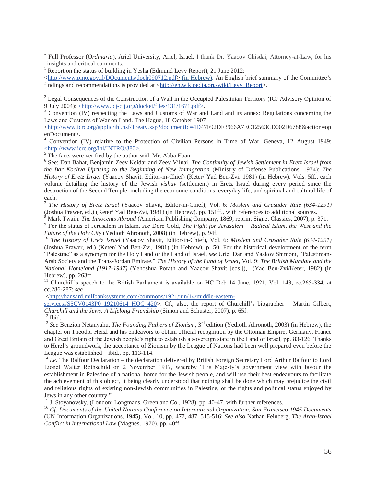6 See: Dan Bahat, Benjamin Zeev Keidar and Zeev Vilnai, *The Continuity of Jewish Settlement in Eretz Israel from the Bar Kochva Uprising to the Beginning of New Immigration* (Ministry of Defense Publications, 1974); *The History of Eretz Israel* (Yaacov Shavit, Editor-in-Chief) (Keter/ Yad Ben-Zvi, 1981) (in Hebrew), Vols. 5ff., each volume detailing the history of the Jewish *yishuv* (settlement) in Eretz Israel during every period since the destruction of the Second Temple, including the economic conditions, everyday life, and spiritual and cultural life of each.

<sup>7</sup> *The History of Eretz Israel* (Yaacov Shavit, Editor-in-Chief), Vol. 6: *Moslem and Crusader Rule (634-1291)* (Joshua Prawer, ed.) (Keter/ Yad Ben-Zvi, 1981) (in Hebrew), pp. 151ff., with references to additional sources.<br><sup>8</sup> Mark Turgin: *The Innegants Ahnord* (American Publishing Company, 1860, romint Signat Classics, 2007), p.

<sup>8</sup> Mark Twain: *The Innocents Abroad* (American Publishing Company, 1869, reprint Signet Classics, 2007), p. 371.

<sup>9</sup> For the status of Jerusalem in Islam, *see* Dore Gold, *The Fight for Jerusalem – Radical Islam, the West and the Future of the Holy City* (Yedioth Ahronoth, 2008) (in Hebrew), p. 94f.

<sup>10</sup> The History of Eretz Israel (Yaacov Shavit, Editor-in-Chief), Vol. 6: *Moslem and Crusader Rule (634-1291)* (Joshua Prawer, ed.) (Keter/ Yad Ben-Zvi, 1981) (in Hebrew), p. 50. For the historical development of the term "Palestine" as a synonym for the Holy Land or the Land of Israel, *see* Uriel Dan and Yaakov Shimoni, "Palestinian-Arab Society and the Trans-Jordan Emirate," *The History of the Land of Israel*, Vol. 9: *The British Mandate and the National Homeland (1917-1947)* (Yehoshua Porath and Yaacov Shavit [eds.]), (Yad Ben-Zvi/Keter, 1982) (in Hebrew), pp. 263ff.

<sup>11</sup> Churchill's speech to the British Parliament is available on HC Deb 14 June, 1921, Vol. 143, cc.265-334, at cc.286-287: *see*

<http://hansard.millbanksystems.com/commons/1921/jun/14/middle-eastern-

services#S5CV0143P0\_19210614\_HOC\_420>. Cf., also, the report of Churchill's biographer – Martin Gilbert, *Churchill and the Jews: A Lifelong Friendship* (Simon and Schuster, 2007), p. 65f. 12 Ibid.

 $\overline{a}$ 

<sup>13</sup> *See* Benzion Netanyahu, *The Founding Fathers of Zionism*, 3rd edition (Yedioth Ahronoth, 2003) (in Hebrew), the chapter on Theodor Herzl and his endeavors to obtain official recognition by the Ottoman Empire, Germany, France and Great Britain of the Jewish people's right to establish a sovereign state in the Land of Israel, pp. 83-126. Thanks to Herzl's groundwork, the acceptance of Zionism by the League of Nations had been well prepared even before the League was established – ibid., pp. 113-114.<br><sup>14</sup> *i.e.* The Balfour Declaration – the declaration delivered by British Foreign Secretary Lord Arthur Balfour to Lord

Lionel Walter Rothschild on 2 November 1917, whereby "His Majesty's government view with favour the establishment in Palestine of a national home for the Jewish people, and will use their best endeavours to facilitate the achievement of this object, it being clearly understood that nothing shall be done which may prejudice the civil and religious rights of existing non-Jewish communities in Palestine, or the rights and political status enjoyed by Jews in any other country." 15 J. Stoyanovsky, (London: Longmans, Green and Co., 1928), pp. 40-47, with further references.

<sup>16</sup> *Cf. Documents of the United Nations Conference on International Organization, San Francisco 1945 Documents* (UN Information Organizations, 1945), Vol. 10, pp. 477, 487, 515-516; *See also* Nathan Feinberg, *The Arab-Israel Conflict in International Law* (Magnes, 1970), pp. 40ff.

<sup>×</sup>  Full Professor (*Ordinaria*), Ariel University, Ariel, Israel. I thank Dr. Yaacov Chisdai, Attorney-at-Law, for his insights and critical comments.

<sup>&</sup>lt;sup>1</sup> Report on the status of building in Yesha (Edmund Levy Report), 21 June 2012:

<sup>&</sup>lt;http://www.pmo.gov.il/DOcuments/doch090712.pdf> (in Hebrew). An English brief summary of the Committee's findings and recommendations is provided at <http://en.wikipedia.org/wiki/Levy\_Report>.

<sup>&</sup>lt;sup>2</sup> Legal Consequences of the Construction of a Wall in the Occupied Palestinian Territory (ICJ Advisory Opinion of 9 July 2004): <http://www.icj-cij.org/docket/files/131/1671.pdf>.

 $3$  Convention (IV) respecting the Laws and Customs of War and Land and its annex: Regulations concerning the Laws and Customs of War on Land. The Hague, 18 October 1907 –

 $\langle$ http://www.icrc.org/applic/ihl.nsf/Treaty.xsp?documentId=4D47F92DF3966A7EC12563CD002D6788&action=op enDocument>.

<sup>&</sup>lt;sup>4</sup> Convention (IV) relative to the Protection of Civilian Persons in Time of War. Geneva, 12 August 1949:  $\frac{\text{th}}{5}$ The facts were verified by the author with Mr. Abba Eban.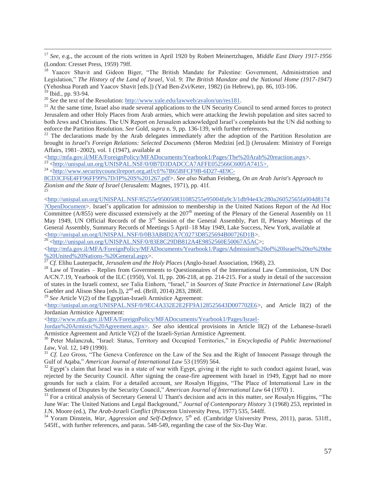17 *See*, e.g., the account of the riots written in April 1920 by Robert Meinertzhagen, *Middle East Diary 1917-1956* (London: Cresset Press, 1959) 79ff.

<sup>18</sup> Yaacov Shavit and Gideon Biger, "The British Mandate for Palestine: Government, Administration and Legislation," *The History of the Land of Israel*, Vol. 9: *The British Mandate and the National Home (1917-1947)* (Yehoshua Porath and Yaacov Shavit [eds.]) (Yad Ben-Zvi/Keter, 1982) (in Hebrew), pp. 86, 103-106.

<sup>19</sup> Ibid., pp. 93-94.<br><sup>20</sup> *See* the text of the Resolution: http://www.yale.edu/lawweb/avalon/un/res181.

<sup>21</sup> At the same time, Israel also made several applications to the UN Security Council to send armed forces to protect Jerusalem and other Holy Places from Arab armies, which were attacking the Jewish population and sites sacred to both Jews and Christians. The UN Report on Jerusalem acknowledged Israel's complaints but the UN did nothing to enforce the Partition Resolution. *See* Gold, *supra* n. 9, pp. 136-139, with further references.<br><sup>22</sup> The declarations made by the Arab delegates immediately after the adoption of the Partition Resolution are

brought in *Israel's Foreign Relations: Selected Documents* (Meron Medzini [ed.]) (Jerusalem: Ministry of Foreign Affairs, 1981–2002), vol. 1 (1947), available at<br>
<http://mfa.gov.il/MFA/ForeignPolicy/MFADocuments/Yearbook1/Pages/The%20Arab%20reaction.aspx>.

<sup>23</sup> <http://unispal.un.org/UNISPAL.NSF/0/0B7D3DADCCA7AFFE052566C6005A7415>.<br><sup>24</sup> <http://www.securitycouncilreport.org.atf/cf/%7B65BFCF9B-6D27-4E9C-

8CD3CF6E4FF96FF99%7D/IP%20S%201267.pdf>. *See also* Nathan Feinberg, *On an Arab Jurist's Approach to Zionism and the State of Israel* (Jerusalem: Magnes, 1971), pp. 41f. 25

<http://unispal.un.org/UNISPAL.NSF/85255e950050831085255e95004fa9c3/1db94e43c280a26052565fa004d8174 ?OpenDocument>. Israel's application for admission to membership in the United Nations Report of the Ad Hoc Committee ( $\overline{A/855}$ ) were discussed extensively at the 207<sup>th</sup> meeting of the Plenary of the General Assembly on 11 May 1949, UN Official Records of the 3<sup>rd</sup> Session of the General Assembly, Part II, Plenary Meetings of the General Assembly, Summary Records of Meetings 5 April–18 May 1949, Lake Success, New York, available at  $\frac{\text{th}\text{ttp:}}{\text{26}}$  <http://unispal.un.org/UNISPAL.NSF/0/0B3AB8D2A7C0273D8525694B00726D1B>.

 $\lt$ http://mfa.gov.il/MFA/ForeignPolicy/MFADocuments/Yearbook1/Pages/Admission%20of%20Israel%20to%20the  $\frac{\%200 \text{United}\%20 \text{Nations-}\%20 \text{General}.aspx>}{27}$ <br> *Cf.* Elihu Lauterpacht, *Jerusalem and the Holy Places* (Anglo-Israel Association, 1968), 23.<br>
<sup>28</sup> Law of Treaties – Replies from Governments to Questionnaires of the Internation

A/CN.7.19, Yearbook of the ILC (1950), Vol. II, pp. 206-218, at pp. 214-215. For a study in detail of the succession of states in the Israeli context, *see* Talia Einhorn, "Israel," in *Sources of State Practice in International Law* (Ralph Gaebler and Alison Shea [eds.]), 2<sup>nd</sup> ed. (Brill, 2014) 283, 286ff.

<sup>29</sup> *See* Article V(2) of the Egyptian-Israeli Armistice Agreement:

<http://unispal.un.org/UNISPAL.NSF/0/9EC4A332E2E2FF9A128525643D007702E6>, and Article II(2) of the Jordanian Armistice Agreement:

<http://www.mfa.gov.il/MFA/ForeignPolicy/MFADocuments/Yearbook1/Pages/Israel-

Jordan%20Armistic%20Agreement.aspx>. *See also* identical provisions in Article II(2) of the Lebanese-Israeli Armistice Agreement and Article V(2) of the Israeli-Syrian Armistice Agreement.

<sup>30</sup> Peter Malanczuk, "Israel: Status, Territory and Occupied Territories," in *Encyclopedia of Public International* 

*Law*, Vol. 12, 149 (1990).<br><sup>31</sup> *Cf.* Leo Gross, "The Geneva Conference on the Law of the Sea and the Right of Innocent Passage through the Gulf of Aqaba," *American Journal of International Law* 53 (1959) 564.

<sup>32</sup> Egypt's claim that Israel was in a state of war with Egypt, giving it the right to such conduct against Israel, was rejected by the Security Council. After signing the cease-fire agreement with Israel in 1949, Egypt had no more grounds for such a claim. For a detailed account, *see* Rosalyn Higgins, "The Place of International Law in the Settlement of Disputes by the Security Council," *American Journal of International Law* 64 (1970) 1.

<sup>33</sup> For a critical analysis of Secretary General U Thant's decision and acts in this matter, see Rosalyn Higgins, "The June War: The United Nations and Legal Background," *Journal of Contemporary History* 3 (1968) 253, reprinted in J.N. Moore (ed.), *The Arab-Israeli Conflict* (Princeton University Press, 1977) 535, 544ff.<br><sup>34</sup> Yoram Dinstein, *War, Aggression and Self-Defence*, 5<sup>th</sup> ed. (Cambridge University Press, 2011), paras. 531ff.,

545ff., with further references, and paras. 548-549, regarding the case of the Six-Day War.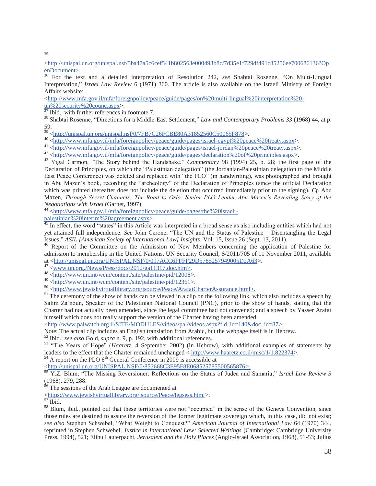35

<sup>36</sup> For the text and a detailed interpretation of Resolution 242, *see* Shabtai Rosenne, "On Multi-Lingual Interpretation," *Israel Law Review* 6 (1971) 360. The article is also available on the Israeli Ministry of Foreign Affairs website:

<http://www.mfa.gov.il/mfa/foreignpolicy/peace/guide/pages/on%20multi-lingual%20interpretation%20-

 $\frac{\text{un}\% \text{20} \text{security}\% \text{20} \text{c} \text{ourc}.\text{aspx}}{37 \text{ Ibid., with further references in footnote } 7.}$ 

<sup>38</sup> Shabtai Rosenne, "Directions for a Middle-East Settlement," *Law and Contemporary Problems 33* (1968) 44, at p. 59.<br>
<sup>39</sup> <http://unispal.un.org/unispal.nsf/0/7FB7C26FCBE80A31852560C50065F878>.

40 <http://www.mfa.gov.il/mfa/foreignpolicy/peace/guide/pages/israel-egypt%20peace%20treaty.aspx>.<br>41 <http://www.mfa.gov.il/mfa/foreignpolicy/peace/guide/pages/israel-jordan%20peace%20treaty.aspx>.<br>42 <http://www.mfa.gov.

Declaration of Principles, on which the "Palestinian delegation" (the Jordanian-Palestinian delegation to the Middle East Peace Conference) was deleted and replaced with "the PLO" (in handwriting), was photographed and brought in Abu Mazen's book, recording the "archeology" of the Declaration of Principles (since the official Declaration which was printed thereafter does not include the deletion that occurred immediately prior to the signing). *Cf.* Abu Mazen, *Through Secret Channels: The Road to Oslo: Senior PLO Leader Abu Mazen's Revealing Story of the Negotiations with Israel* (Garnet, 1997).<br><sup>44</sup> <http://www.mfa.gov.il/mfa/foreignpolicy/peace/guide/pages/the%20israeli-

palestinian%20interim%20agreement.aspx>.<br><sup>45</sup> In effect, the word "states" in this Article was interpreted in a broad sense as also including entities which had not yet attained full independence. *See* John Cerone, "The UN and the Status of Palestine – Disentangling the Legal Issues," ASIL [American Society of International Law] Insights, Vol. 15, Issue 26 (Sept. 13, 2011).

<sup>46</sup> Report of the Committee on the Admission of New Members concerning the application of Palestine for admission to membership in the United Nations, UN Security Council, S/2011/705 of 11 November 2011, available at <http://unispal.un.org/UNISPAL.NSF/0/097ACC6FFFF29D5785257949005D2A63>.<br>  $^{47}$  <www.un.org./News/Press/docs/2012/ga11317.doc.htm>.<br>  $^{48}$  <http://www.un.int/wcm/content/site/palestine/pid/12008>.<br>  $^{49}$  <http://www.

Salim Za'noun, Speaker of the Palestinian National Council (PNC), prior to the show of hands, stating that the Charter had not actually been amended, since the legal committee had not convened; and a speech by Yasser Arafat himself which does not really support the version of the Charter having been amended:

<http://www.palwatch.org.il/SITE/MODULES/videos/pal/videos.aspx?fld\_id=140&doc\_id=87>.

Note: The actual clip includes an English translation from Arabic, but the webpage itself is in Hebrew.<br><sup>52</sup> Ibid.: *see also* Gold, *supra* n, 9, p, 192, with additional references.

<sup>53</sup> "The Years of Hope" (*Haaretz*, 4 September 2002) (in Hebrew), with additional examples of statements by leaders to the effect that the Charter remained unchanged  $\langle \frac{http://www.haaretz.co.i/misc/1/1.822374}{http://www.haaretz.co.i/misc/1/1.822374}\rangle$ .<br><sup>54</sup> A report on the PLO 6<sup>th</sup> General Conference in 2009 is accessible at

<http://unispal.un.org/UNISPAL.NSF/0/853668C3E95F8E068525785500565876>. 55 Y.Z. Blum, "The Missing Reversioner: Reflections on the Status of Judea and Samaria," *Israel Law Review 3* (1968), 279, 288.

56 The sessions of the Arab League are documented at

<https://www.jewishvirtuallibrary.org/jsource/Peace/legsess.html>. 57 Ibid.

<sup>58</sup> Blum, ibid., pointed out that these territories were not "occupied" in the sense of the Geneva Convention, since those rules are destined to assure the reversion of the former legitimate sovereign which, in this case, did not exist; *see also* Stephen Schwebel, "What Weight to Conquest?" *American Journal of International Law* 64 (1970) 344, reprinted in Stephen Schwebel, *Justice in International Law: Selected Writings* (Cambridge: Cambridge University Press, 1994), 521; Elihu Lauterpacht, *Jerusalem and the Holy Places* (Anglo-Israel Association, 1968), 51-53; Julius

<sup>&</sup>lt;http://unispal.un.org/unispal.nsf/5ba47a5c6cef541b802563e000493b8c/7d35e1f729df491c85256ee700686136?Op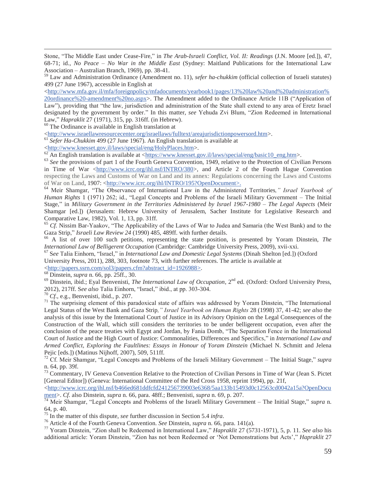Stone, "The Middle East under Cease-Fire," in *The Arab-Israeli Conflict, Vol. II: Readings* (J.N. Moore [ed.]), 47, 68-71; id., *No Peace – No War in the Middle East* (Sydney: Maitland Publications for the International Law Association – Australian Branch, 1969), pp. 38-41.

59 Law and Administration Ordinance (Amendment no. 11), *sefer ha-chukkim* (official collection of Israeli statutes) 499 (27 June 1967), accessible in English at

<http://www.mfa.gov.il/mfa/foreignpolicy/mfadocuments/yearbook1/pages/13%20law%20and%20administration%

20ordinance%20-amendment%20no.aspx>. The Amendment added to the Ordinance Article 11B ("Application of Law"), providing that "the law, jurisdiction and administration of the State shall extend to any area of Eretz Israel designated by the government by order." In this matter, *see* Yehuda Zvi Blum, "Zion Redeemed in International Law," *Hapraklit* 27 (1971), 315, pp. 316ff. (in Hebrew).

 $\overline{a}$ 

<sup>60</sup> The Ordinance is available in English translation at  $\langle \frac{http://www.israellawresourcecenter.org/israellaws/fulltext/areajurisdictionpowersord.htm.$ 

<sup>61</sup> Sefer Ha-Chukkim 499 (27 June 1967). An English translation is available at

 $\frac{\text{thttp://www.knesset.gov.il/laws/special/eng/HolyPlaces.htm}}{An$  English translation is available at  $\frac{\text{thttp://www.knesset.gov.il/laws/special/eng/basic10\_eng.htm}}{An}$ .<br>
<sup>62</sup> An English translation is available at  $\frac{\text{thttps://www.knesset.gov.il/laws/special/eng/basic10\_eng.htm}}{An}$ .

in Time of War <http://www.icrc.org/ihl.nsf/INTRO/380>, and Article 2 of the Fourth Hague Convention respecting the Laws and Customs of War on Land and its annex: Regulations concerning the Laws and Customs of War on Land, 1907: <http://www.icrc.org/ihl/INTRO/195?OpenDocument>.<br><sup>64</sup> Meir Shamgar, "The Observance of International Law in the Administered Territories," *Israel Yearbook of* 

*Human Rights* 1 (1971) 262; id., "Legal Concepts and Problems of the Israeli Military Government – The Initial Stage," in *Military Government in the Territories Administered by Israel 1967-1980 – The Legal Aspects* (Meir Shamgar [ed.]) (Jerusalem: Hebrew University of Jerusalem, Sacher Institute for Legislative Research and Comparative Law, 1982), Vol. 1, 13, pp. 31ff.

<sup>65</sup> *Cf.* Nissim Bar-Yaakov, "The Applicability of the Laws of War to Judea and Samaria (the West Bank) and to the Gaza Strip," *Israeli Law Review 24* (1990) 485, 489ff. with further details.

<sup>66</sup> A list of over 100 such petitions, representing the state position, is presented by Yoram Dinstein, *The International Law of Belligerent Occupation* (Cambridge: Cambridge University Press, 2009), xvii-xxi.

 $^{67}$  See Talia Einhorn, "Israel," in *International Law and Domestic Legal Systems* (Dinah Shelton [ed.]) (Oxford University Press, 2011), 288, 303, footnote 73, with further references. The article is available at

 $\frac{\text{thttp://papers.ssrn.com/sol3/papers.cfm?abstract_id=1926988>}}{68 \text{Dinstein, } \text{supra n. 66, pp. 25ff., 30.}}$ <br>  $\frac{68 \text{Dinstein, } \text{supra n. 66, pp. 25ff., 30.}}{69 \text{Dinstein, ibid.; } \text{Eyal Benvenisti, } \text{The International Law of Occupation, } 2^{\text{nd}} \text{ ed. (Oxford: Oxford University Press, } \text{Silb})$ 2012), 217ff. See also Talia Einhorn, "Israel," ibid., at pp. 303-304.<br>
<sup>70</sup> *Cf.*, e.g., Benvenisti, ibid., p. 207.<br>
<sup>71</sup> The surprising element of this paradoxical state of affairs was addressed by Yoram Dinstein, "The

Legal Status of the West Bank and Gaza Strip*," Israel Yearbook on Human Rights* 28 (1998) 37, 41-42; *see also* the analysis of this issue by the International Court of Justice in its Advisory Opinion on the Legal Consequences of the Construction of the Wall, which still considers the territories to be under belligerent occupation, even after the conclusion of the peace treaties with Egypt and Jordan, by Fania Domb, "The Separation Fence in the International Court of Justice and the High Court of Justice: Commonalities, Differences and Specifics," in *International Law and Armed Conflict, Exploring the Faultlines: Essays in Honour of Yoram Dinstein* (Michael N. Schmitt and Jelena Pejic [eds.]) (Matinus Nijhoff, 2007), 509, 511ff.

<sup>72</sup> Cf. Meir Shamgar, "Legal Concepts and Problems of the Israeli Military Government – The Initial Stage," *supra* n. 64, pp. 39f.

<sup>73</sup> Commentary, IV Geneva Convention Relative to the Protection of Civilian Persons in Time of War (Jean S. Pictet [General Editor]) (Geneva: International Committee of the Red Cross 1958, reprint 1994), pp. 21f,

<http://www.icrc.org/ihl.nsf/b466ed681ddfcfd241256739003e6368/5aa133b15493d0c12563cd0042a15a?OpenDocu ment>. *Cf.* also Dinstein, *supra* n. 66, para. 48ff.; Benvenisti, *supra* n. 69, p. 207.<br><sup>74</sup> Meir Shamgar, "Legal Concepts and Problems of the Israeli Military Government – The Initial Stage," *supra* n.

64, p. 40.<br><sup>75</sup> In the matter of this dispute, *see* further discussion in Section 5.4 *infra*.

<sup>76</sup> Article 4 of the Fourth Geneva Convention. *See Dinstein, supra n.* 66, para. 141(a).<br><sup>77</sup> Yoram Dinstein, "Zion shall be Redeemed in International Law," *Hapraklit* 27 (5731-1971), 5, p. 11. *See also* his additional article: Yoram Dinstein, "Zion has not been Redeemed or 'Not Demonstrations but Acts'," *Hapraklit* 27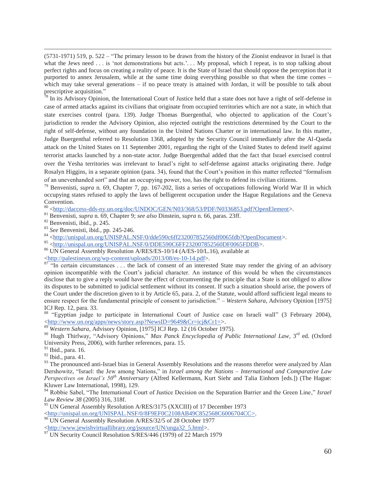(5731-1971) 519, p. 522 – "The primary lesson to be drawn from the history of the Zionist endeavor in Israel is that what the Jews need . . . is 'not demonstrations but acts.'. . My proposal, which I repeat, is to stop talking about perfect rights and focus on creating a reality of peace. It is the State of Israel that should oppose the perception that it purported to annex Jerusalem, while at the same time doing everything possible so that when the time comes – which may take several generations – if no peace treaty is attained with Jordan, it will be possible to talk about prescriptive acquisition."

 $\frac{1}{28}$  In its Advisory Opinion, the International Court of Justice held that a state does not have a right of self-defense in case of armed attacks against its civilians that originate from occupied territories which are not a state, in which that state exercises control (para. 139). Judge Thomas Buergenthal, who objected to application of the Court's jurisdiction to render the Advisory Opinion, also rejected outright the restrictions determined by the Court to the right of self-defense, without any foundation in the United Nations Charter or in international law. In this matter, Judge Buergenthal referred to Resolution 1368, adopted by the Security Council immediately after the Al-Qaeda attack on the United States on 11 September 2001, regarding the right of the United States to defend itself against terrorist attacks launched by a non-state actor. Judge Buergenthal added that the fact that Israel exercised control over the Yesha territories was irrelevant to Israel's right to self-defense against attacks originating there. Judge Rosalyn Higgins, in a separate opinion (para. 34), found that the Court's position in this matter reflected "formalism of an unevenhanded sort" and that an occupying power, too, has the right to defend its civilian citizens.<br><sup>79</sup> Benvenisti, *supra* n. 69, Chapter 7, pp. 167-202, lists a series of occupations following World War II in whic

occupying states refused to apply the laws of belligerent occupation under the Hague Regulations and the Geneva Convention.<br><sup>80</sup> <http://daccess-dds-ny.un.org/doc/UNDOC/GEN/N03/368/53/PDF/N0336853.pdf?OpenElement>.

<sup>81</sup> Benvenisti, *supra* n. 69, Chapter 9; *see also* Dinstein, *supra* n. 66, paras. 23ff.<br><sup>82</sup> Benvenisti, ibid., p. 245.<br><sup>83</sup> See Benvenisti, ibid., pp. 245-246.<br><sup>84</sup> <http://unispal.un.org/UNISPAL.NSF/0/dde590c6ff2320

 $\frac{87 \text{ }}{\text{}}\frac{\text{}}{\text{}}\text{m}$  certain circumstances ... the lack of consent of an interested State may render the giving of an advisory opinion incompatible with the Court's judicial character. An instance of this would be when the circumstances disclose that to give a reply would have the effect of circumventing the principle that a State is not obliged to allow its disputes to be submitted to judicial settlement without its consent. If such a situation should arise, the powers of the Court under the discretion given to it by Article 65, para. 2, of the Statute, would afford sufficient legal means to ensure respect for the fundamental principle of consent to jurisdiction." – *Western Sahara*, Advisory Opinion [1975] ICJ Rep. 12, para. 33.

<sup>88</sup> "Egyptian judge to participate in International Court of Justice case on Israeli wall" (3 February 2004), <http://www.un.org/apps/news/story.asp?NewsID=9649&Cr=icj&Cr1=>.

<sup>89</sup> *Western Sahara*, Advisory Opinion, [1975] ICJ Rep. 12 (16 October 1975).

<sup>90</sup> Hugh Thirlway, "Advisory Opinions," Max Panck Encyclopedia of Public International Law, 3<sup>rd</sup> ed. (Oxford University Press, 2006), with further references, para. 15.

91 Ibid., para. 16.

92 Ibid., para. 41.

 $93$  The pronounced anti-Israel bias in General Assembly Resolutions and the reasons therefor were analyzed by Alan Dershowitz, "Israel: the Jew among Nations," in *Israel among the Nations – International and Comparative Law Perspectives on Israel's 50th Anniversary* (Alfred Kellermann, Kurt Siehr and Talia Einhorn [eds.]) (The Hague: Kluwer Law International, 1998), 129.

94 Robbie Sabel, "The International Court of Justice Decision on the Separation Barrier and the Green Line," *Israel Law Review 38* (2005) 316, 318f.

95 UN General Assembly Resolution A/RES/3175 (XXCIII) of 17 December 1973

<http://unispal.un.org/UNISPAL.NSF/0/8F9EF0C2108AB49C852568C6006704CC>. 96 UN General Assembly Resolution A/RES/32/5 of 28 October 1977

<http://www.jewishvirtuallibrary.org/jsource/UN/unga32\_5.html>. 97 UN Security Council Resolution S/RES/446 (1979) of 22 March 1979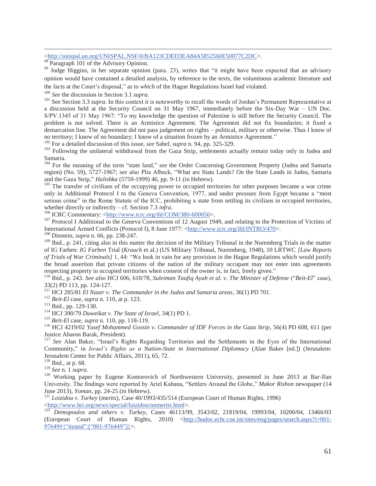#### <http://unispal.un.org/UNISPAL.NSF/0/BA123CDED3EA84A5852560E50077C2DC>.

<sup>98</sup> Paragraph 101 of the Advisory Opinion.

<sup>99</sup> Judge Higgins, in her separate opinion (para. 23), writes that "it might have been expected that an advisory opinion would have contained a detailed analysis, by reference to the texts, the voluminous academic literature and

the facts at the Court's disposal," as to *which* of the Hague Regulations Israel had violated.<br><sup>100</sup> See the discussion in Section 3.1 *supra*.<br><sup>101</sup> See Section 3.3 *supra*. In this context it is noteworthy to recall the a discussion held at the Security Council on 31 May 1967, immediately before the Six-Day War – UN Doc. S/PV.1345 of 31 May 1967: "To my knowledge the question of Palestine is still before the Security Council. The problem is not solved. There is an Armistice Agreement. The Agreement did not fix boundaries; it fixed a demarcation line. The Agreement did not pass judgement on rights – political, military or otherwise. Thus I know of no territory; I know of no boundary; I know of a situation frozen by an Armistice Agreement."<br><sup>102</sup> For a detailed discussion of this issue, *see* Sabel, *supra* n. 94, pp. 325-329.<br><sup>103</sup> Following the unilateral withdrawa

Samaria.

<sup>104</sup> For the meaning of the term "state land," *see* the Order Concerning Government Property (Judea and Samaria region) (No. 59), 5727-1967; *see* also Plia Albeck, "What are State Lands? On the State Lands in Judea, Samaria

<sup>105</sup> The transfer of civilians of the occupying power to occupied territories for other purposes became a war crime only in Additional Protocol I to the Geneva Convention, 1977, and under pressure from Egypt became a "most serious crime" in the Rome Statute of the ICC, prohibiting a state from settling its civilians in occupied territories, whether directly or indirectly – cf. Section 7.3 *infra*.<br><sup>106</sup> ICRC Commentary: <<u>http://www.icrc.org/ihl/COM/380-600056</u>>.<br><sup>107</sup> Protocol I Additional to the Geneva Conventions of 12 August 1949, and relating to the Prot

International Armed Conflicts (Protocol I), 8 June 1977: <http://www.icrc.org/ihl/INTRO/470>. <sup>108</sup> Dinstein, *supra* n. 66, pp. 238-247.

<sup>109</sup> Ibid., p. 241, citing also in this matter the decision of the Military Tribunal in the Nuremberg Trials in the matter of IG Farben: *IG Farben* Trial (*Krauch* et al.) (US Military Tribunal, Nuremberg, 1948), 10 LRTWC *[Law Reports of Trials of War Criminals]* 1, 44: "We look in vain for any provision in the Hague Regulations which would justify the broad assertion that private citizens of the nation of the military occupant may not enter into agreements respecting property in occupied territories when consent of the owner is, in fact, freely given."

<sup>110</sup> Ibid., p. 243. See also HCJ 606, 610/78, Suleiman Taufig Ayub et al. v. The Minister of Defense ("Beit-El" case), 33(2) PD 113, pp. 124-127.<br><sup>111</sup> HCJ 285/81 *El Nazer v. The Commander in the Judea and Samaria areas*, 36(1) PD 701.

<sup>112</sup> Beit-El case, supra n. 110, at p. 123.<br>
<sup>113</sup> Ibid., pp. 129-130.<br>
<sup>114</sup> HCJ 390/79 Duweikat v. The State of Israel, 34(1) PD 1.<br>
<sup>115</sup> Beit-El case, supra n. 110, pp. 118-119.<br>
<sup>116</sup> HCJ 4219/02 *Yusef Mohammed Gos* Justice Aharon Barak, President).

<sup>117</sup> See Alan Baker, "Israel's Rights Regarding Territories and the Settlements in the Eyes of the International Community," in *Israel's Rights as a Nation-State in International Diplomacy* (Alan Baker [ed.]) (Jerusalem: Jerusalem Center for Public Affairs, 2011), 65, 72.

<sup>118</sup> Ibid., at p. 68.<br><sup>119</sup> *See* n. 1 *supra*.

<sup>120</sup> Working paper by Eugene Kontorovich of Northwestern University, presented in June 2013 at Bar-Ilan University. The findings were reported by Ariel Kahana, "Settlers Around the Globe," *Makor Rishon* newspaper (14 June 2013), *Yoman*, pp. 24-25 (in Hebrew). 121 *Loizidou v. Turkey* (merits), Case 40/1993/435/514 (European Court of Human Rights, 1996)

<http://www.hri.org/news/special/loizidou/onmerits.html>. 122 *Demopoulos and others v. Turkey*, Cases 46113/99, 3543/02, 21819/04, 19993/04, 10200/04, 13466/03 (European Court of Human Rights, 2010) <http://hudoc.echr.coe.int/sites/eng/pages/search.aspx?i=001- 97649#{"itemid":["001-976449"]}>.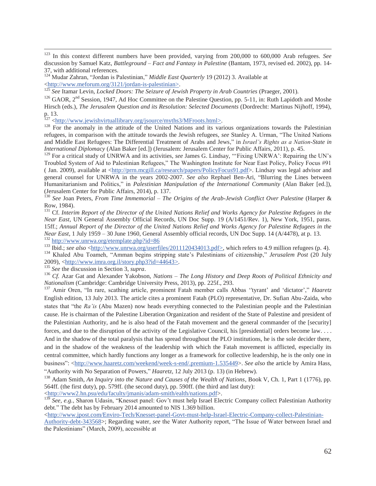123 In this context different numbers have been provided, varying from 200,000 to 600,000 Arab refugees. *See* discussion by Samuel Katz, *Battleground – Fact and Fantasy in Palestine* (Bantam, 1973, revised ed. 2002), pp. 14- 37, with additional references.

<sup>124</sup> Mudar Zahran, "Jordan is Palestinian," *Middle East Quarterly* 19 (2012) 3. Available at  $\frac{\text{http://www.meforum.org/3121/jordan-is-palestinian}}{125}$ <br>
125 See Itamar Levin, *Locked Doors: The Seizure of Jewish Property in Arab Countries* (Praeger, 2001).<br>
<sup>126</sup> GAOR, 2<sup>nd</sup> Session, 1947, Ad Hoc Committee on the Palestine Question, pp. 5

Hirsch (eds.), *The Jerusalem Question and its Resolution: Selected Documents* (Dordrecht: Martinus Nijhoff, 1994), p. 13.<br><sup>127</sup> <<u>http://www.jewishvirtuallibrary.org/jsource/myths3/MFroots.html>.</u>

<sup>128</sup> For the anomaly in the attitude of the United Nations and its various organizations towards the Palestinian refugees, in comparison with the attitude towards the Jewish refugees, *see* Stanley A. Urman, "The United Nations and Middle East Refugees: The Differential Treatment of Arabs and Jews," in *Israel's Rights as a Nation-State in International Diplomacy* (Alan Baker [ed.]) (Jerusalem: Jerusalem Center for Public Affairs, 2011), p. 45.

<sup>129</sup> For a critical study of UNRWA and its activities, see James G. Lindsay, "'Fixing UNRWA': Repairing the UN's Troubled System of Aid to Palestinian Refugees," The Washington Institute for Near East Policy, Policy Focus #91 ( Jan. 2009), available at <http://prrn.mcgill.ca/research/papers/PolicyFocus91.pdf>. Lindsay was legal advisor and general counsel for UNRWA in the years 2002-2007. *See also* Rephael Ben-Ari, "Blurring the Lines between Humanitarianism and Politics," in *Palestinian Manipulation of the International Community* (Alan Baker [ed.]), (Jerusalem Center for Public Affairs, 2014), p. 137.

<sup>130</sup> See Joan Peters, *From Time Immemorial – The Origins of the Arab-Jewish Conflict Over Palestine* (Harper & Row, 1984).

<sup>131</sup> Cf. Interim Report of the Director of the United Nations Relief and Works Agency for Palestine Refugees in the *Near East*, UN General Assembly Official Records, UN Doc Supp. 19 (A/1451/Rev. 1), New York, 1951, paras. 15ff.; *Annual Report of the Director of the United Nations Relief and Works Agency for Palestine Refugees in the Near East*, 1 July 1959 – 30 June 1960, General Assembly official records, UN Doc Supp. 14 (A/4478), at p. 13.<br>
<sup>132</sup> http://www.unrwa.org/etemplate.php?id=86<br>
<sup>133</sup> Ibid.; *see also* <http://www.unrwa.org/userfiles/20111

2009), <<u>http://www.imra.org.il/story.php3?id=44643></u>.<br><sup>135</sup> See the discussion in Section 3, *supra*.<br><sup>136</sup> Cf. Azar Gat and Alexander Yakobson, *Nations* – *The Long History and Deep Roots of Political Ethnicity and*<br>*Na* 

<sup>137</sup> Amir Oren, "In rare, scathing article, prominent Fatah member calls Abbas ''tyrant' and 'dictator'," *Haaretz* English edition, 13 July 2013. The article cites a prominent Fatah (PLO) representative, Dr. Sufian Abu-Zaida, who states that "the *Ra'is* (Abu Mazen) now heads everything connected to the Palestinian people and the Palestinian cause. He is chairman of the Palestine Liberation Organization and resident of the State of Palestine and president of the Palestinian Authority, and he is also head of the Fatah movement and the general commander of the [security] forces, and due to the disruption of the activity of the Legislative Council, his [presidential] orders become law. . . . And in the shadow of the total paralysis that has spread throughout the PLO institutions, he is the sole decider there, and in the shadow of the weakness of the leadership with which the Fatah movement is afflicted, especially its central committee, which hardly functions any longer as a framework for collective leadership, he is the only one in business": <http://www.haaretz.com/weekend/week-s-end/.premium-1.535449>. *See also* the article by Amira Hass, "Authority with No Separation of Powers," *Haaretz*, 12 July 2013 (p. 13) (in Hebrew). 138 Adam Smith, *An Inquiry into the Nature and Causes of the Wealth of Nations*, Book V, Ch. 1, Part 1 (1776), pp.

564ff. (the first duty), pp. 579ff. (the second duty), pp. 590ff. (the third and last duty): <http://www2.hn.psu/edu/faculty/jmanis/adam-smith/ealth/nations.pdf>.

<sup>139</sup> *See, e.g.*, Sharon Udasin, "Knesset panel: Gov't must help Israel Electric Company collect Palestinian Authority debt." The debt has by February 2014 amounted to NIS 1.369 billion.

 $\langle$ http://www.jpost.com/Enviro-Tech/Knesset-panel-Govt-must-help-Israel-Electric-Company-collect-Palestinian-

Authority-debt-343568>; Regarding water, *see* the Water Authority report, "The Issue of Water between Israel and the Palestinians" (March, 2009), accessible at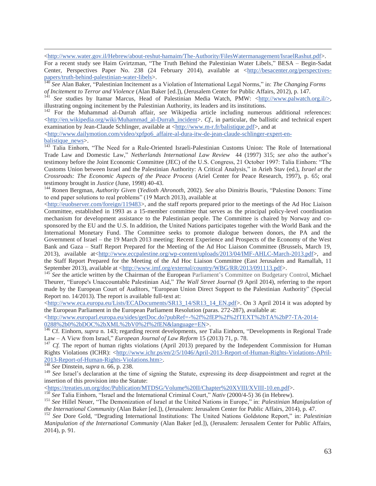<http://www.water.gov.il/Hebrew/about-reshut-hamaim/The-Authority/FilesWatermanagement/IsraelRashut.pdf>.

For a recent study see Haim Gvirtzman, "The Truth Behind the Palestinian Water Libels," BESA – Begin-Sadat Center, Perspectives Paper No. 238 (24 February 2014), available at <http://besacenter.org/perspectives-<br>papers/truth-behind-palestinian-water-libels>.

<sup>140</sup> See Alan Baker, "Palestinian Incitement as a Violation of International Legal Norms," in: *The Changing Forms* of Incitement to Terror and Violence (Alan Baker [ed.]), (Jerusalem Center for Public Affairs, 2012), p.

See studies by Itamar Marcus, Head of Palestinian Media Watch, PMW: <http://www.palwatch.org.il/>, illustrating ongoing incitement by the Palestinian Authority, its leaders and its institutions.

142 For the Muhammad al-Durrah affair, *see* Wikipedia article including numerous additional references: <http://en.wikipedia.org/wiki/Muhammad\_al-Durrah\_incident>. *Cf*., in particular, the ballistic and technical expert examination by Jean-Claude Schlinger, available at <http://www.m-r.fr/balistique.pdf>, and at

 $\langle$ http://www.dailymotion.com/video/xpfpo6\_affaire-al-dura-itw-de-jean-claude-schlinger-expert-en-

balistique news>. <sup>143</sup> Talia Einhorn, "The Need for a Rule-Oriented Israeli-Palestinian Customs Union: The Role of International Trade Law and Domestic Law," *Netherlands International Law Review* 44 (1997) 315; *see also* the author's testimony before the Joint Economic Committee (JEC) of the U.S. Congress, 21 October 1997: Talia Einhorn: "The Customs Union between Israel and the Palestinian Authority: A Critical Analysis," in Arieh Stav (ed.), *Israel at the Crossroads: The Economic Aspects of the Peace Process* (Ariel Center for Peace Research, 1997), p. 65; oral testimony brought in *Justice* (June, 1998) 40-43. 144 Ronen Bergman, *Authority Given* (*Yedioth Ahronoth*, 2002). *See also* Dimitris Bouris, "Palestine Donors: Time

to end paper solutions to real problems" (19 March 2013), available at

 $\text{thtn:}$ /euobserver.com/foreign/119483>, and the staff reports prepared prior to the meetings of the Ad Hoc Liaison Committee, established in 1993 as a 15-member committee that serves as the principal policy-level coordination mechanism for development assistance to the Palestinian people. The Committee is chaired by Norway and cosponsored by the EU and the U.S. In addition, the United Nations participates together with the World Bank and the International Monetary Fund. The Committee seeks to promote dialogue between donors, the PA and the Government of Israel – the 19 March 2013 meeting: Recent Experience and Prospects of the Economy of the West Bank and Gaza – Staff Report Prepared for the Meeting of the Ad Hoc Liaison Committee (Brussels, March 19, 2013), available at<http://www.eccpalestine.org/wp-content/uploads/2013/04/IMF-AHLC-March-2013.pdf>, and the Staff Report Prepared for the Meeting of the Ad Hoc Liaison Committee (East Jerusalem and Ramallah, 11 September 2013), available at <http://www.imf.org/external/country/WBG/RR/2013/091113.pdf>.<br><sup>145</sup> *See* the article written by the Chairman of the European Parliament's Committee on Budgetary Control, Michael

Theurer, "Europe's Unaccountable Palestinian Aid," *The Wall Street Journal* (9 April 2014), referring to the report made by the European Court of Auditors, "European Union Direct Support to the Palestinian Authority" (Special Report no. 14/2013). The report is available full-text at:

<http://www.eca.europa.eu/Lists/ECADocuments/SR13\_14/SR13\_14\_EN.pdf>. On 3 April 2014 it was adopted by the European Parliament in the European Parliament Resolution (paras. 272-287), available at:

<http://www.europarl.europa.eu/sides/getDoc.do?pubRef=-%2f%2fEP%2f%2fTEXT%2bTA%2bP7-TA-2014-

0288 80260 0288 (0288) 0288 (0288) 0288 8 0382 (0288) 0288 8 0382 (0288) 0288 9 0288 0288 0288 0288 0288 0288 0<br><sup>146</sup> Cf. Einhorn, *supra* n. 143; regarding recent developments, *see* Talia Einhorn, "Developments in Region

<sup>147</sup> *Cf.* The report of human rights violations (April 2013) prepared by the Independent Commission for Human Rights Violations (ICHR): <http://www.ichr.ps/en/2/5/1046/April-2013-Report-of-Human-Rights-Violations-APril-2013-Report-of-Human-Rights-Violations.htm>. 148 *See* Dinstein, *supra* n. 66, p. 238.

<sup>149</sup> *See* Israel's declaration at the time of signing the Statute, expressing its deep disappointment and regret at the insertion of this provision into the Statute:

<https://treaties.un.org/doc/Publication/MTDSG/Volume%20II/Chapter%20XVIII/XVIII-10.en.pdf>.<br><sup>150</sup> See Talia Einhorn, "Israel and the International Criminal Court," *Nativ* (2000/4-5) 36 (in Hebrew).<br><sup>151</sup> See Hillel Neuer

<sup>152</sup> See Dore Gold, "Degrading International Institutions: The United Nations Goldstone Report," in: Palestinian *Manipulation of the International Community* (Alan Baker [ed.]), (Jerusalem: Jerusalem Center for Public Affairs, 2014), p. 91.